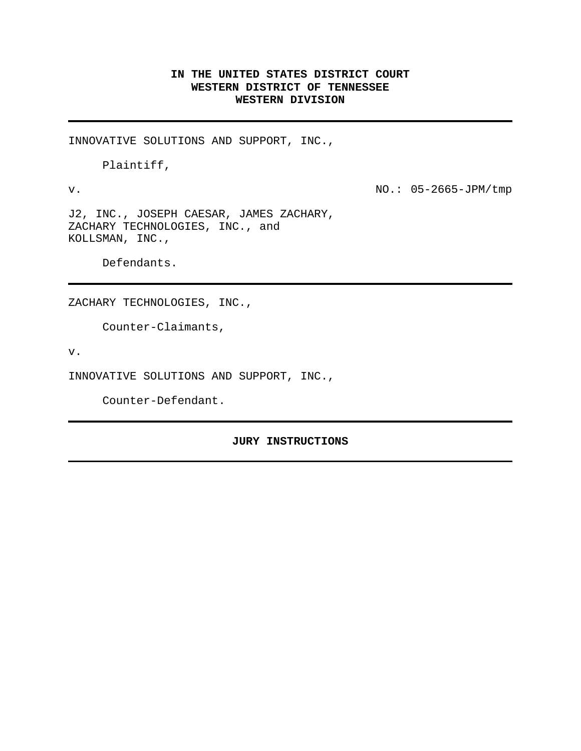# **IN THE UNITED STATES DISTRICT COURT WESTERN DISTRICT OF TENNESSEE WESTERN DIVISION**

INNOVATIVE SOLUTIONS AND SUPPORT, INC.,

Plaintiff,

v. NO.: 05-2665-JPM/tmp

J2, INC., JOSEPH CAESAR, JAMES ZACHARY, ZACHARY TECHNOLOGIES, INC., and KOLLSMAN, INC.,

Defendants.

ZACHARY TECHNOLOGIES, INC.,

Counter-Claimants,

v.

INNOVATIVE SOLUTIONS AND SUPPORT, INC.,

Counter-Defendant.

#### **JURY INSTRUCTIONS**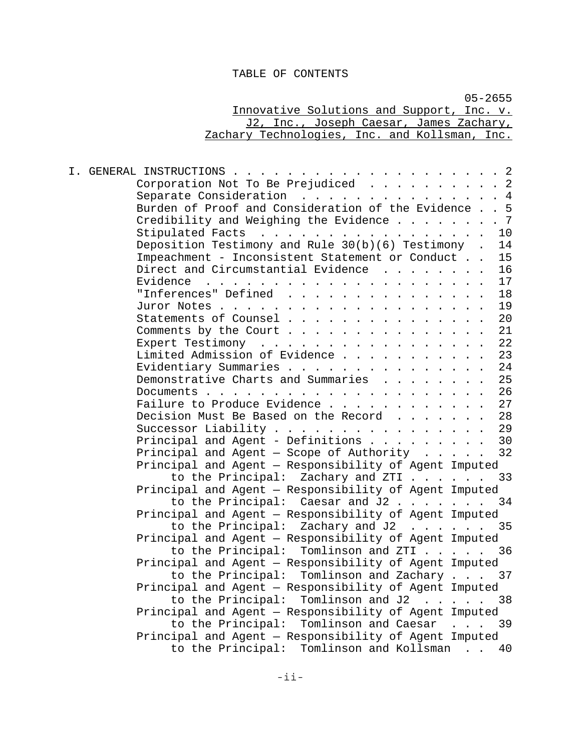# TABLE OF CONTENTS

|                                                                                                                                                                                                                                                | $05 - 2655$ |
|------------------------------------------------------------------------------------------------------------------------------------------------------------------------------------------------------------------------------------------------|-------------|
| Innovative Solutions and Support, Inc. v.                                                                                                                                                                                                      |             |
| J2, Inc., Joseph Caesar, James Zachary,                                                                                                                                                                                                        |             |
| Zachary Technologies, Inc. and Kollsman, Inc.                                                                                                                                                                                                  |             |
|                                                                                                                                                                                                                                                |             |
|                                                                                                                                                                                                                                                |             |
|                                                                                                                                                                                                                                                |             |
| Corporation Not To Be Prejudiced 2                                                                                                                                                                                                             |             |
| Separate Consideration 4                                                                                                                                                                                                                       |             |
| Burden of Proof and Consideration of the Evidence 5                                                                                                                                                                                            |             |
| Credibility and Weighing the Evidence 7                                                                                                                                                                                                        |             |
| Stipulated Facts 10                                                                                                                                                                                                                            |             |
| Deposition Testimony and Rule 30(b)(6) Testimony . 14                                                                                                                                                                                          |             |
| Impeachment - Inconsistent Statement or Conduct 15                                                                                                                                                                                             |             |
| Direct and Circumstantial Evidence                                                                                                                                                                                                             | 16          |
| Evidence<br>$\mathbf{r}_i$ . The contribution of the contribution of the contribution of the contribution of the contribution of the contribution of the contribution of the contribution of the contribution of the contribution of the contr | 17          |
| "Inferences" Defined                                                                                                                                                                                                                           | 18          |
|                                                                                                                                                                                                                                                | 19          |
| Statements of Counsel                                                                                                                                                                                                                          | 20          |
| Comments by the Court                                                                                                                                                                                                                          | 21          |
| Expert Testimony                                                                                                                                                                                                                               | 22          |
| Limited Admission of Evidence                                                                                                                                                                                                                  | 23          |
| Evidentiary Summaries                                                                                                                                                                                                                          | 24          |
| Demonstrative Charts and Summaries                                                                                                                                                                                                             | 25          |
|                                                                                                                                                                                                                                                | 26          |
| Failure to Produce Evidence                                                                                                                                                                                                                    | 27          |
| Decision Must Be Based on the Record                                                                                                                                                                                                           | 28          |
| Successor Liability                                                                                                                                                                                                                            | 29          |
| Principal and Agent - Definitions                                                                                                                                                                                                              | 30          |
| Principal and Agent - Scope of Authority $\ldots$ 32                                                                                                                                                                                           |             |
| Principal and Agent - Responsibility of Agent Imputed                                                                                                                                                                                          |             |
| to the Principal: Zachary and ZTI 33                                                                                                                                                                                                           |             |
| Principal and Agent - Responsibility of Agent Imputed<br>to the Principal: Caesar and J2 34                                                                                                                                                    |             |
|                                                                                                                                                                                                                                                |             |
| Principal and Agent - Responsibility of Agent Imputed<br>$\cdot$ 35                                                                                                                                                                            |             |
| to the Principal: Zachary and J2                                                                                                                                                                                                               |             |
| Principal and Agent - Responsibility of Agent Imputed<br>to the Principal: Tomlinson and ZTI                                                                                                                                                   | 36          |
| Principal and Agent - Responsibility of Agent Imputed                                                                                                                                                                                          |             |
| to the Principal: Tomlinson and Zachary 37                                                                                                                                                                                                     |             |
| Principal and Agent - Responsibility of Agent Imputed                                                                                                                                                                                          |             |
| to the Principal: Tomlinson and J2 38                                                                                                                                                                                                          |             |
| Principal and Agent - Responsibility of Agent Imputed                                                                                                                                                                                          |             |
|                                                                                                                                                                                                                                                |             |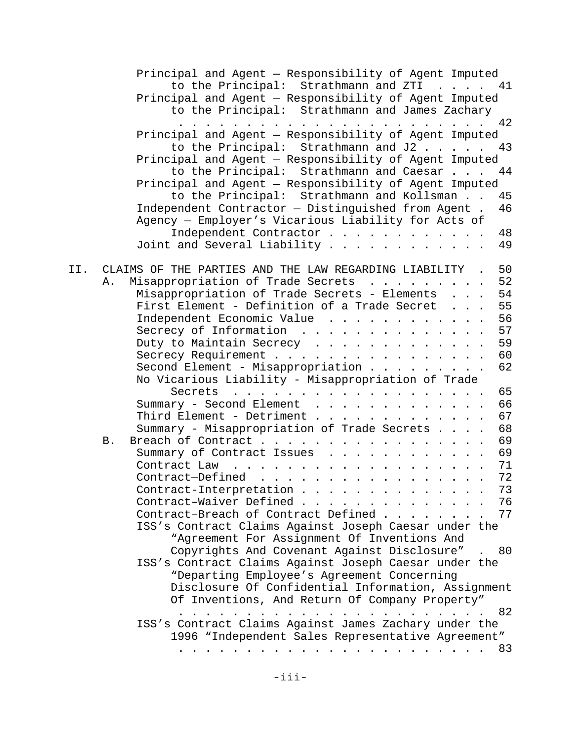|     | Principal and Agent - Responsibility of Agent Imputed<br>to the Principal: Strathmann and ZTI<br>. 41                                                                                                                                                                                                                                                                                                                                                                                                 |    |
|-----|-------------------------------------------------------------------------------------------------------------------------------------------------------------------------------------------------------------------------------------------------------------------------------------------------------------------------------------------------------------------------------------------------------------------------------------------------------------------------------------------------------|----|
|     | Principal and Agent - Responsibility of Agent Imputed                                                                                                                                                                                                                                                                                                                                                                                                                                                 |    |
|     | to the Principal: Strathmann and James Zachary                                                                                                                                                                                                                                                                                                                                                                                                                                                        |    |
|     | $\frac{1}{2}$<br>Principal and Agent - Responsibility of Agent Imputed                                                                                                                                                                                                                                                                                                                                                                                                                                | 42 |
|     | to the Principal: Strathmann and J2                                                                                                                                                                                                                                                                                                                                                                                                                                                                   | 43 |
|     |                                                                                                                                                                                                                                                                                                                                                                                                                                                                                                       |    |
|     | Principal and Agent - Responsibility of Agent Imputed                                                                                                                                                                                                                                                                                                                                                                                                                                                 | 44 |
|     | to the Principal: Strathmann and Caesar                                                                                                                                                                                                                                                                                                                                                                                                                                                               |    |
|     | Principal and Agent - Responsibility of Agent Imputed                                                                                                                                                                                                                                                                                                                                                                                                                                                 |    |
|     | to the Principal: Strathmann and Kollsman                                                                                                                                                                                                                                                                                                                                                                                                                                                             | 45 |
|     | Independent Contractor - Distinguished from Agent .                                                                                                                                                                                                                                                                                                                                                                                                                                                   | 46 |
|     | Agency - Employer's Vicarious Liability for Acts of                                                                                                                                                                                                                                                                                                                                                                                                                                                   |    |
|     | Independent Contractor                                                                                                                                                                                                                                                                                                                                                                                                                                                                                | 48 |
|     | Joint and Several Liability $\dots$                                                                                                                                                                                                                                                                                                                                                                                                                                                                   | 49 |
| II. | CLAIMS OF THE PARTIES AND THE LAW REGARDING LIABILITY .                                                                                                                                                                                                                                                                                                                                                                                                                                               | 50 |
|     | Misappropriation of Trade Secrets<br>Α.                                                                                                                                                                                                                                                                                                                                                                                                                                                               | 52 |
|     | Misappropriation of Trade Secrets - Elements                                                                                                                                                                                                                                                                                                                                                                                                                                                          | 54 |
|     | First Element - Definition of a Trade Secret                                                                                                                                                                                                                                                                                                                                                                                                                                                          | 55 |
|     | Independent Economic Value                                                                                                                                                                                                                                                                                                                                                                                                                                                                            | 56 |
|     | Secrecy of Information                                                                                                                                                                                                                                                                                                                                                                                                                                                                                | 57 |
|     | Duty to Maintain Secrecy                                                                                                                                                                                                                                                                                                                                                                                                                                                                              | 59 |
|     | Secrecy Requirement                                                                                                                                                                                                                                                                                                                                                                                                                                                                                   | 60 |
|     | Second Element - Misappropriation                                                                                                                                                                                                                                                                                                                                                                                                                                                                     | 62 |
|     | No Vicarious Liability - Misappropriation of Trade                                                                                                                                                                                                                                                                                                                                                                                                                                                    |    |
|     | Secrets                                                                                                                                                                                                                                                                                                                                                                                                                                                                                               | 65 |
|     | Summary - Second Element                                                                                                                                                                                                                                                                                                                                                                                                                                                                              | 66 |
|     | Third Element - Detriment                                                                                                                                                                                                                                                                                                                                                                                                                                                                             | 67 |
|     | Summary - Misappropriation of Trade Secrets                                                                                                                                                                                                                                                                                                                                                                                                                                                           | 68 |
|     | Breach of Contract<br>В.                                                                                                                                                                                                                                                                                                                                                                                                                                                                              | 69 |
|     | Summary of Contract Issues                                                                                                                                                                                                                                                                                                                                                                                                                                                                            | 69 |
|     | Contract Law<br>$\mathbf{1} \quad \mathbf{1} \quad \mathbf{1} \quad \mathbf{1} \quad \mathbf{1} \quad \mathbf{1} \quad \mathbf{1} \quad \mathbf{1} \quad \mathbf{1} \quad \mathbf{1} \quad \mathbf{1} \quad \mathbf{1} \quad \mathbf{1} \quad \mathbf{1} \quad \mathbf{1} \quad \mathbf{1} \quad \mathbf{1} \quad \mathbf{1} \quad \mathbf{1} \quad \mathbf{1} \quad \mathbf{1} \quad \mathbf{1} \quad \mathbf{1} \quad \mathbf{1} \quad \mathbf{1} \quad \mathbf{1} \quad \mathbf{1} \quad \mathbf{$ | 71 |
|     | Contract-Defined                                                                                                                                                                                                                                                                                                                                                                                                                                                                                      | 72 |
|     | Contract-Interpretation                                                                                                                                                                                                                                                                                                                                                                                                                                                                               | 73 |
|     | Contract-Waiver Defined                                                                                                                                                                                                                                                                                                                                                                                                                                                                               | 76 |
|     | Contract-Breach of Contract Defined                                                                                                                                                                                                                                                                                                                                                                                                                                                                   | 77 |
|     | ISS's Contract Claims Against Joseph Caesar under the                                                                                                                                                                                                                                                                                                                                                                                                                                                 |    |
|     |                                                                                                                                                                                                                                                                                                                                                                                                                                                                                                       |    |
|     | "Agreement For Assignment Of Inventions And                                                                                                                                                                                                                                                                                                                                                                                                                                                           |    |
|     | Copyrights And Covenant Against Disclosure". 80                                                                                                                                                                                                                                                                                                                                                                                                                                                       |    |
|     | ISS's Contract Claims Against Joseph Caesar under the                                                                                                                                                                                                                                                                                                                                                                                                                                                 |    |
|     | "Departing Employee's Agreement Concerning                                                                                                                                                                                                                                                                                                                                                                                                                                                            |    |
|     | Disclosure Of Confidential Information, Assignment<br>Of Inventions, And Return Of Company Property"                                                                                                                                                                                                                                                                                                                                                                                                  |    |
|     | . 82                                                                                                                                                                                                                                                                                                                                                                                                                                                                                                  |    |
|     |                                                                                                                                                                                                                                                                                                                                                                                                                                                                                                       |    |
|     | ISS's Contract Claims Against James Zachary under the<br>1996 "Independent Sales Representative Agreement"                                                                                                                                                                                                                                                                                                                                                                                            |    |
|     |                                                                                                                                                                                                                                                                                                                                                                                                                                                                                                       |    |
|     |                                                                                                                                                                                                                                                                                                                                                                                                                                                                                                       |    |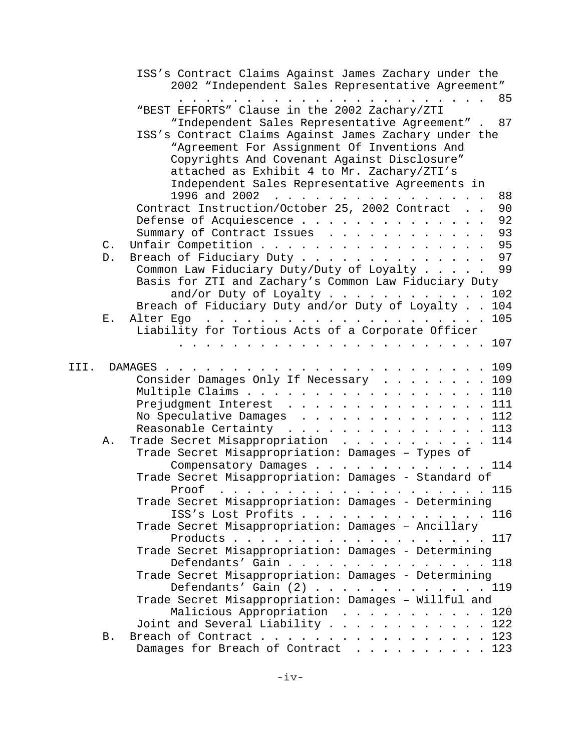|      |    | ISS's Contract Claims Against James Zachary under the                                                                                                                                                                                                                                                                                                                                                                                                                                                                            |
|------|----|----------------------------------------------------------------------------------------------------------------------------------------------------------------------------------------------------------------------------------------------------------------------------------------------------------------------------------------------------------------------------------------------------------------------------------------------------------------------------------------------------------------------------------|
|      |    | 2002 "Independent Sales Representative Agreement"                                                                                                                                                                                                                                                                                                                                                                                                                                                                                |
|      |    | 85<br>$\cdot$ $\cdot$ $\cdot$ $\cdot$ $\cdot$ $\cdot$ $\cdot$<br><b><i>Charles Committee States</i></b>                                                                                                                                                                                                                                                                                                                                                                                                                          |
|      |    | "BEST EFFORTS" Clause in the 2002 Zachary/ZTI                                                                                                                                                                                                                                                                                                                                                                                                                                                                                    |
|      |    | "Independent Sales Representative Agreement" . 87                                                                                                                                                                                                                                                                                                                                                                                                                                                                                |
|      |    | ISS's Contract Claims Against James Zachary under the                                                                                                                                                                                                                                                                                                                                                                                                                                                                            |
|      |    | "Agreement For Assignment Of Inventions And                                                                                                                                                                                                                                                                                                                                                                                                                                                                                      |
|      |    | Copyrights And Covenant Against Disclosure"                                                                                                                                                                                                                                                                                                                                                                                                                                                                                      |
|      |    | attached as Exhibit 4 to Mr. Zachary/ZTI's                                                                                                                                                                                                                                                                                                                                                                                                                                                                                       |
|      |    | Independent Sales Representative Agreements in                                                                                                                                                                                                                                                                                                                                                                                                                                                                                   |
|      |    | 1996 and 2002<br>88                                                                                                                                                                                                                                                                                                                                                                                                                                                                                                              |
|      |    | Contract Instruction/October 25, 2002 Contract<br>90                                                                                                                                                                                                                                                                                                                                                                                                                                                                             |
|      |    | 92<br>Defense of Acquiescence                                                                                                                                                                                                                                                                                                                                                                                                                                                                                                    |
|      |    | 93<br>Summary of Contract Issues                                                                                                                                                                                                                                                                                                                                                                                                                                                                                                 |
|      | C. | 95<br>Unfair Competition                                                                                                                                                                                                                                                                                                                                                                                                                                                                                                         |
|      | D. | 97<br>Breach of Fiduciary Duty                                                                                                                                                                                                                                                                                                                                                                                                                                                                                                   |
|      |    | Common Law Fiduciary Duty/Duty of Loyalty<br>99                                                                                                                                                                                                                                                                                                                                                                                                                                                                                  |
|      |    | Basis for ZTI and Zachary's Common Law Fiduciary Duty                                                                                                                                                                                                                                                                                                                                                                                                                                                                            |
|      |    | and/or Duty of Loyalty 102                                                                                                                                                                                                                                                                                                                                                                                                                                                                                                       |
|      |    | Breach of Fiduciary Duty and/or Duty of Loyalty<br>104                                                                                                                                                                                                                                                                                                                                                                                                                                                                           |
|      | Ε. | 105<br>Alter Ego<br>$\mathbf{r} = \mathbf{r} \times \mathbf{r} \times \mathbf{r} \times \mathbf{r} \times \mathbf{r} \times \mathbf{r} \times \mathbf{r} \times \mathbf{r} \times \mathbf{r} \times \mathbf{r} \times \mathbf{r} \times \mathbf{r} \times \mathbf{r} \times \mathbf{r} \times \mathbf{r} \times \mathbf{r} \times \mathbf{r} \times \mathbf{r} \times \mathbf{r} \times \mathbf{r} \times \mathbf{r} \times \mathbf{r} \times \mathbf{r} \times \mathbf{r} \times \mathbf{r} \times \mathbf{r} \times \mathbf{r$ |
|      |    | Liability for Tortious Acts of a Corporate Officer                                                                                                                                                                                                                                                                                                                                                                                                                                                                               |
|      |    | 107<br>.                                                                                                                                                                                                                                                                                                                                                                                                                                                                                                                         |
|      |    |                                                                                                                                                                                                                                                                                                                                                                                                                                                                                                                                  |
| III. |    | DAMAGES .                                                                                                                                                                                                                                                                                                                                                                                                                                                                                                                        |
|      |    | Consider Damages Only If Necessary 109                                                                                                                                                                                                                                                                                                                                                                                                                                                                                           |
|      |    | Multiple Claims 110                                                                                                                                                                                                                                                                                                                                                                                                                                                                                                              |
|      |    | Prejudgment Interest 111                                                                                                                                                                                                                                                                                                                                                                                                                                                                                                         |
|      |    | No Speculative Damages 112                                                                                                                                                                                                                                                                                                                                                                                                                                                                                                       |
|      |    | Reasonable Certainty 113                                                                                                                                                                                                                                                                                                                                                                                                                                                                                                         |
|      | Α. | Trade Secret Misappropriation<br>114                                                                                                                                                                                                                                                                                                                                                                                                                                                                                             |
|      |    | Trade Secret Misappropriation: Damages - Types of                                                                                                                                                                                                                                                                                                                                                                                                                                                                                |
|      |    | Compensatory Damages 114                                                                                                                                                                                                                                                                                                                                                                                                                                                                                                         |
|      |    | Trade Secret Misappropriation: Damages - Standard of                                                                                                                                                                                                                                                                                                                                                                                                                                                                             |
|      |    | 115<br>Proof<br>$\frac{1}{2}$ . The contract of the contract of the contract of the contract of the contract of the contract of the contract of the contract of the contract of the contract of the contract of the contract of the contract of t                                                                                                                                                                                                                                                                                |
|      |    | Trade Secret Misappropriation: Damages - Determining                                                                                                                                                                                                                                                                                                                                                                                                                                                                             |
|      |    | ISS's Lost Profits 116                                                                                                                                                                                                                                                                                                                                                                                                                                                                                                           |
|      |    | Trade Secret Misappropriation: Damages - Ancillary                                                                                                                                                                                                                                                                                                                                                                                                                                                                               |
|      |    | Products 117                                                                                                                                                                                                                                                                                                                                                                                                                                                                                                                     |
|      |    | Trade Secret Misappropriation: Damages - Determining                                                                                                                                                                                                                                                                                                                                                                                                                                                                             |
|      |    | Defendants' Gain 118                                                                                                                                                                                                                                                                                                                                                                                                                                                                                                             |
|      |    | Trade Secret Misappropriation: Damages - Determining                                                                                                                                                                                                                                                                                                                                                                                                                                                                             |
|      |    | Defendants' Gain $(2)$ 119                                                                                                                                                                                                                                                                                                                                                                                                                                                                                                       |
|      |    | Trade Secret Misappropriation: Damages - Willful and                                                                                                                                                                                                                                                                                                                                                                                                                                                                             |
|      |    | Malicious Appropriation 120                                                                                                                                                                                                                                                                                                                                                                                                                                                                                                      |
|      |    | Joint and Several Liability 122                                                                                                                                                                                                                                                                                                                                                                                                                                                                                                  |
|      | Β. | Breach of Contract 123                                                                                                                                                                                                                                                                                                                                                                                                                                                                                                           |
|      |    | Damages for Breach of Contract 123                                                                                                                                                                                                                                                                                                                                                                                                                                                                                               |
|      |    |                                                                                                                                                                                                                                                                                                                                                                                                                                                                                                                                  |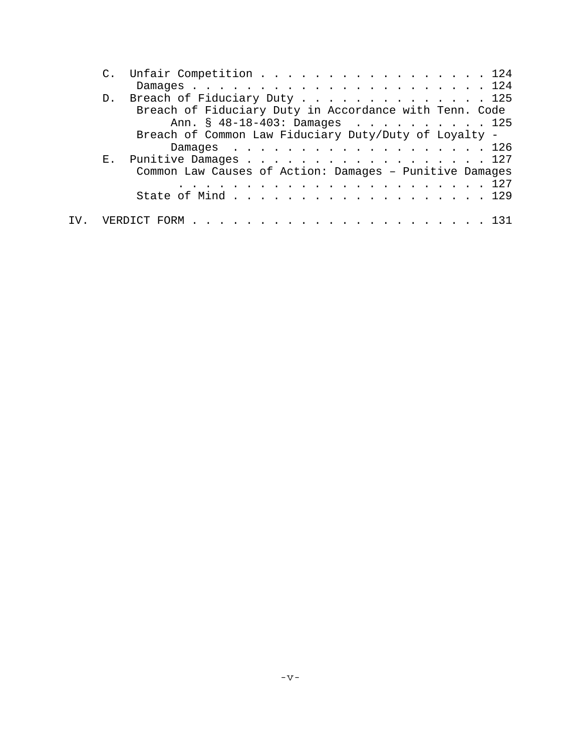|  | C. Unfair Competition 124                               |
|--|---------------------------------------------------------|
|  |                                                         |
|  | D. Breach of Fiduciary Duty 125                         |
|  | Breach of Fiduciary Duty in Accordance with Tenn. Code  |
|  | Ann. § 48-18-403: Damages 125                           |
|  | Breach of Common Law Fiduciary Duty/Duty of Loyalty -   |
|  | Damages 126                                             |
|  | E. Punitive Damages 127                                 |
|  | Common Law Causes of Action: Damages - Punitive Damages |
|  |                                                         |
|  | State of Mind 129                                       |
|  |                                                         |
|  |                                                         |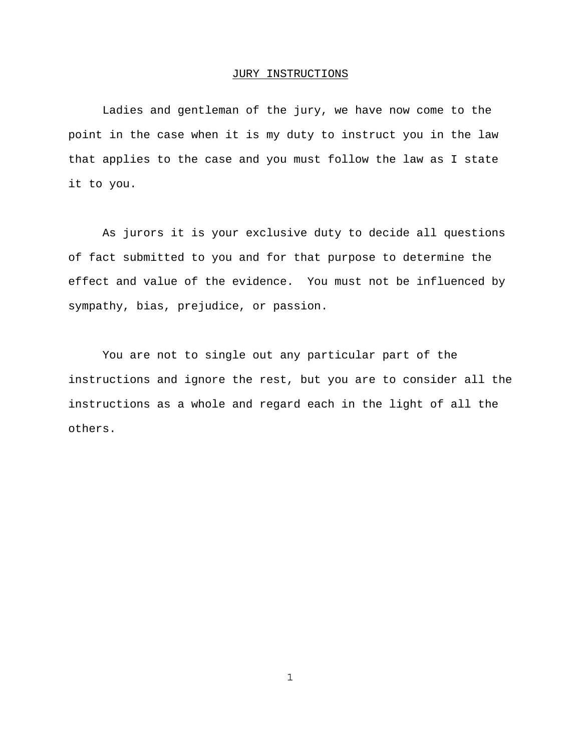#### JURY INSTRUCTIONS

Ladies and gentleman of the jury, we have now come to the point in the case when it is my duty to instruct you in the law that applies to the case and you must follow the law as I state it to you.

As jurors it is your exclusive duty to decide all questions of fact submitted to you and for that purpose to determine the effect and value of the evidence. You must not be influenced by sympathy, bias, prejudice, or passion.

You are not to single out any particular part of the instructions and ignore the rest, but you are to consider all the instructions as a whole and regard each in the light of all the others.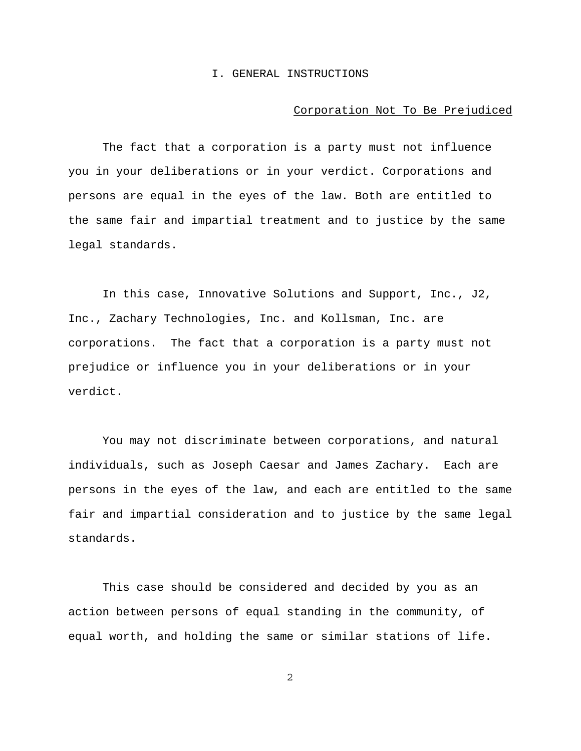#### I. GENERAL INSTRUCTIONS

### Corporation Not To Be Prejudiced

The fact that a corporation is a party must not influence you in your deliberations or in your verdict. Corporations and persons are equal in the eyes of the law. Both are entitled to the same fair and impartial treatment and to justice by the same legal standards.

In this case, Innovative Solutions and Support, Inc., J2, Inc., Zachary Technologies, Inc. and Kollsman, Inc. are corporations. The fact that a corporation is a party must not prejudice or influence you in your deliberations or in your verdict.

You may not discriminate between corporations, and natural individuals, such as Joseph Caesar and James Zachary. Each are persons in the eyes of the law, and each are entitled to the same fair and impartial consideration and to justice by the same legal standards.

This case should be considered and decided by you as an action between persons of equal standing in the community, of equal worth, and holding the same or similar stations of life.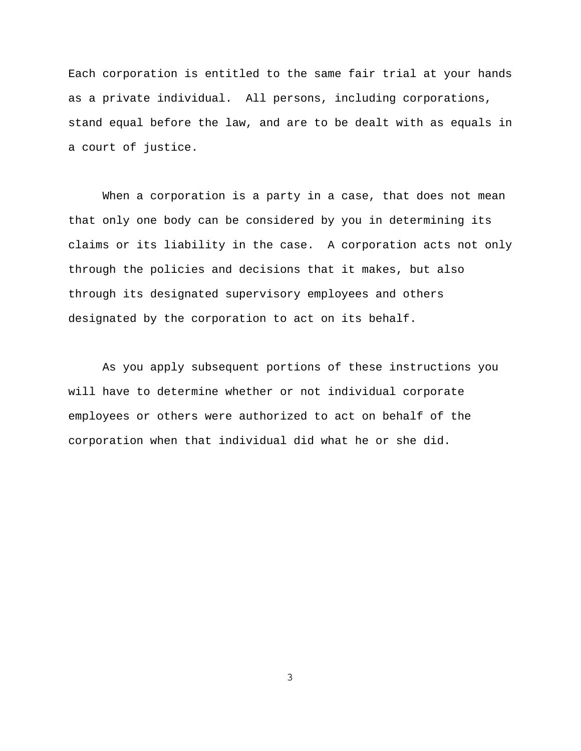Each corporation is entitled to the same fair trial at your hands as a private individual. All persons, including corporations, stand equal before the law, and are to be dealt with as equals in a court of justice.

When a corporation is a party in a case, that does not mean that only one body can be considered by you in determining its claims or its liability in the case. A corporation acts not only through the policies and decisions that it makes, but also through its designated supervisory employees and others designated by the corporation to act on its behalf.

As you apply subsequent portions of these instructions you will have to determine whether or not individual corporate employees or others were authorized to act on behalf of the corporation when that individual did what he or she did.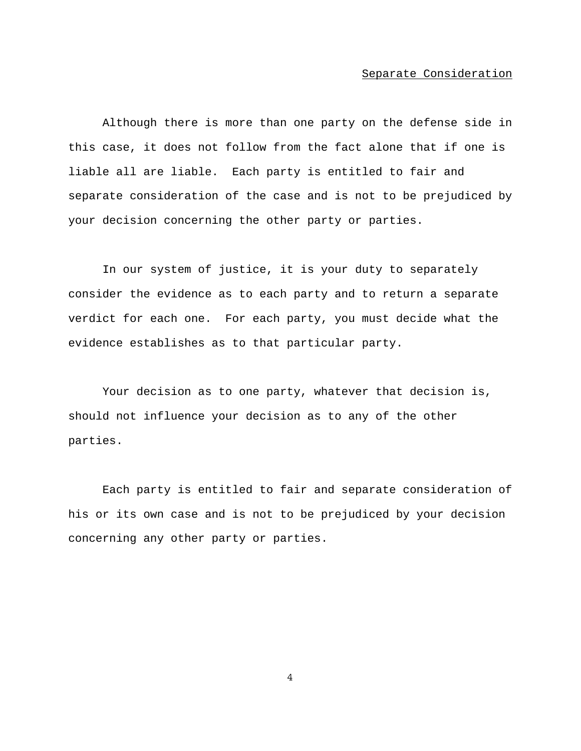## Separate Consideration

Although there is more than one party on the defense side in this case, it does not follow from the fact alone that if one is liable all are liable. Each party is entitled to fair and separate consideration of the case and is not to be prejudiced by your decision concerning the other party or parties.

In our system of justice, it is your duty to separately consider the evidence as to each party and to return a separate verdict for each one. For each party, you must decide what the evidence establishes as to that particular party.

Your decision as to one party, whatever that decision is, should not influence your decision as to any of the other parties.

Each party is entitled to fair and separate consideration of his or its own case and is not to be prejudiced by your decision concerning any other party or parties.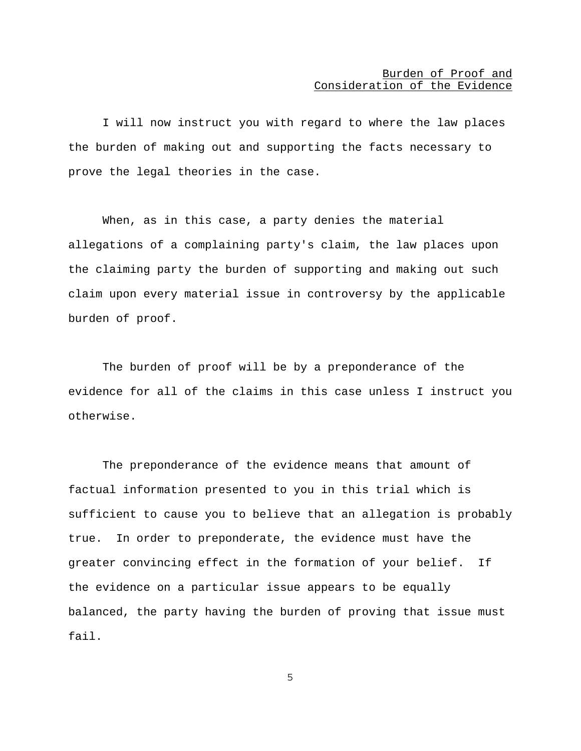I will now instruct you with regard to where the law places the burden of making out and supporting the facts necessary to prove the legal theories in the case.

When, as in this case, a party denies the material allegations of a complaining party's claim, the law places upon the claiming party the burden of supporting and making out such claim upon every material issue in controversy by the applicable burden of proof.

The burden of proof will be by a preponderance of the evidence for all of the claims in this case unless I instruct you otherwise.

The preponderance of the evidence means that amount of factual information presented to you in this trial which is sufficient to cause you to believe that an allegation is probably true. In order to preponderate, the evidence must have the greater convincing effect in the formation of your belief. If the evidence on a particular issue appears to be equally balanced, the party having the burden of proving that issue must fail.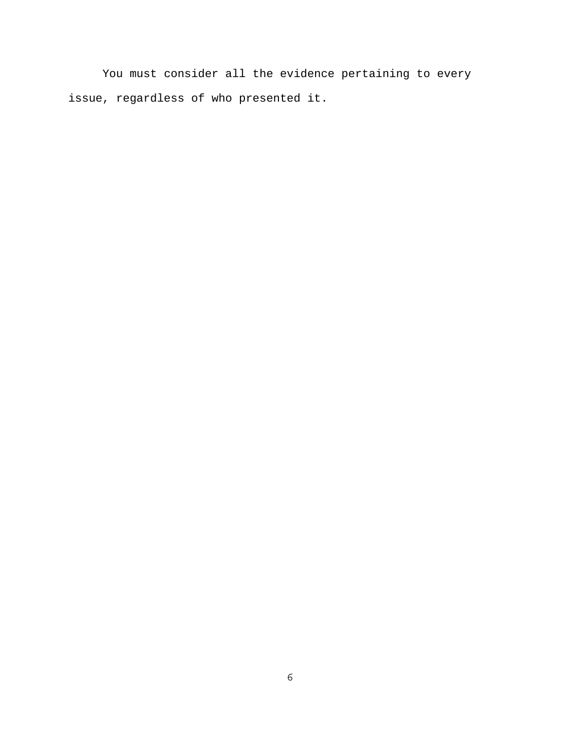You must consider all the evidence pertaining to every issue, regardless of who presented it.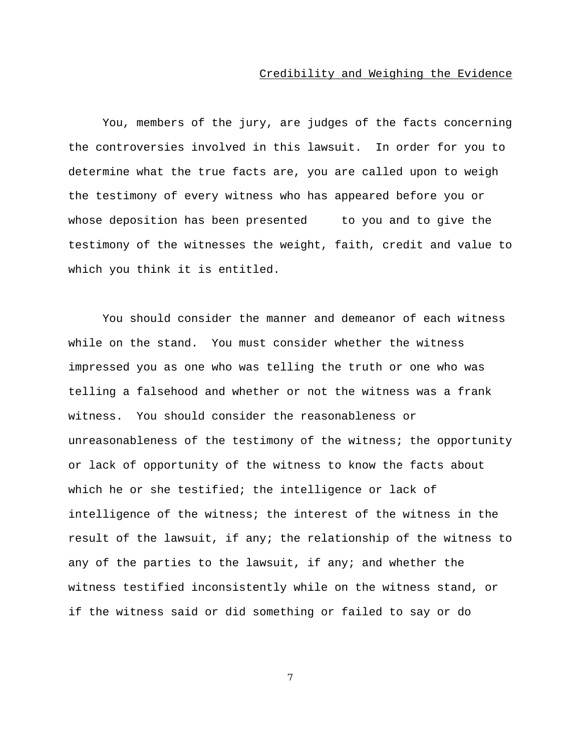## Credibility and Weighing the Evidence

You, members of the jury, are judges of the facts concerning the controversies involved in this lawsuit. In order for you to determine what the true facts are, you are called upon to weigh the testimony of every witness who has appeared before you or whose deposition has been presented to you and to give the testimony of the witnesses the weight, faith, credit and value to which you think it is entitled.

You should consider the manner and demeanor of each witness while on the stand. You must consider whether the witness impressed you as one who was telling the truth or one who was telling a falsehood and whether or not the witness was a frank witness. You should consider the reasonableness or unreasonableness of the testimony of the witness; the opportunity or lack of opportunity of the witness to know the facts about which he or she testified; the intelligence or lack of intelligence of the witness; the interest of the witness in the result of the lawsuit, if any; the relationship of the witness to any of the parties to the lawsuit, if any; and whether the witness testified inconsistently while on the witness stand, or if the witness said or did something or failed to say or do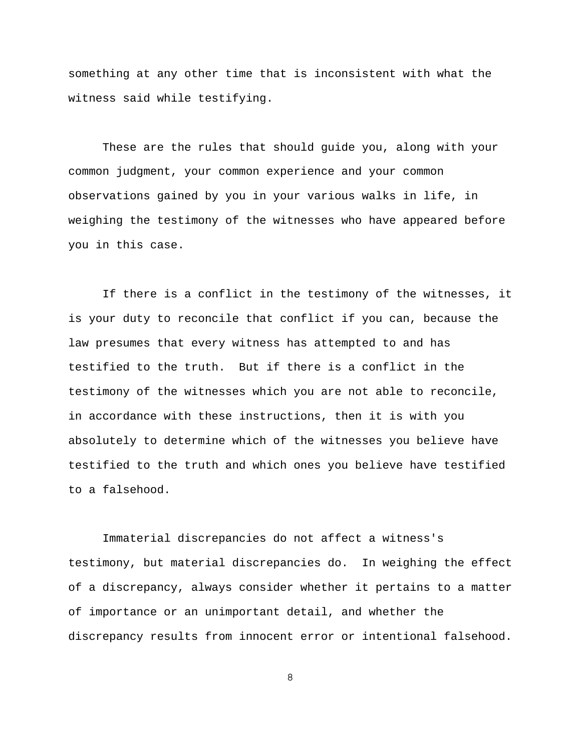something at any other time that is inconsistent with what the witness said while testifying.

These are the rules that should guide you, along with your common judgment, your common experience and your common observations gained by you in your various walks in life, in weighing the testimony of the witnesses who have appeared before you in this case.

If there is a conflict in the testimony of the witnesses, it is your duty to reconcile that conflict if you can, because the law presumes that every witness has attempted to and has testified to the truth. But if there is a conflict in the testimony of the witnesses which you are not able to reconcile, in accordance with these instructions, then it is with you absolutely to determine which of the witnesses you believe have testified to the truth and which ones you believe have testified to a falsehood.

Immaterial discrepancies do not affect a witness's testimony, but material discrepancies do. In weighing the effect of a discrepancy, always consider whether it pertains to a matter of importance or an unimportant detail, and whether the discrepancy results from innocent error or intentional falsehood.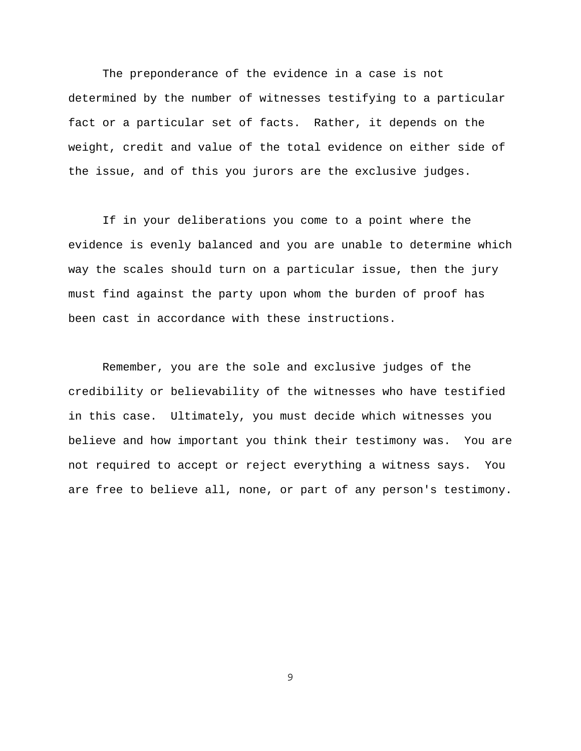The preponderance of the evidence in a case is not determined by the number of witnesses testifying to a particular fact or a particular set of facts. Rather, it depends on the weight, credit and value of the total evidence on either side of the issue, and of this you jurors are the exclusive judges.

If in your deliberations you come to a point where the evidence is evenly balanced and you are unable to determine which way the scales should turn on a particular issue, then the jury must find against the party upon whom the burden of proof has been cast in accordance with these instructions.

Remember, you are the sole and exclusive judges of the credibility or believability of the witnesses who have testified in this case. Ultimately, you must decide which witnesses you believe and how important you think their testimony was. You are not required to accept or reject everything a witness says. You are free to believe all, none, or part of any person's testimony.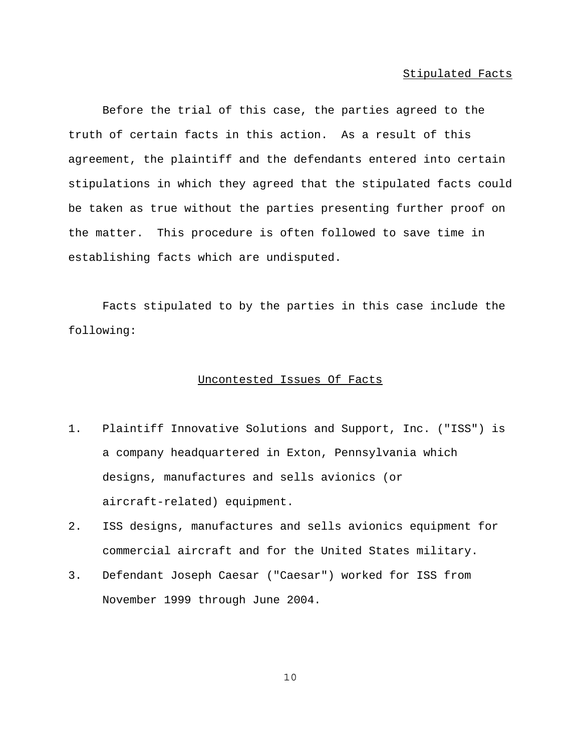Before the trial of this case, the parties agreed to the truth of certain facts in this action. As a result of this agreement, the plaintiff and the defendants entered into certain stipulations in which they agreed that the stipulated facts could be taken as true without the parties presenting further proof on the matter. This procedure is often followed to save time in establishing facts which are undisputed.

Facts stipulated to by the parties in this case include the following:

### Uncontested Issues Of Facts

- 1. Plaintiff Innovative Solutions and Support, Inc. ("ISS") is a company headquartered in Exton, Pennsylvania which designs, manufactures and sells avionics (or aircraft-related) equipment.
- 2. ISS designs, manufactures and sells avionics equipment for commercial aircraft and for the United States military.
- 3. Defendant Joseph Caesar ("Caesar") worked for ISS from November 1999 through June 2004.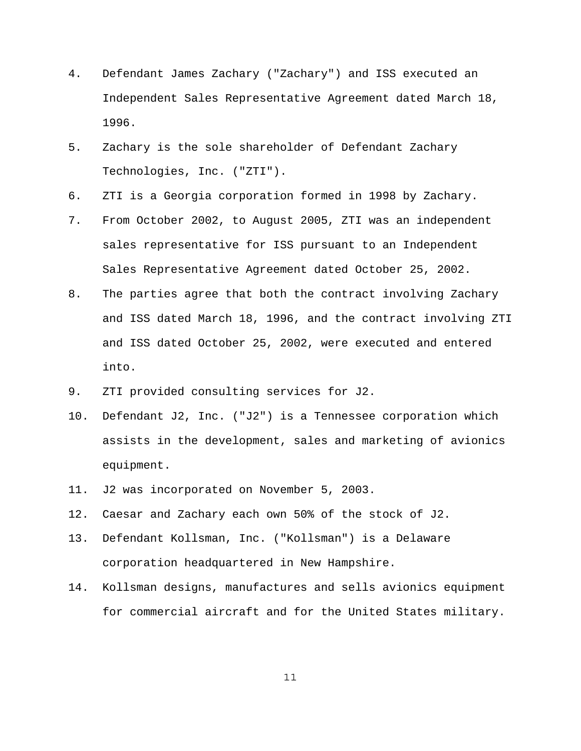- 4. Defendant James Zachary ("Zachary") and ISS executed an Independent Sales Representative Agreement dated March 18, 1996.
- 5. Zachary is the sole shareholder of Defendant Zachary Technologies, Inc. ("ZTI").
- 6. ZTI is a Georgia corporation formed in 1998 by Zachary.
- 7. From October 2002, to August 2005, ZTI was an independent sales representative for ISS pursuant to an Independent Sales Representative Agreement dated October 25, 2002.
- 8. The parties agree that both the contract involving Zachary and ISS dated March 18, 1996, and the contract involving ZTI and ISS dated October 25, 2002, were executed and entered into.
- 9. ZTI provided consulting services for J2.
- 10. Defendant J2, Inc. ("J2") is a Tennessee corporation which assists in the development, sales and marketing of avionics equipment.
- 11. J2 was incorporated on November 5, 2003.
- 12. Caesar and Zachary each own 50% of the stock of J2.
- 13. Defendant Kollsman, Inc. ("Kollsman") is a Delaware corporation headquartered in New Hampshire.
- 14. Kollsman designs, manufactures and sells avionics equipment for commercial aircraft and for the United States military.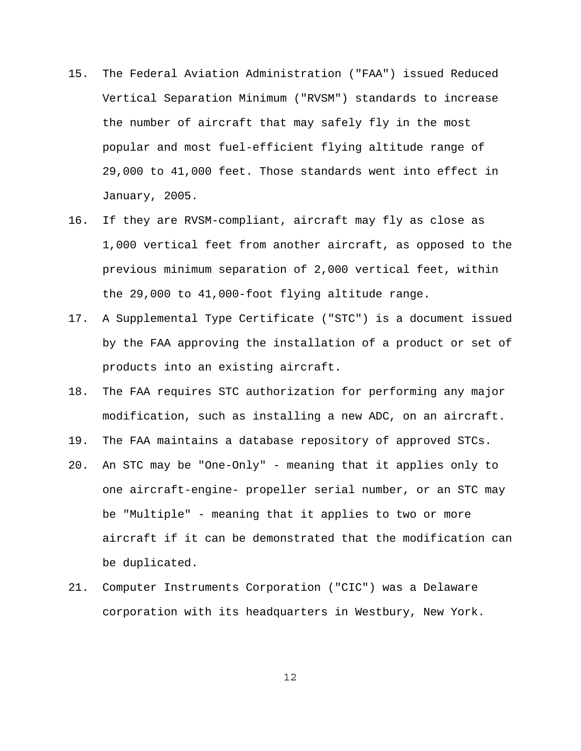- 15. The Federal Aviation Administration ("FAA") issued Reduced Vertical Separation Minimum ("RVSM") standards to increase the number of aircraft that may safely fly in the most popular and most fuel-efficient flying altitude range of 29,000 to 41,000 feet. Those standards went into effect in January, 2005.
- 16. If they are RVSM-compliant, aircraft may fly as close as 1,000 vertical feet from another aircraft, as opposed to the previous minimum separation of 2,000 vertical feet, within the 29,000 to 41,000-foot flying altitude range.
- 17. A Supplemental Type Certificate ("STC") is a document issued by the FAA approving the installation of a product or set of products into an existing aircraft.
- 18. The FAA requires STC authorization for performing any major modification, such as installing a new ADC, on an aircraft.
- 19. The FAA maintains a database repository of approved STCs.
- 20. An STC may be "One-Only" meaning that it applies only to one aircraft-engine- propeller serial number, or an STC may be "Multiple" - meaning that it applies to two or more aircraft if it can be demonstrated that the modification can be duplicated.
- 21. Computer Instruments Corporation ("CIC") was a Delaware corporation with its headquarters in Westbury, New York.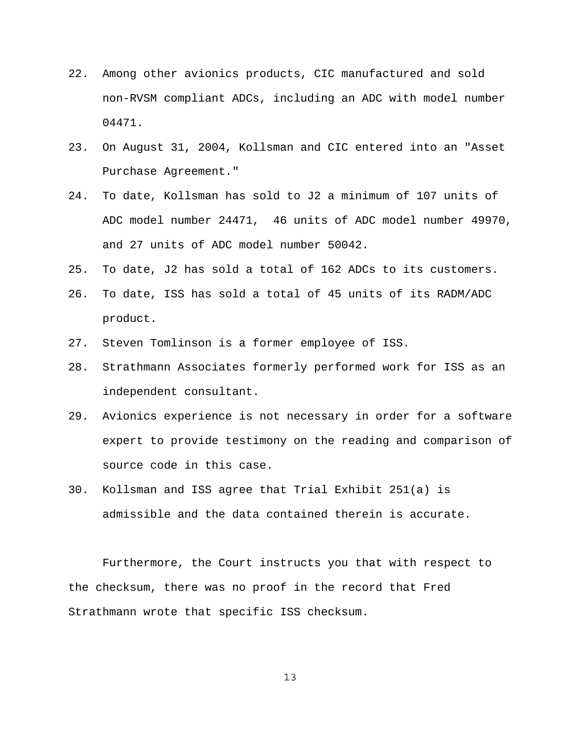- 22. Among other avionics products, CIC manufactured and sold non-RVSM compliant ADCs, including an ADC with model number 04471.
- 23. On August 31, 2004, Kollsman and CIC entered into an "Asset Purchase Agreement."
- 24. To date, Kollsman has sold to J2 a minimum of 107 units of ADC model number 24471, 46 units of ADC model number 49970, and 27 units of ADC model number 50042.
- 25. To date, J2 has sold a total of 162 ADCs to its customers.
- 26. To date, ISS has sold a total of 45 units of its RADM/ADC product.
- 27. Steven Tomlinson is a former employee of ISS.
- 28. Strathmann Associates formerly performed work for ISS as an independent consultant.
- 29. Avionics experience is not necessary in order for a software expert to provide testimony on the reading and comparison of source code in this case.
- 30. Kollsman and ISS agree that Trial Exhibit 251(a) is admissible and the data contained therein is accurate.

Furthermore, the Court instructs you that with respect to the checksum, there was no proof in the record that Fred Strathmann wrote that specific ISS checksum.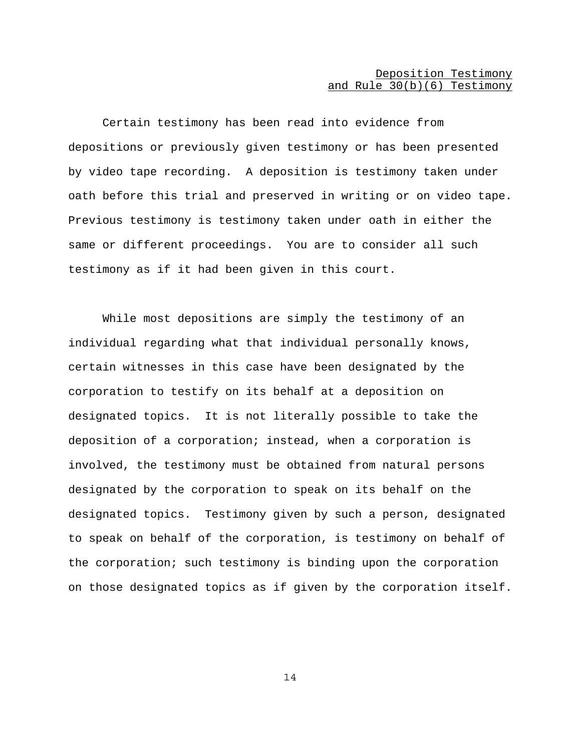# Deposition Testimony and Rule 30(b)(6) Testimony

Certain testimony has been read into evidence from depositions or previously given testimony or has been presented by video tape recording. A deposition is testimony taken under oath before this trial and preserved in writing or on video tape. Previous testimony is testimony taken under oath in either the same or different proceedings. You are to consider all such testimony as if it had been given in this court.

While most depositions are simply the testimony of an individual regarding what that individual personally knows, certain witnesses in this case have been designated by the corporation to testify on its behalf at a deposition on designated topics. It is not literally possible to take the deposition of a corporation; instead, when a corporation is involved, the testimony must be obtained from natural persons designated by the corporation to speak on its behalf on the designated topics. Testimony given by such a person, designated to speak on behalf of the corporation, is testimony on behalf of the corporation; such testimony is binding upon the corporation on those designated topics as if given by the corporation itself.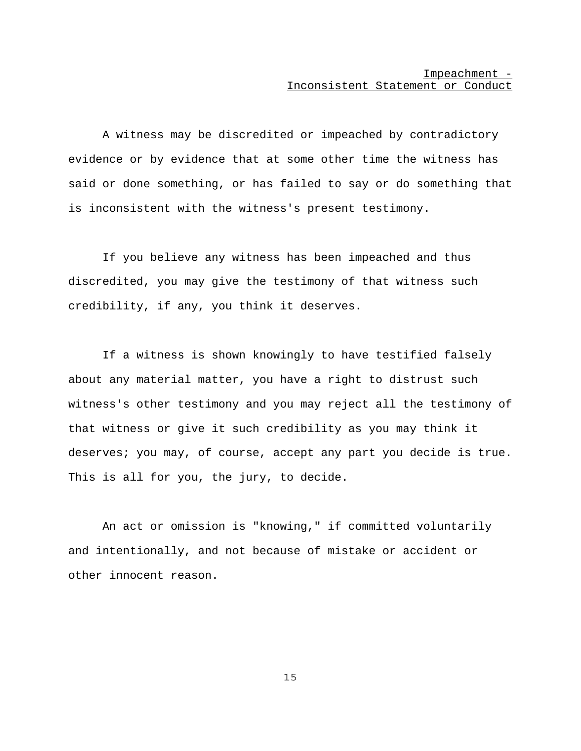## Impeachment - Inconsistent Statement or Conduct

A witness may be discredited or impeached by contradictory evidence or by evidence that at some other time the witness has said or done something, or has failed to say or do something that is inconsistent with the witness's present testimony.

If you believe any witness has been impeached and thus discredited, you may give the testimony of that witness such credibility, if any, you think it deserves.

If a witness is shown knowingly to have testified falsely about any material matter, you have a right to distrust such witness's other testimony and you may reject all the testimony of that witness or give it such credibility as you may think it deserves; you may, of course, accept any part you decide is true. This is all for you, the jury, to decide.

An act or omission is "knowing," if committed voluntarily and intentionally, and not because of mistake or accident or other innocent reason.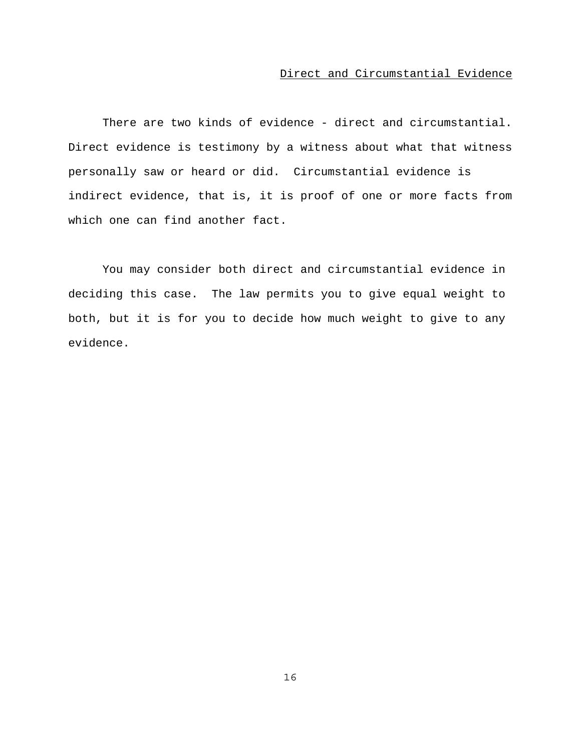# Direct and Circumstantial Evidence

There are two kinds of evidence - direct and circumstantial. Direct evidence is testimony by a witness about what that witness personally saw or heard or did. Circumstantial evidence is indirect evidence, that is, it is proof of one or more facts from which one can find another fact.

You may consider both direct and circumstantial evidence in deciding this case. The law permits you to give equal weight to both, but it is for you to decide how much weight to give to any evidence.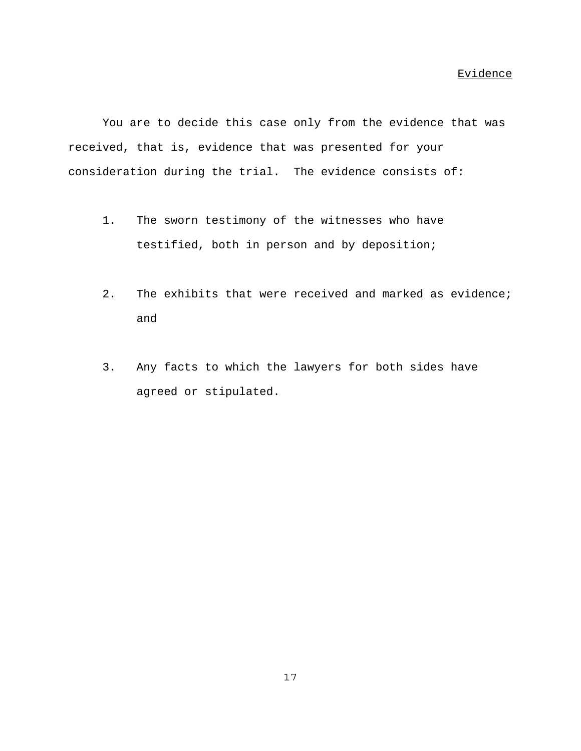You are to decide this case only from the evidence that was received, that is, evidence that was presented for your consideration during the trial. The evidence consists of:

- 1. The sworn testimony of the witnesses who have testified, both in person and by deposition;
- 2. The exhibits that were received and marked as evidence; and
- 3. Any facts to which the lawyers for both sides have agreed or stipulated.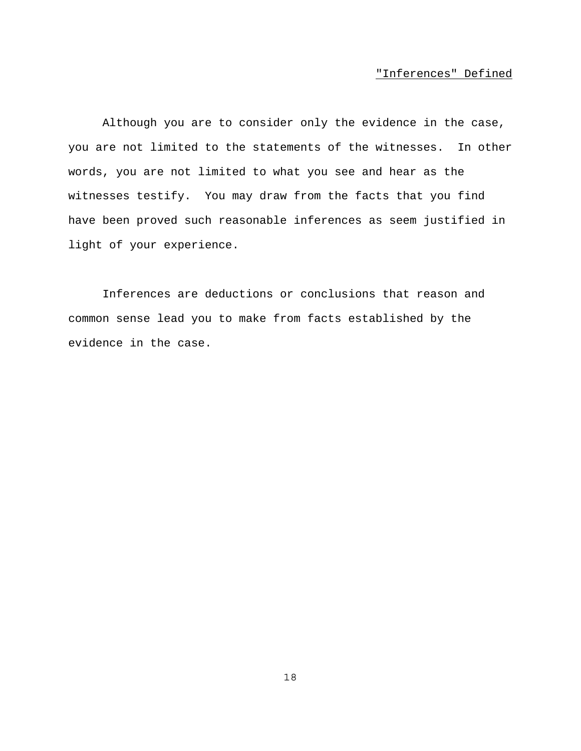# "Inferences" Defined

Although you are to consider only the evidence in the case, you are not limited to the statements of the witnesses. In other words, you are not limited to what you see and hear as the witnesses testify. You may draw from the facts that you find have been proved such reasonable inferences as seem justified in light of your experience.

Inferences are deductions or conclusions that reason and common sense lead you to make from facts established by the evidence in the case.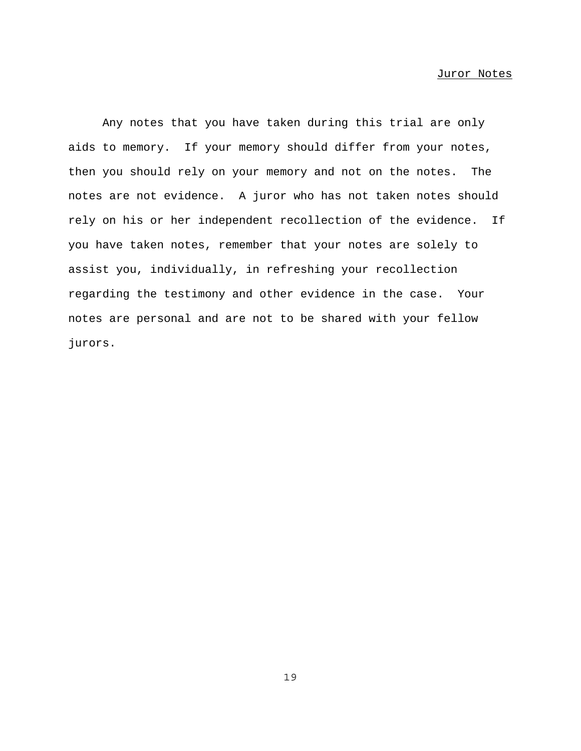Any notes that you have taken during this trial are only aids to memory. If your memory should differ from your notes, then you should rely on your memory and not on the notes. The notes are not evidence. A juror who has not taken notes should rely on his or her independent recollection of the evidence. If you have taken notes, remember that your notes are solely to assist you, individually, in refreshing your recollection regarding the testimony and other evidence in the case. Your notes are personal and are not to be shared with your fellow jurors.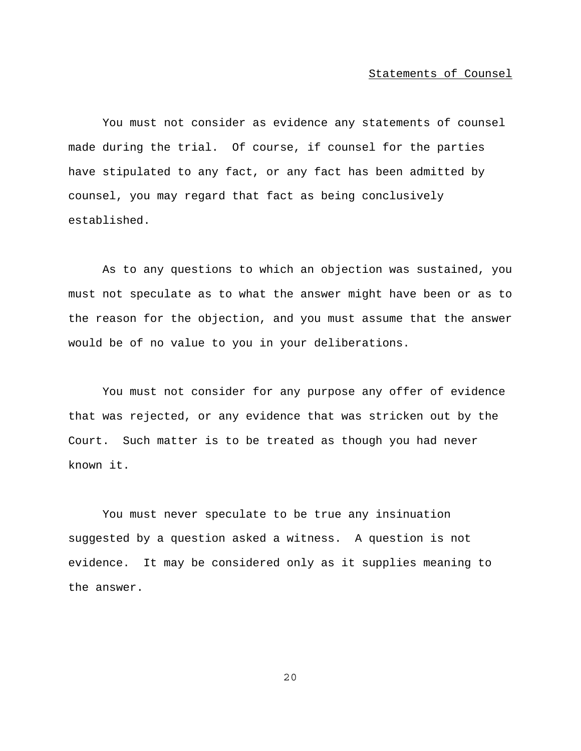### Statements of Counsel

You must not consider as evidence any statements of counsel made during the trial. Of course, if counsel for the parties have stipulated to any fact, or any fact has been admitted by counsel, you may regard that fact as being conclusively established.

As to any questions to which an objection was sustained, you must not speculate as to what the answer might have been or as to the reason for the objection, and you must assume that the answer would be of no value to you in your deliberations.

You must not consider for any purpose any offer of evidence that was rejected, or any evidence that was stricken out by the Court. Such matter is to be treated as though you had never known it.

You must never speculate to be true any insinuation suggested by a question asked a witness. A question is not evidence. It may be considered only as it supplies meaning to the answer.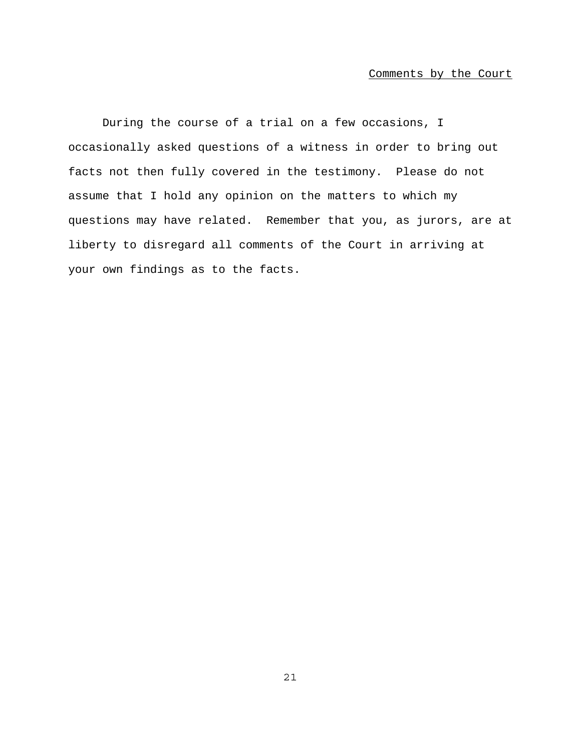### Comments by the Court

During the course of a trial on a few occasions, I occasionally asked questions of a witness in order to bring out facts not then fully covered in the testimony. Please do not assume that I hold any opinion on the matters to which my questions may have related. Remember that you, as jurors, are at liberty to disregard all comments of the Court in arriving at your own findings as to the facts.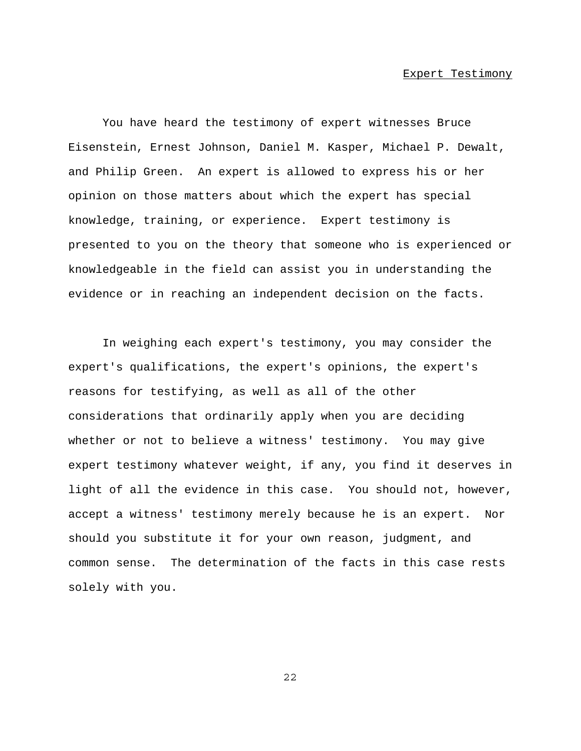### Expert Testimony

You have heard the testimony of expert witnesses Bruce Eisenstein, Ernest Johnson, Daniel M. Kasper, Michael P. Dewalt, and Philip Green. An expert is allowed to express his or her opinion on those matters about which the expert has special knowledge, training, or experience. Expert testimony is presented to you on the theory that someone who is experienced or knowledgeable in the field can assist you in understanding the evidence or in reaching an independent decision on the facts.

In weighing each expert's testimony, you may consider the expert's qualifications, the expert's opinions, the expert's reasons for testifying, as well as all of the other considerations that ordinarily apply when you are deciding whether or not to believe a witness' testimony. You may give expert testimony whatever weight, if any, you find it deserves in light of all the evidence in this case. You should not, however, accept a witness' testimony merely because he is an expert. Nor should you substitute it for your own reason, judgment, and common sense. The determination of the facts in this case rests solely with you.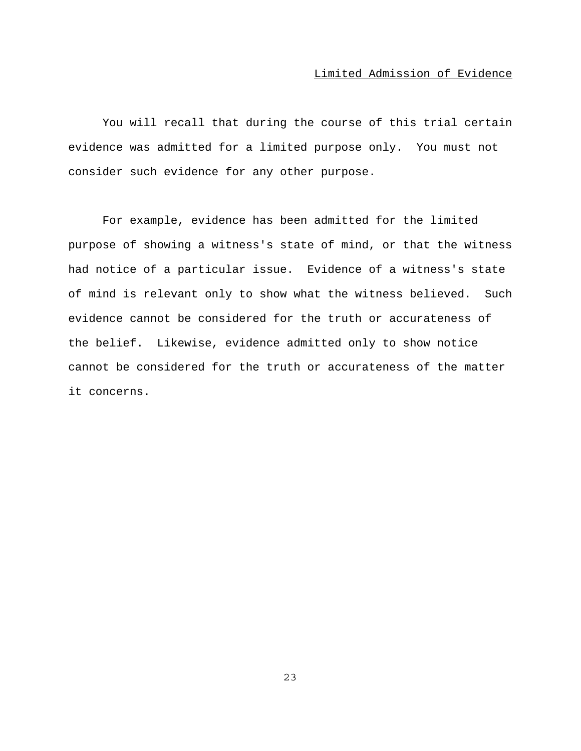# Limited Admission of Evidence

You will recall that during the course of this trial certain evidence was admitted for a limited purpose only. You must not consider such evidence for any other purpose.

For example, evidence has been admitted for the limited purpose of showing a witness's state of mind, or that the witness had notice of a particular issue. Evidence of a witness's state of mind is relevant only to show what the witness believed. Such evidence cannot be considered for the truth or accurateness of the belief. Likewise, evidence admitted only to show notice cannot be considered for the truth or accurateness of the matter it concerns.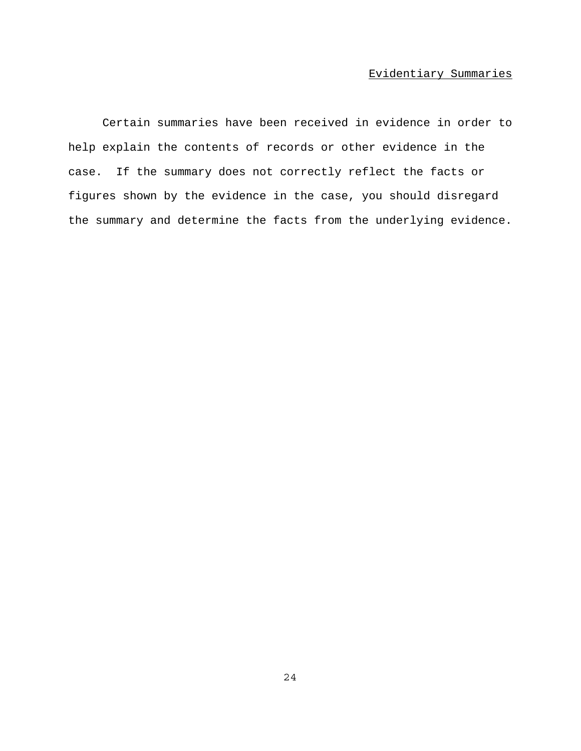# Evidentiary Summaries

Certain summaries have been received in evidence in order to help explain the contents of records or other evidence in the case. If the summary does not correctly reflect the facts or figures shown by the evidence in the case, you should disregard the summary and determine the facts from the underlying evidence.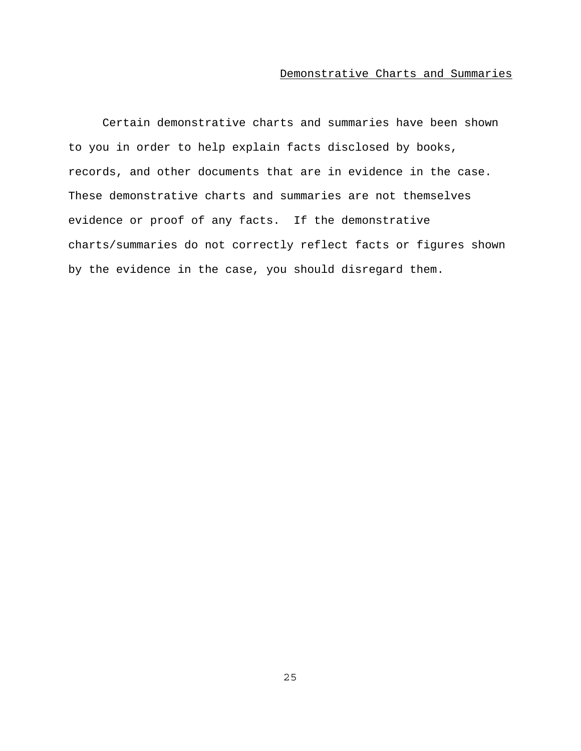# Demonstrative Charts and Summaries

Certain demonstrative charts and summaries have been shown to you in order to help explain facts disclosed by books, records, and other documents that are in evidence in the case. These demonstrative charts and summaries are not themselves evidence or proof of any facts. If the demonstrative charts/summaries do not correctly reflect facts or figures shown by the evidence in the case, you should disregard them.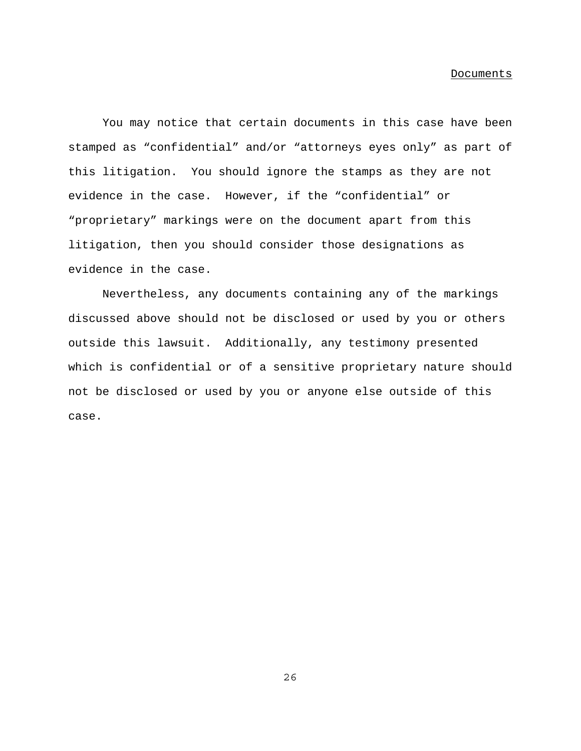#### Documents

You may notice that certain documents in this case have been stamped as "confidential" and/or "attorneys eyes only" as part of this litigation. You should ignore the stamps as they are not evidence in the case. However, if the "confidential" or "proprietary" markings were on the document apart from this litigation, then you should consider those designations as evidence in the case.

Nevertheless, any documents containing any of the markings discussed above should not be disclosed or used by you or others outside this lawsuit. Additionally, any testimony presented which is confidential or of a sensitive proprietary nature should not be disclosed or used by you or anyone else outside of this case.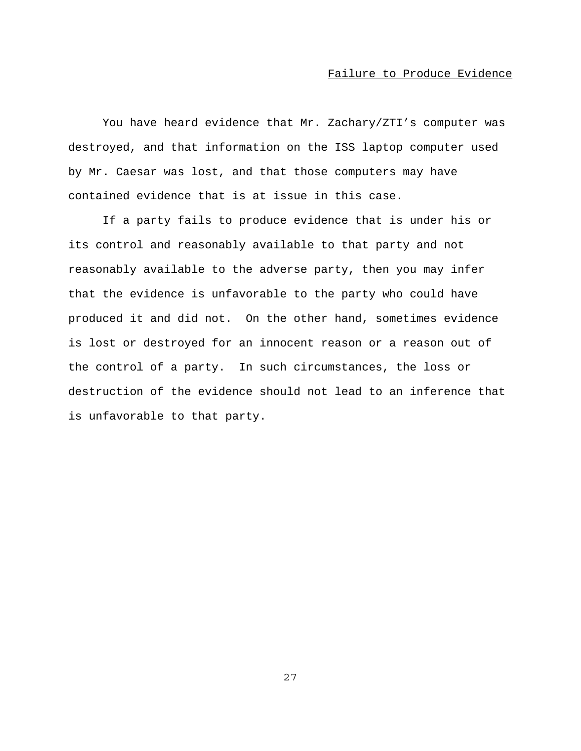## Failure to Produce Evidence

You have heard evidence that Mr. Zachary/ZTI's computer was destroyed, and that information on the ISS laptop computer used by Mr. Caesar was lost, and that those computers may have contained evidence that is at issue in this case.

If a party fails to produce evidence that is under his or its control and reasonably available to that party and not reasonably available to the adverse party, then you may infer that the evidence is unfavorable to the party who could have produced it and did not. On the other hand, sometimes evidence is lost or destroyed for an innocent reason or a reason out of the control of a party. In such circumstances, the loss or destruction of the evidence should not lead to an inference that is unfavorable to that party.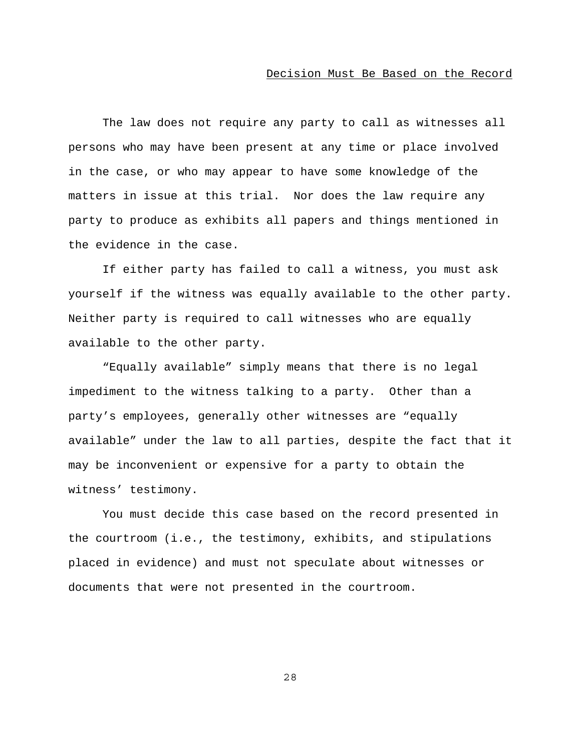### Decision Must Be Based on the Record

The law does not require any party to call as witnesses all persons who may have been present at any time or place involved in the case, or who may appear to have some knowledge of the matters in issue at this trial. Nor does the law require any party to produce as exhibits all papers and things mentioned in the evidence in the case.

If either party has failed to call a witness, you must ask yourself if the witness was equally available to the other party. Neither party is required to call witnesses who are equally available to the other party.

"Equally available" simply means that there is no legal impediment to the witness talking to a party. Other than a party's employees, generally other witnesses are "equally available" under the law to all parties, despite the fact that it may be inconvenient or expensive for a party to obtain the witness' testimony.

You must decide this case based on the record presented in the courtroom (i.e., the testimony, exhibits, and stipulations placed in evidence) and must not speculate about witnesses or documents that were not presented in the courtroom.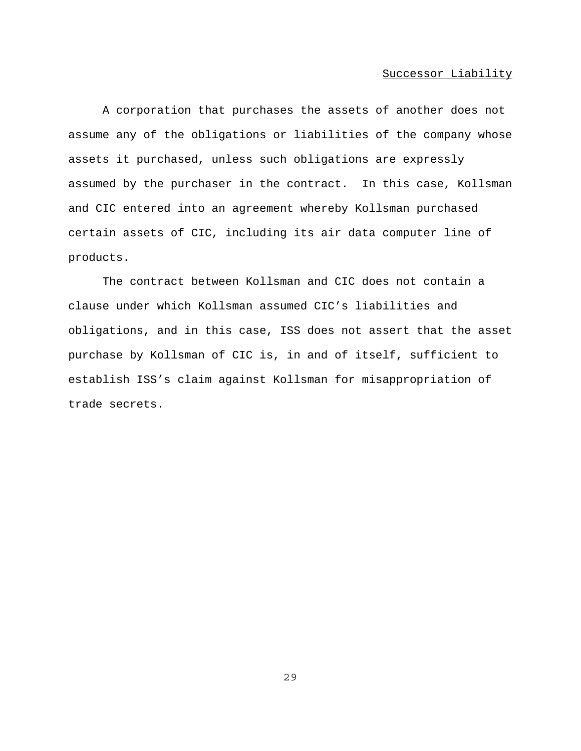### Successor Liability

A corporation that purchases the assets of another does not assume any of the obligations or liabilities of the company whose assets it purchased, unless such obligations are expressly assumed by the purchaser in the contract. In this case, Kollsman and CIC entered into an agreement whereby Kollsman purchased certain assets of CIC, including its air data computer line of products.

The contract between Kollsman and CIC does not contain a clause under which Kollsman assumed CIC's liabilities and obligations, and in this case, ISS does not assert that the asset purchase by Kollsman of CIC is, in and of itself, sufficient to establish ISS's claim against Kollsman for misappropriation of trade secrets.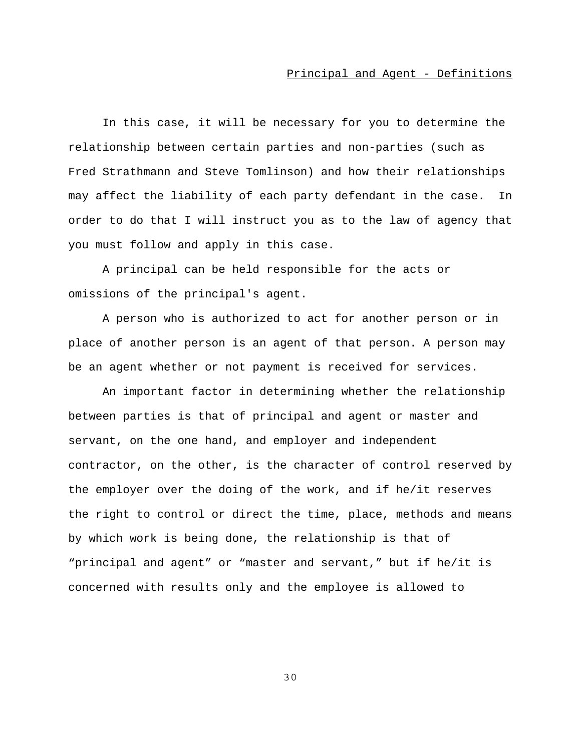### Principal and Agent - Definitions

In this case, it will be necessary for you to determine the relationship between certain parties and non-parties (such as Fred Strathmann and Steve Tomlinson) and how their relationships may affect the liability of each party defendant in the case. In order to do that I will instruct you as to the law of agency that you must follow and apply in this case.

A principal can be held responsible for the acts or omissions of the principal's agent.

A person who is authorized to act for another person or in place of another person is an agent of that person. A person may be an agent whether or not payment is received for services.

An important factor in determining whether the relationship between parties is that of principal and agent or master and servant, on the one hand, and employer and independent contractor, on the other, is the character of control reserved by the employer over the doing of the work, and if he/it reserves the right to control or direct the time, place, methods and means by which work is being done, the relationship is that of "principal and agent" or "master and servant," but if he/it is concerned with results only and the employee is allowed to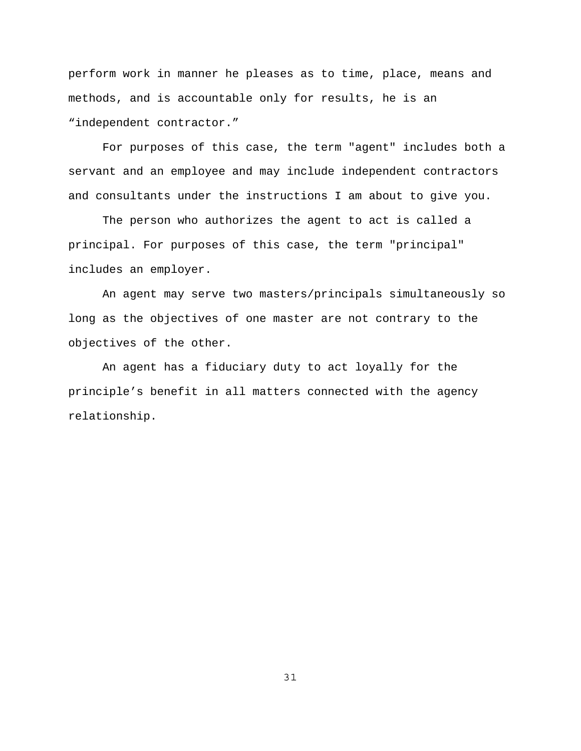perform work in manner he pleases as to time, place, means and methods, and is accountable only for results, he is an "independent contractor."

For purposes of this case, the term "agent" includes both a servant and an employee and may include independent contractors and consultants under the instructions I am about to give you.

The person who authorizes the agent to act is called a principal. For purposes of this case, the term "principal" includes an employer.

An agent may serve two masters/principals simultaneously so long as the objectives of one master are not contrary to the objectives of the other.

An agent has a fiduciary duty to act loyally for the principle's benefit in all matters connected with the agency relationship.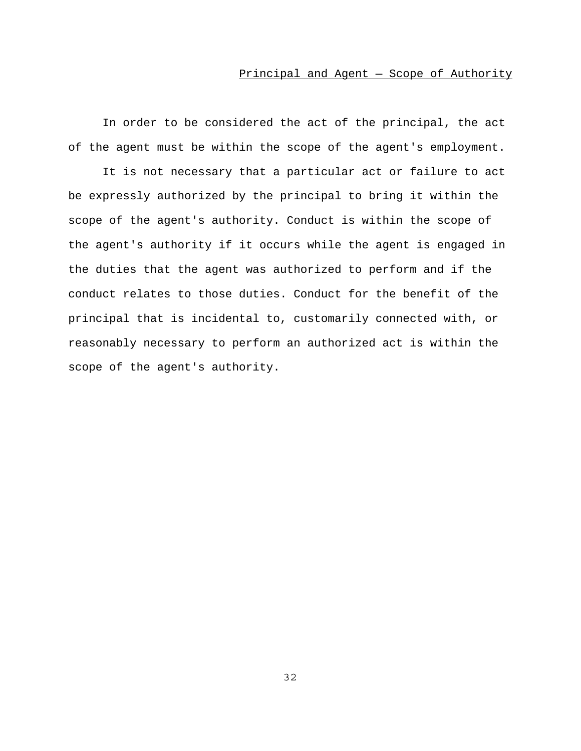In order to be considered the act of the principal, the act of the agent must be within the scope of the agent's employment.

It is not necessary that a particular act or failure to act be expressly authorized by the principal to bring it within the scope of the agent's authority. Conduct is within the scope of the agent's authority if it occurs while the agent is engaged in the duties that the agent was authorized to perform and if the conduct relates to those duties. Conduct for the benefit of the principal that is incidental to, customarily connected with, or reasonably necessary to perform an authorized act is within the scope of the agent's authority.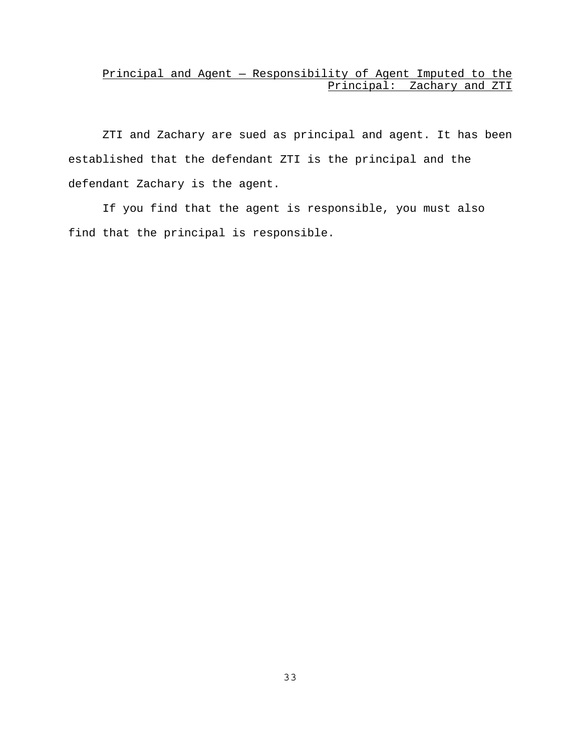## Principal and Agent — Responsibility of Agent Imputed to the Principal: Zachary and ZTI

ZTI and Zachary are sued as principal and agent. It has been established that the defendant ZTI is the principal and the defendant Zachary is the agent.

If you find that the agent is responsible, you must also find that the principal is responsible.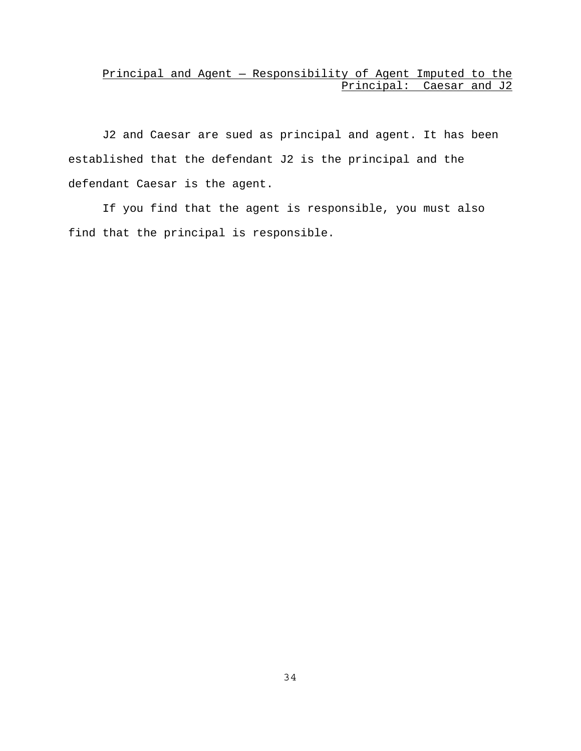## Principal and Agent — Responsibility of Agent Imputed to the Principal: Caesar and J2

J2 and Caesar are sued as principal and agent. It has been established that the defendant J2 is the principal and the defendant Caesar is the agent.

If you find that the agent is responsible, you must also find that the principal is responsible.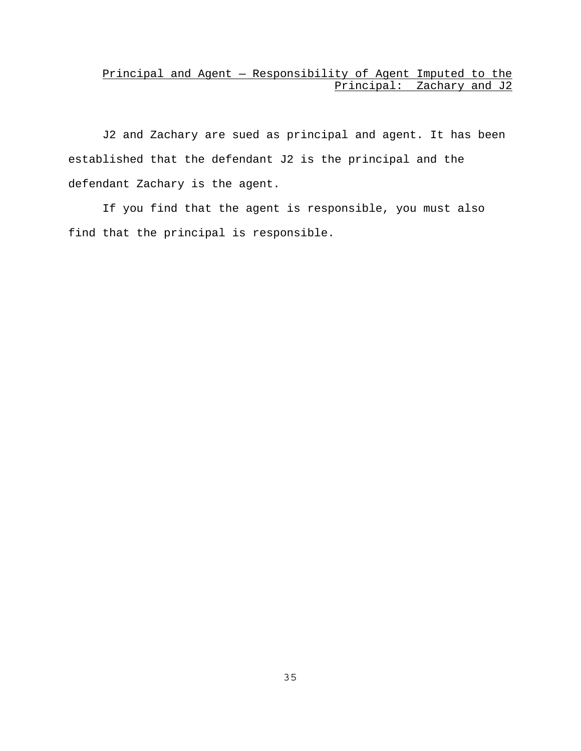## Principal and Agent — Responsibility of Agent Imputed to the Principal: Zachary and J2

J2 and Zachary are sued as principal and agent. It has been established that the defendant J2 is the principal and the defendant Zachary is the agent.

If you find that the agent is responsible, you must also find that the principal is responsible.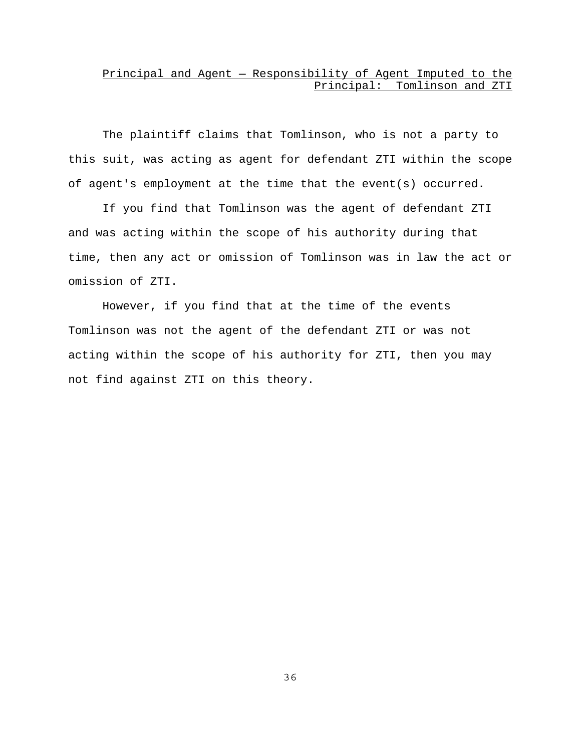## Principal and Agent — Responsibility of Agent Imputed to the Principal: Tomlinson and ZTI

The plaintiff claims that Tomlinson, who is not a party to this suit, was acting as agent for defendant ZTI within the scope of agent's employment at the time that the event(s) occurred.

If you find that Tomlinson was the agent of defendant ZTI and was acting within the scope of his authority during that time, then any act or omission of Tomlinson was in law the act or omission of ZTI.

However, if you find that at the time of the events Tomlinson was not the agent of the defendant ZTI or was not acting within the scope of his authority for ZTI, then you may not find against ZTI on this theory.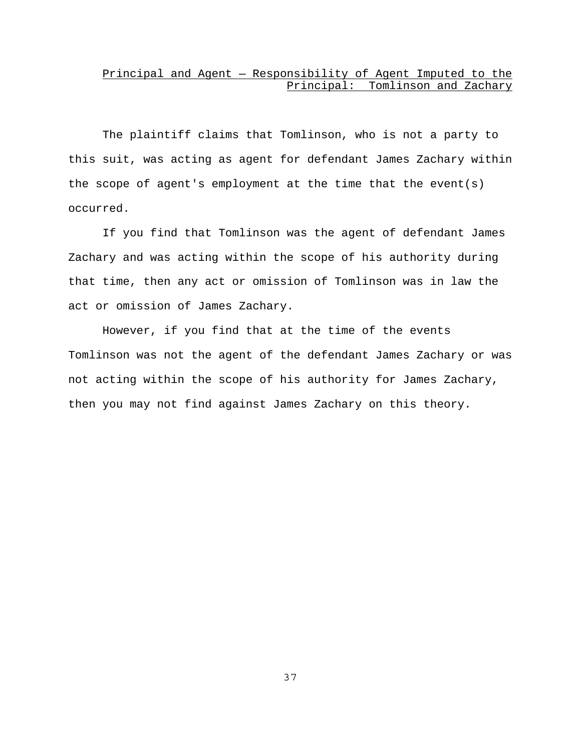### Principal and Agent — Responsibility of Agent Imputed to the Principal: Tomlinson and Zachary

The plaintiff claims that Tomlinson, who is not a party to this suit, was acting as agent for defendant James Zachary within the scope of agent's employment at the time that the event(s) occurred.

If you find that Tomlinson was the agent of defendant James Zachary and was acting within the scope of his authority during that time, then any act or omission of Tomlinson was in law the act or omission of James Zachary.

However, if you find that at the time of the events Tomlinson was not the agent of the defendant James Zachary or was not acting within the scope of his authority for James Zachary, then you may not find against James Zachary on this theory.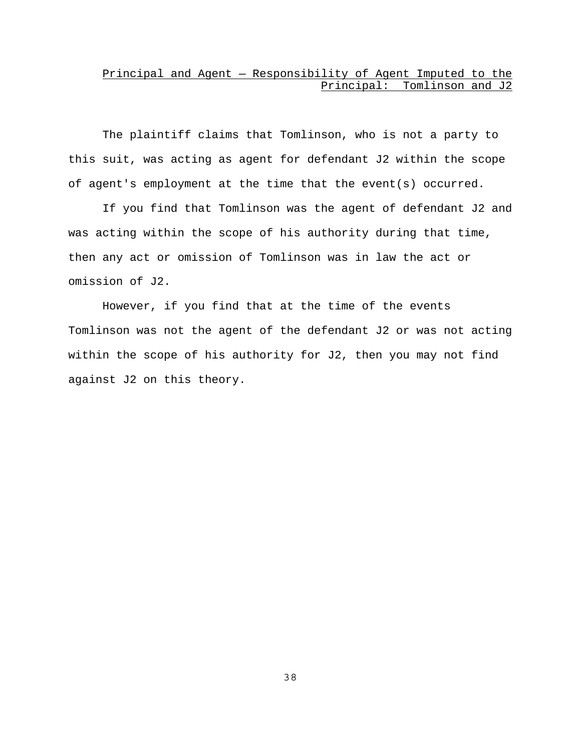## Principal and Agent — Responsibility of Agent Imputed to the Principal: Tomlinson and J2

The plaintiff claims that Tomlinson, who is not a party to this suit, was acting as agent for defendant J2 within the scope of agent's employment at the time that the event(s) occurred.

If you find that Tomlinson was the agent of defendant J2 and was acting within the scope of his authority during that time, then any act or omission of Tomlinson was in law the act or omission of J2.

However, if you find that at the time of the events Tomlinson was not the agent of the defendant J2 or was not acting within the scope of his authority for J2, then you may not find against J2 on this theory.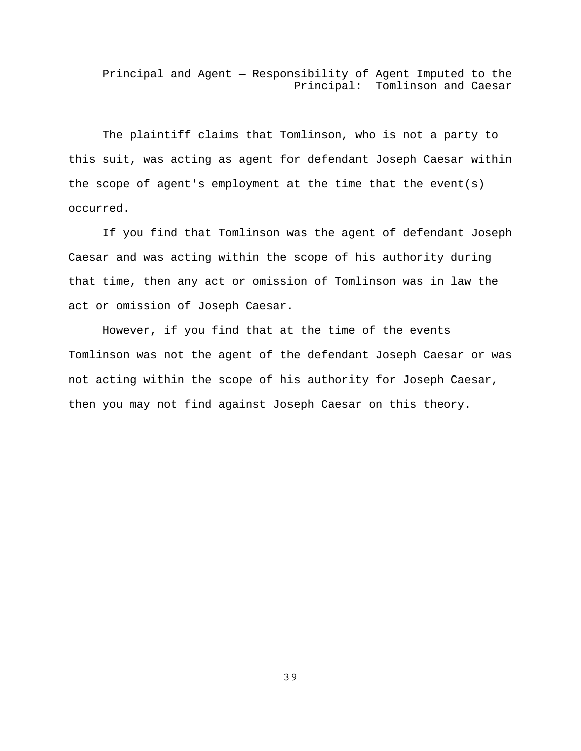## Principal and Agent — Responsibility of Agent Imputed to the Principal: Tomlinson and Caesar

The plaintiff claims that Tomlinson, who is not a party to this suit, was acting as agent for defendant Joseph Caesar within the scope of agent's employment at the time that the event(s) occurred.

If you find that Tomlinson was the agent of defendant Joseph Caesar and was acting within the scope of his authority during that time, then any act or omission of Tomlinson was in law the act or omission of Joseph Caesar.

However, if you find that at the time of the events Tomlinson was not the agent of the defendant Joseph Caesar or was not acting within the scope of his authority for Joseph Caesar, then you may not find against Joseph Caesar on this theory.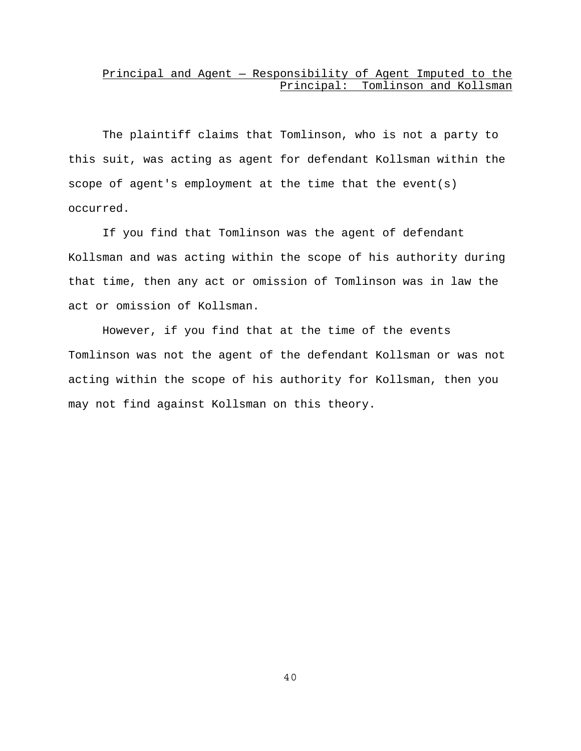### Principal and Agent — Responsibility of Agent Imputed to the Principal: Tomlinson and Kollsman

The plaintiff claims that Tomlinson, who is not a party to this suit, was acting as agent for defendant Kollsman within the scope of agent's employment at the time that the event(s) occurred.

If you find that Tomlinson was the agent of defendant Kollsman and was acting within the scope of his authority during that time, then any act or omission of Tomlinson was in law the act or omission of Kollsman.

However, if you find that at the time of the events Tomlinson was not the agent of the defendant Kollsman or was not acting within the scope of his authority for Kollsman, then you may not find against Kollsman on this theory.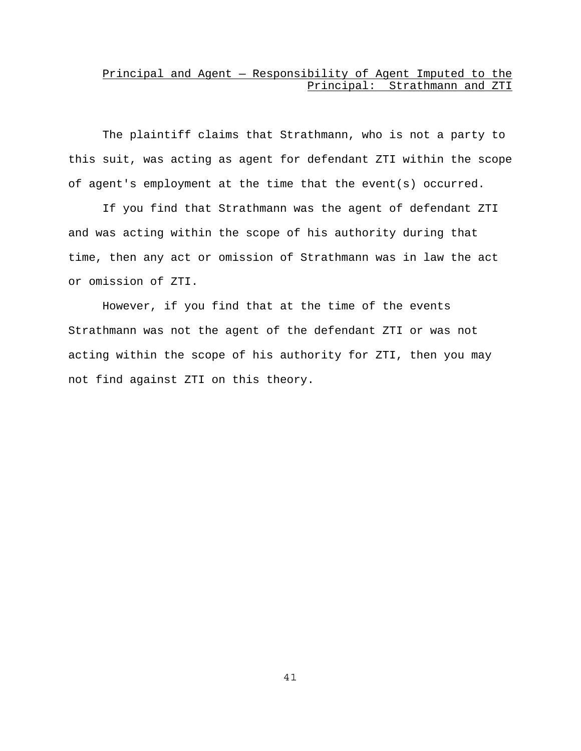## Principal and Agent — Responsibility of Agent Imputed to the Principal: Strathmann and ZTI

The plaintiff claims that Strathmann, who is not a party to this suit, was acting as agent for defendant ZTI within the scope of agent's employment at the time that the event(s) occurred.

If you find that Strathmann was the agent of defendant ZTI and was acting within the scope of his authority during that time, then any act or omission of Strathmann was in law the act or omission of ZTI.

However, if you find that at the time of the events Strathmann was not the agent of the defendant ZTI or was not acting within the scope of his authority for ZTI, then you may not find against ZTI on this theory.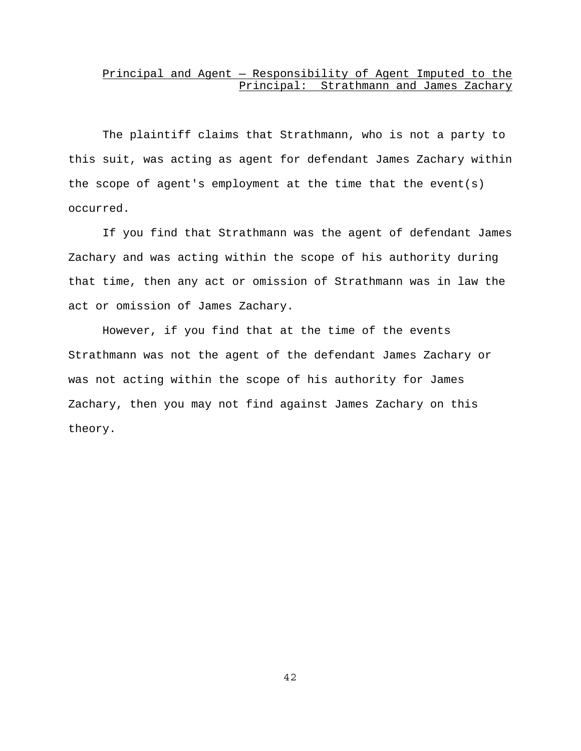### Principal and Agent — Responsibility of Agent Imputed to the Principal: Strathmann and James Zachary

The plaintiff claims that Strathmann, who is not a party to this suit, was acting as agent for defendant James Zachary within the scope of agent's employment at the time that the event(s) occurred.

If you find that Strathmann was the agent of defendant James Zachary and was acting within the scope of his authority during that time, then any act or omission of Strathmann was in law the act or omission of James Zachary.

However, if you find that at the time of the events Strathmann was not the agent of the defendant James Zachary or was not acting within the scope of his authority for James Zachary, then you may not find against James Zachary on this theory.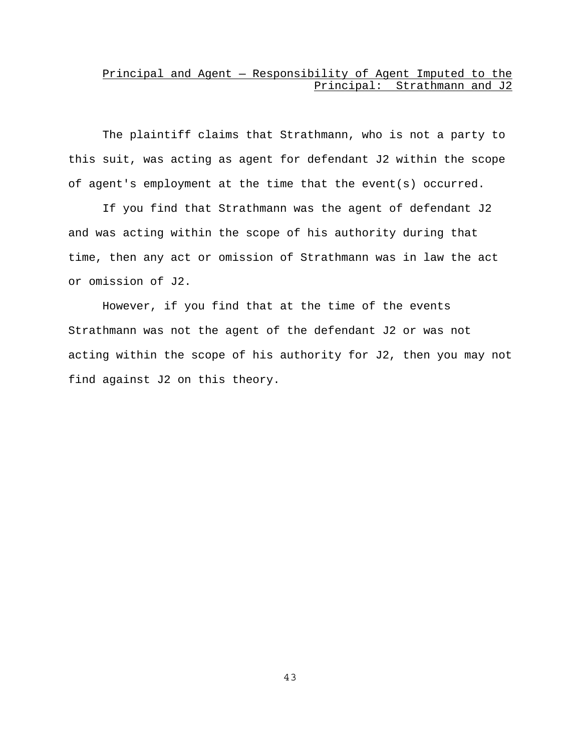## Principal and Agent — Responsibility of Agent Imputed to the Principal: Strathmann and J2

The plaintiff claims that Strathmann, who is not a party to this suit, was acting as agent for defendant J2 within the scope of agent's employment at the time that the event(s) occurred.

If you find that Strathmann was the agent of defendant J2 and was acting within the scope of his authority during that time, then any act or omission of Strathmann was in law the act or omission of J2.

However, if you find that at the time of the events Strathmann was not the agent of the defendant J2 or was not acting within the scope of his authority for J2, then you may not find against J2 on this theory.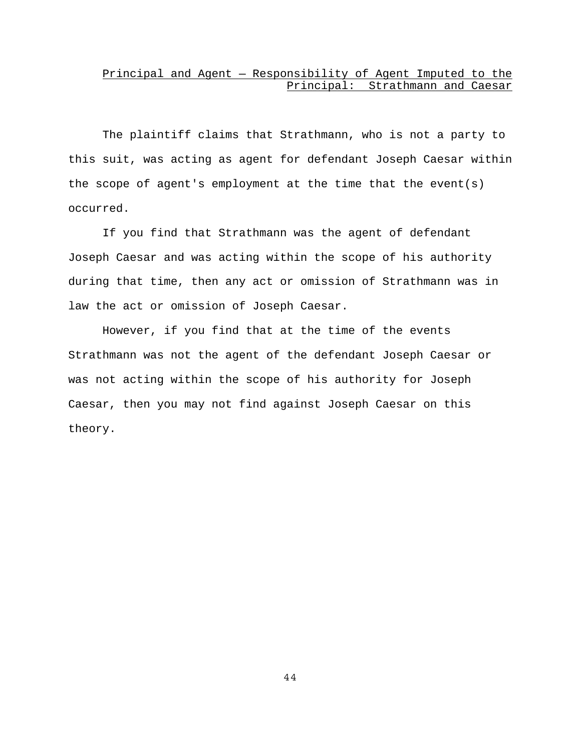### Principal and Agent — Responsibility of Agent Imputed to the Principal: Strathmann and Caesar

The plaintiff claims that Strathmann, who is not a party to this suit, was acting as agent for defendant Joseph Caesar within the scope of agent's employment at the time that the event(s) occurred.

If you find that Strathmann was the agent of defendant Joseph Caesar and was acting within the scope of his authority during that time, then any act or omission of Strathmann was in law the act or omission of Joseph Caesar.

However, if you find that at the time of the events Strathmann was not the agent of the defendant Joseph Caesar or was not acting within the scope of his authority for Joseph Caesar, then you may not find against Joseph Caesar on this theory.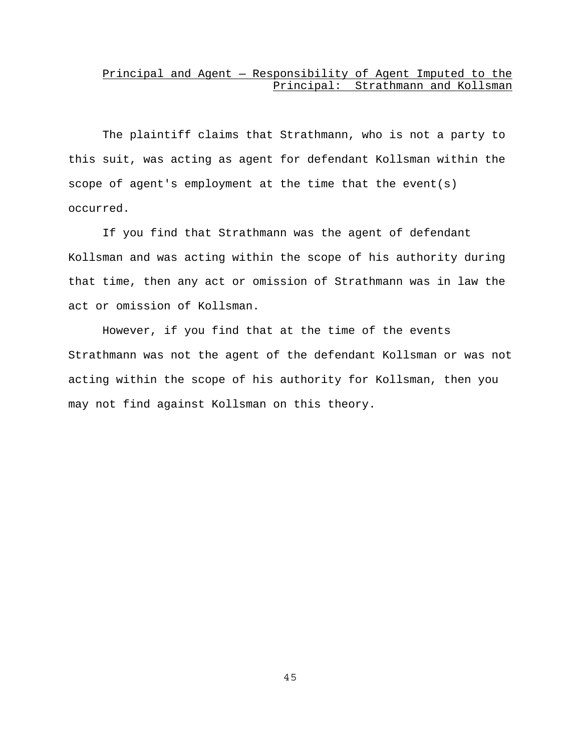### Principal and Agent — Responsibility of Agent Imputed to the Principal: Strathmann and Kollsman

The plaintiff claims that Strathmann, who is not a party to this suit, was acting as agent for defendant Kollsman within the scope of agent's employment at the time that the event(s) occurred.

If you find that Strathmann was the agent of defendant Kollsman and was acting within the scope of his authority during that time, then any act or omission of Strathmann was in law the act or omission of Kollsman.

However, if you find that at the time of the events Strathmann was not the agent of the defendant Kollsman or was not acting within the scope of his authority for Kollsman, then you may not find against Kollsman on this theory.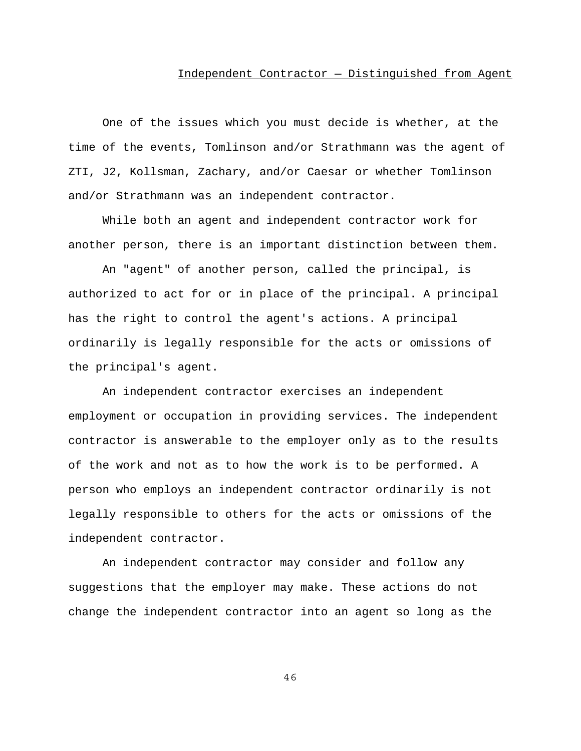#### Independent Contractor — Distinguished from Agent

One of the issues which you must decide is whether, at the time of the events, Tomlinson and/or Strathmann was the agent of ZTI, J2, Kollsman, Zachary, and/or Caesar or whether Tomlinson and/or Strathmann was an independent contractor.

While both an agent and independent contractor work for another person, there is an important distinction between them.

An "agent" of another person, called the principal, is authorized to act for or in place of the principal. A principal has the right to control the agent's actions. A principal ordinarily is legally responsible for the acts or omissions of the principal's agent.

An independent contractor exercises an independent employment or occupation in providing services. The independent contractor is answerable to the employer only as to the results of the work and not as to how the work is to be performed. A person who employs an independent contractor ordinarily is not legally responsible to others for the acts or omissions of the independent contractor.

An independent contractor may consider and follow any suggestions that the employer may make. These actions do not change the independent contractor into an agent so long as the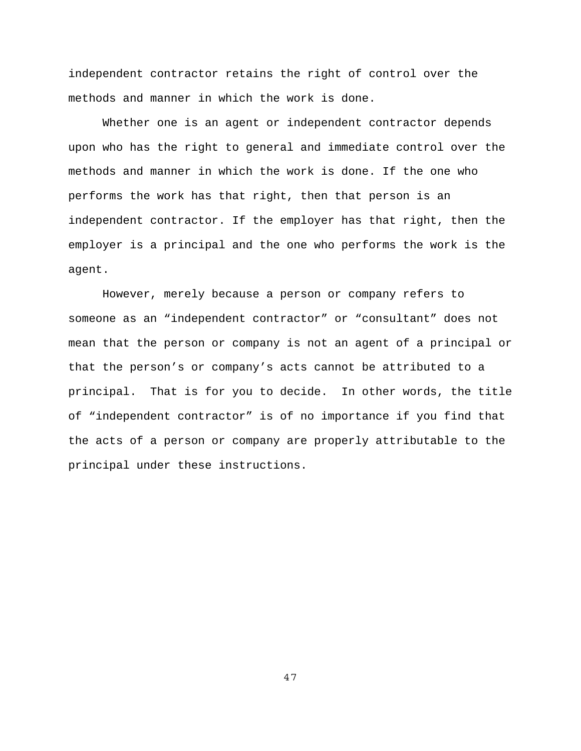independent contractor retains the right of control over the methods and manner in which the work is done.

Whether one is an agent or independent contractor depends upon who has the right to general and immediate control over the methods and manner in which the work is done. If the one who performs the work has that right, then that person is an independent contractor. If the employer has that right, then the employer is a principal and the one who performs the work is the agent.

However, merely because a person or company refers to someone as an "independent contractor" or "consultant" does not mean that the person or company is not an agent of a principal or that the person's or company's acts cannot be attributed to a principal. That is for you to decide. In other words, the title of "independent contractor" is of no importance if you find that the acts of a person or company are properly attributable to the principal under these instructions.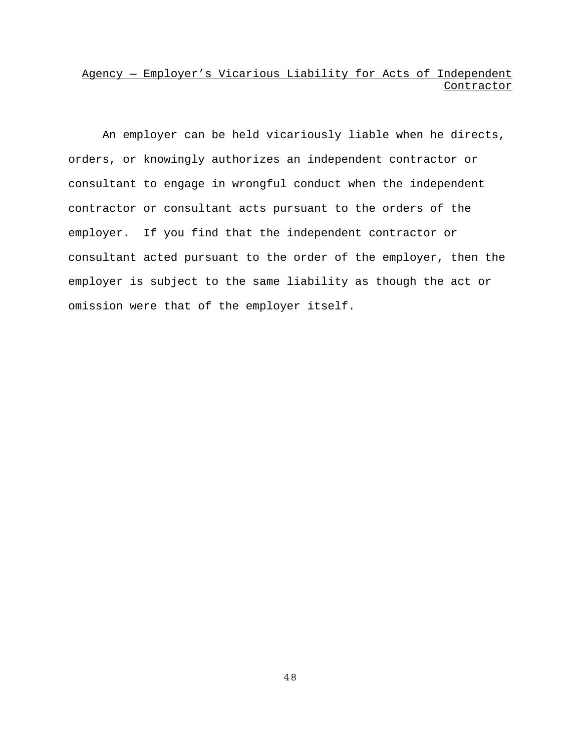# Agency — Employer's Vicarious Liability for Acts of Independent Contractor

An employer can be held vicariously liable when he directs, orders, or knowingly authorizes an independent contractor or consultant to engage in wrongful conduct when the independent contractor or consultant acts pursuant to the orders of the employer. If you find that the independent contractor or consultant acted pursuant to the order of the employer, then the employer is subject to the same liability as though the act or omission were that of the employer itself.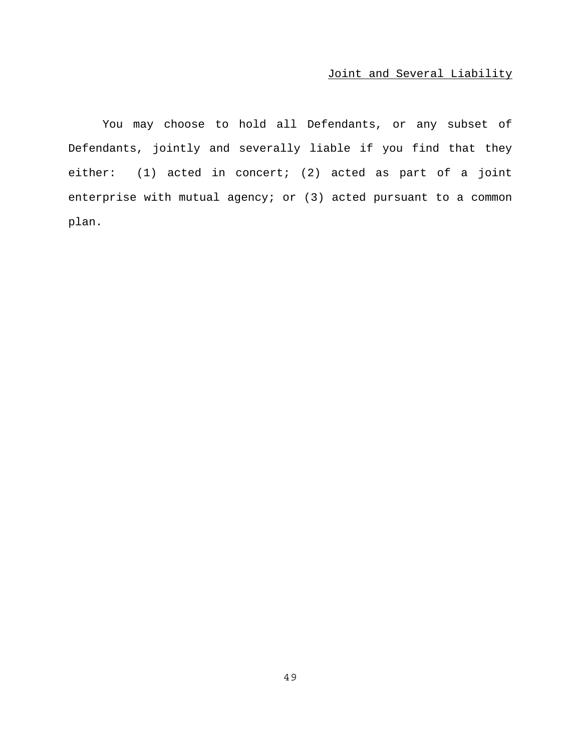## Joint and Several Liability

You may choose to hold all Defendants, or any subset of Defendants, jointly and severally liable if you find that they either: (1) acted in concert; (2) acted as part of a joint enterprise with mutual agency; or (3) acted pursuant to a common plan.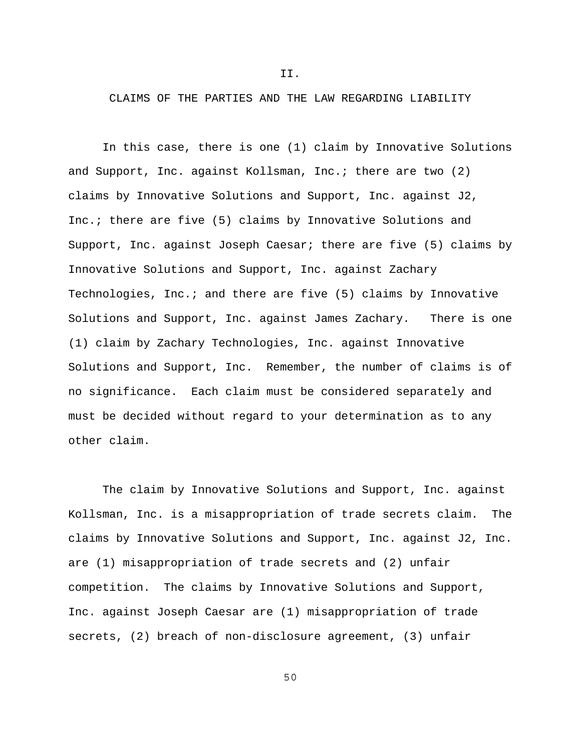II.

CLAIMS OF THE PARTIES AND THE LAW REGARDING LIABILITY

In this case, there is one (1) claim by Innovative Solutions and Support, Inc. against Kollsman, Inc.; there are two (2) claims by Innovative Solutions and Support, Inc. against J2, Inc.; there are five (5) claims by Innovative Solutions and Support, Inc. against Joseph Caesar; there are five (5) claims by Innovative Solutions and Support, Inc. against Zachary Technologies, Inc.; and there are five (5) claims by Innovative Solutions and Support, Inc. against James Zachary. There is one (1) claim by Zachary Technologies, Inc. against Innovative Solutions and Support, Inc. Remember, the number of claims is of no significance. Each claim must be considered separately and must be decided without regard to your determination as to any other claim.

The claim by Innovative Solutions and Support, Inc. against Kollsman, Inc. is a misappropriation of trade secrets claim. The claims by Innovative Solutions and Support, Inc. against J2, Inc. are (1) misappropriation of trade secrets and (2) unfair competition. The claims by Innovative Solutions and Support, Inc. against Joseph Caesar are (1) misappropriation of trade secrets, (2) breach of non-disclosure agreement, (3) unfair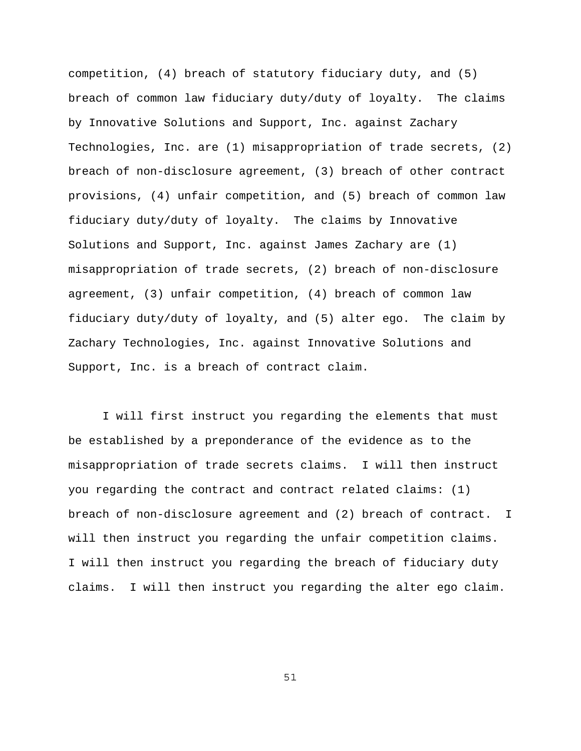competition, (4) breach of statutory fiduciary duty, and (5) breach of common law fiduciary duty/duty of loyalty. The claims by Innovative Solutions and Support, Inc. against Zachary Technologies, Inc. are (1) misappropriation of trade secrets, (2) breach of non-disclosure agreement, (3) breach of other contract provisions, (4) unfair competition, and (5) breach of common law fiduciary duty/duty of loyalty. The claims by Innovative Solutions and Support, Inc. against James Zachary are (1) misappropriation of trade secrets, (2) breach of non-disclosure agreement, (3) unfair competition, (4) breach of common law fiduciary duty/duty of loyalty, and (5) alter ego. The claim by Zachary Technologies, Inc. against Innovative Solutions and Support, Inc. is a breach of contract claim.

I will first instruct you regarding the elements that must be established by a preponderance of the evidence as to the misappropriation of trade secrets claims. I will then instruct you regarding the contract and contract related claims: (1) breach of non-disclosure agreement and (2) breach of contract. I will then instruct you regarding the unfair competition claims. I will then instruct you regarding the breach of fiduciary duty claims. I will then instruct you regarding the alter ego claim.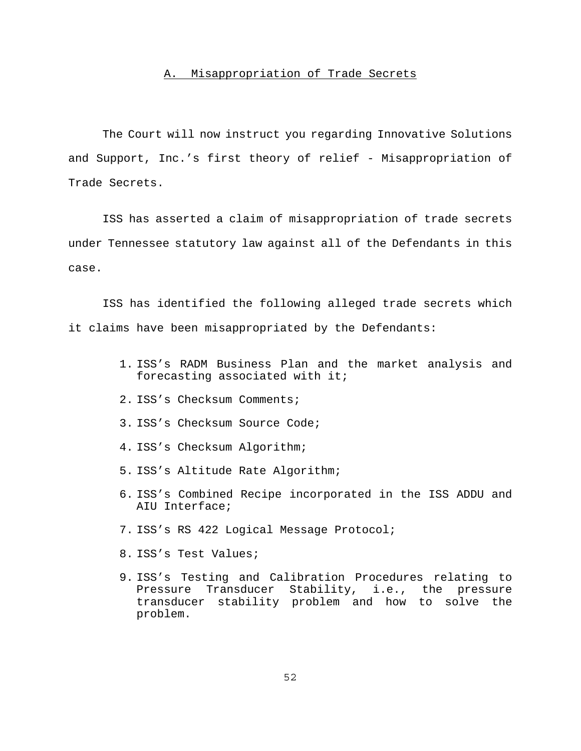### A. Misappropriation of Trade Secrets

The Court will now instruct you regarding Innovative Solutions and Support, Inc.'s first theory of relief - Misappropriation of Trade Secrets.

ISS has asserted a claim of misappropriation of trade secrets under Tennessee statutory law against all of the Defendants in this case.

ISS has identified the following alleged trade secrets which it claims have been misappropriated by the Defendants:

- 1. ISS's RADM Business Plan and the market analysis and forecasting associated with it;
- 2. ISS's Checksum Comments;
- 3. ISS's Checksum Source Code;
- 4. ISS's Checksum Algorithm;
- 5. ISS's Altitude Rate Algorithm;
- 6. ISS's Combined Recipe incorporated in the ISS ADDU and AIU Interface;
- 7. ISS's RS 422 Logical Message Protocol;
- 8. ISS's Test Values;
- 9. ISS's Testing and Calibration Procedures relating to Pressure Transducer Stability, i.e., the pressure transducer stability problem and how to solve the problem.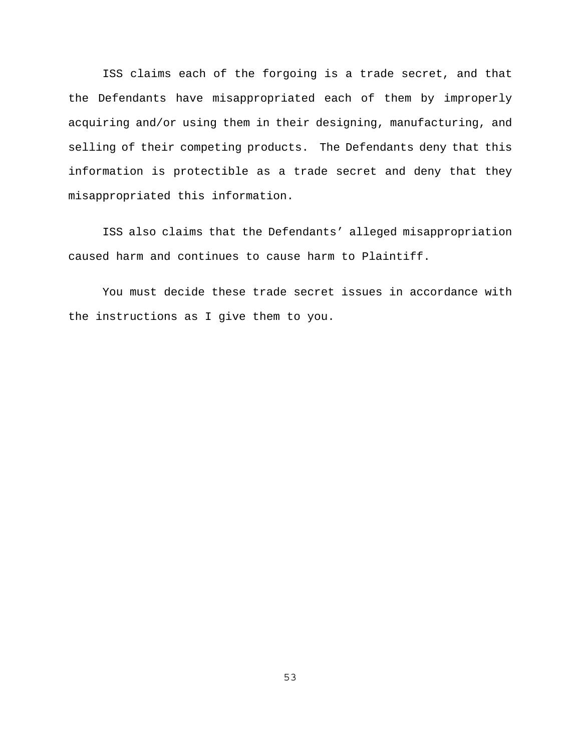ISS claims each of the forgoing is a trade secret, and that the Defendants have misappropriated each of them by improperly acquiring and/or using them in their designing, manufacturing, and selling of their competing products. The Defendants deny that this information is protectible as a trade secret and deny that they misappropriated this information.

ISS also claims that the Defendants' alleged misappropriation caused harm and continues to cause harm to Plaintiff.

You must decide these trade secret issues in accordance with the instructions as I give them to you.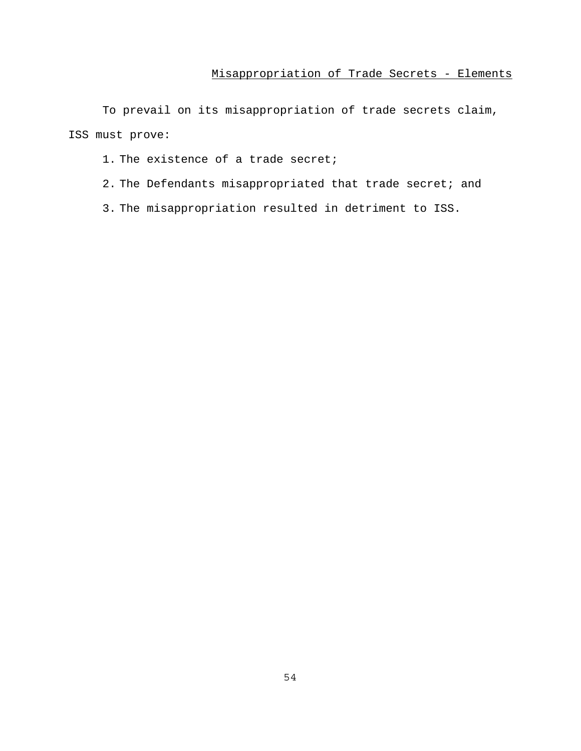To prevail on its misappropriation of trade secrets claim, ISS must prove:

- 1. The existence of a trade secret;
- 2. The Defendants misappropriated that trade secret; and
- 3. The misappropriation resulted in detriment to ISS.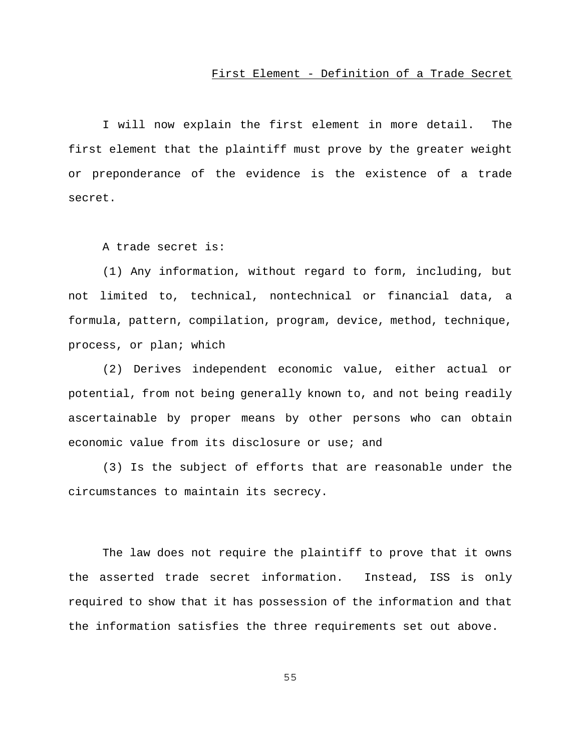#### First Element - Definition of a Trade Secret

I will now explain the first element in more detail. The first element that the plaintiff must prove by the greater weight or preponderance of the evidence is the existence of a trade secret.

A trade secret is:

(1) Any information, without regard to form, including, but not limited to, technical, nontechnical or financial data, a formula, pattern, compilation, program, device, method, technique, process, or plan; which

(2) Derives independent economic value, either actual or potential, from not being generally known to, and not being readily ascertainable by proper means by other persons who can obtain economic value from its disclosure or use; and

(3) Is the subject of efforts that are reasonable under the circumstances to maintain its secrecy.

The law does not require the plaintiff to prove that it owns the asserted trade secret information. Instead, ISS is only required to show that it has possession of the information and that the information satisfies the three requirements set out above.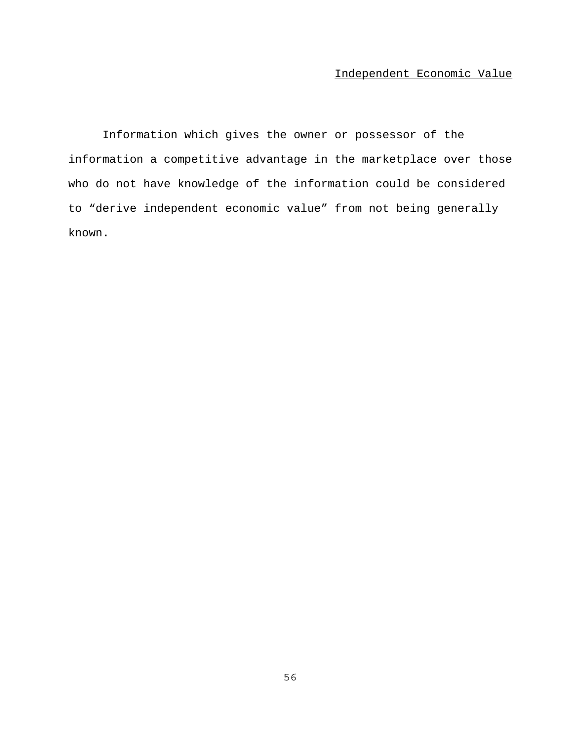Information which gives the owner or possessor of the information a competitive advantage in the marketplace over those who do not have knowledge of the information could be considered to "derive independent economic value" from not being generally known.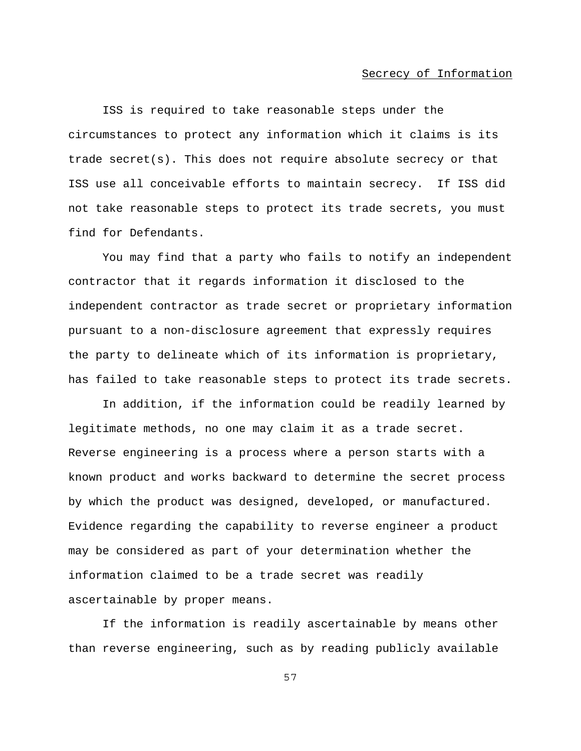#### Secrecy of Information

ISS is required to take reasonable steps under the circumstances to protect any information which it claims is its trade secret(s). This does not require absolute secrecy or that ISS use all conceivable efforts to maintain secrecy. If ISS did not take reasonable steps to protect its trade secrets, you must find for Defendants.

You may find that a party who fails to notify an independent contractor that it regards information it disclosed to the independent contractor as trade secret or proprietary information pursuant to a non-disclosure agreement that expressly requires the party to delineate which of its information is proprietary, has failed to take reasonable steps to protect its trade secrets.

In addition, if the information could be readily learned by legitimate methods, no one may claim it as a trade secret. Reverse engineering is a process where a person starts with a known product and works backward to determine the secret process by which the product was designed, developed, or manufactured. Evidence regarding the capability to reverse engineer a product may be considered as part of your determination whether the information claimed to be a trade secret was readily ascertainable by proper means.

If the information is readily ascertainable by means other than reverse engineering, such as by reading publicly available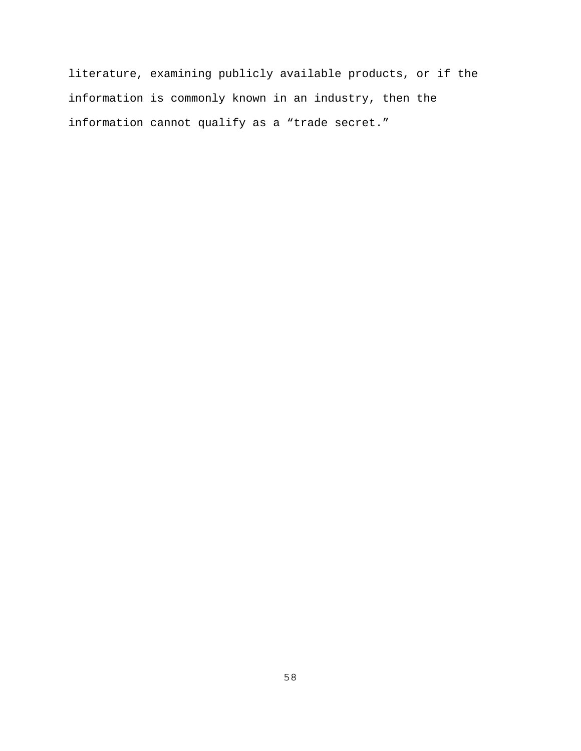literature, examining publicly available products, or if the information is commonly known in an industry, then the information cannot qualify as a "trade secret."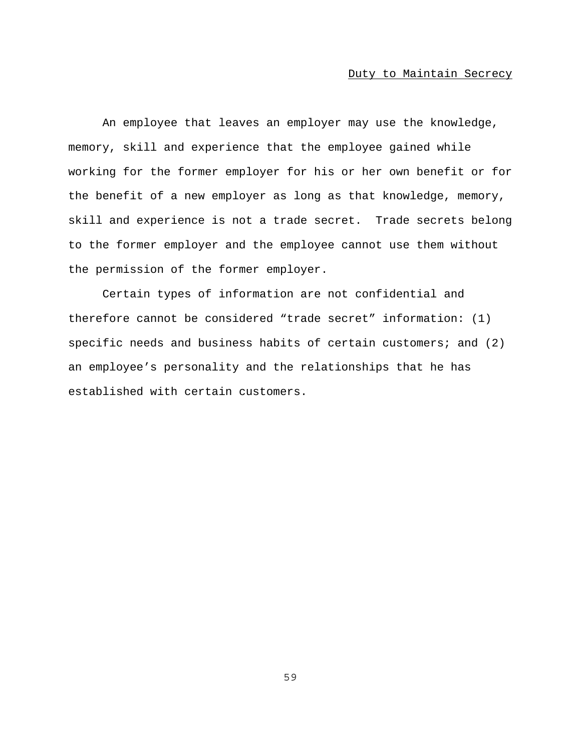An employee that leaves an employer may use the knowledge, memory, skill and experience that the employee gained while working for the former employer for his or her own benefit or for the benefit of a new employer as long as that knowledge, memory, skill and experience is not a trade secret. Trade secrets belong to the former employer and the employee cannot use them without the permission of the former employer.

Certain types of information are not confidential and therefore cannot be considered "trade secret" information: (1) specific needs and business habits of certain customers; and (2) an employee's personality and the relationships that he has established with certain customers.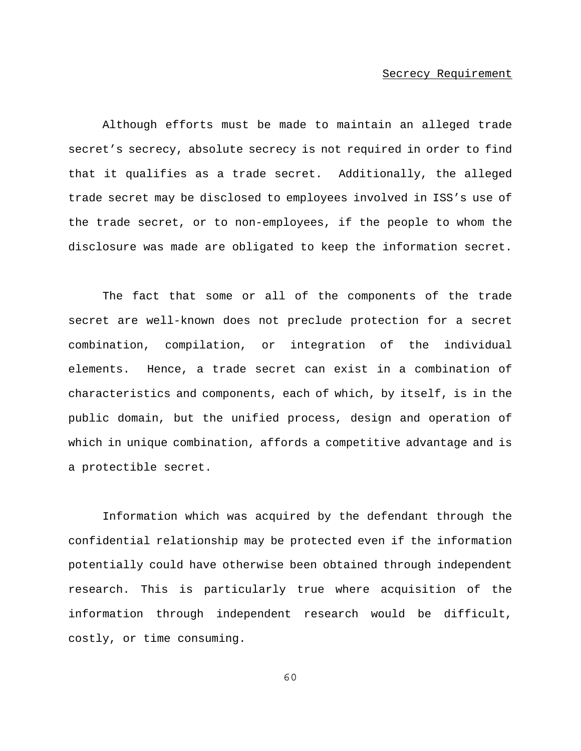#### Secrecy Requirement

Although efforts must be made to maintain an alleged trade secret's secrecy, absolute secrecy is not required in order to find that it qualifies as a trade secret. Additionally, the alleged trade secret may be disclosed to employees involved in ISS's use of the trade secret, or to non-employees, if the people to whom the disclosure was made are obligated to keep the information secret.

The fact that some or all of the components of the trade secret are well-known does not preclude protection for a secret combination, compilation, or integration of the individual elements. Hence, a trade secret can exist in a combination of characteristics and components, each of which, by itself, is in the public domain, but the unified process, design and operation of which in unique combination, affords a competitive advantage and is a protectible secret.

Information which was acquired by the defendant through the confidential relationship may be protected even if the information potentially could have otherwise been obtained through independent research. This is particularly true where acquisition of the information through independent research would be difficult, costly, or time consuming.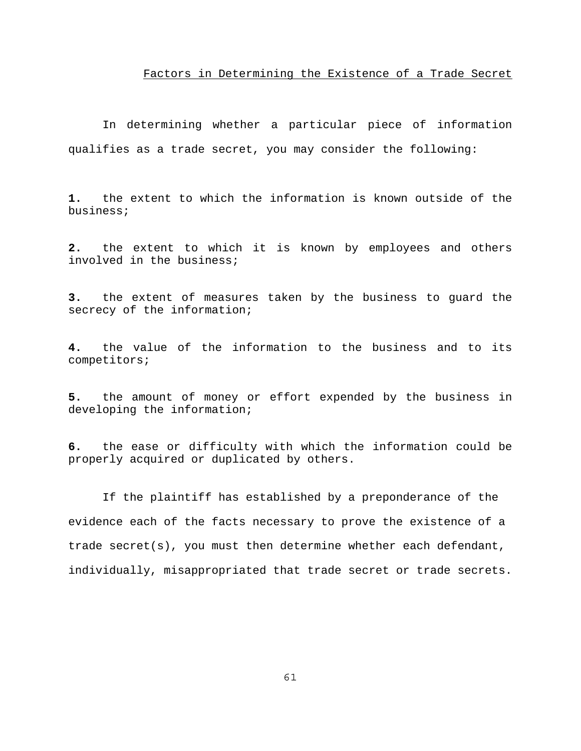#### Factors in Determining the Existence of a Trade Secret

In determining whether a particular piece of information qualifies as a trade secret, you may consider the following:

**1.** the extent to which the information is known outside of the business;

**2.** the extent to which it is known by employees and others involved in the business;

**3.** the extent of measures taken by the business to guard the secrecy of the information;

**4.** the value of the information to the business and to its competitors;

**5.** the amount of money or effort expended by the business in developing the information;

**6.** the ease or difficulty with which the information could be properly acquired or duplicated by others.

If the plaintiff has established by a preponderance of the evidence each of the facts necessary to prove the existence of a trade secret(s), you must then determine whether each defendant, individually, misappropriated that trade secret or trade secrets.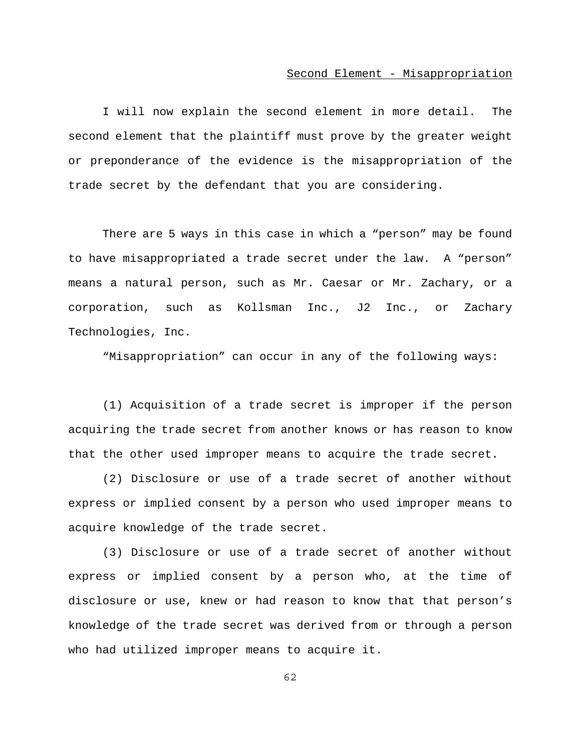#### Second Element - Misappropriation

I will now explain the second element in more detail. The second element that the plaintiff must prove by the greater weight or preponderance of the evidence is the misappropriation of the trade secret by the defendant that you are considering.

There are 5 ways in this case in which a "person" may be found to have misappropriated a trade secret under the law. A "person" means a natural person, such as Mr. Caesar or Mr. Zachary, or a corporation, such as Kollsman Inc., J2 Inc., or Zachary Technologies, Inc.

"Misappropriation" can occur in any of the following ways:

(1) Acquisition of a trade secret is improper if the person acquiring the trade secret from another knows or has reason to know that the other used improper means to acquire the trade secret.

(2) Disclosure or use of a trade secret of another without express or implied consent by a person who used improper means to acquire knowledge of the trade secret.

(3) Disclosure or use of a trade secret of another without express or implied consent by a person who, at the time of disclosure or use, knew or had reason to know that that person's knowledge of the trade secret was derived from or through a person who had utilized improper means to acquire it.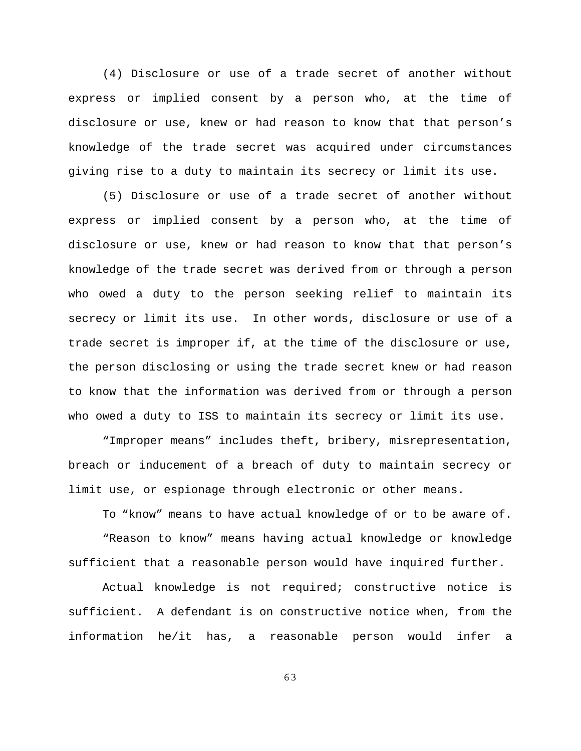(4) Disclosure or use of a trade secret of another without express or implied consent by a person who, at the time of disclosure or use, knew or had reason to know that that person's knowledge of the trade secret was acquired under circumstances giving rise to a duty to maintain its secrecy or limit its use.

(5) Disclosure or use of a trade secret of another without express or implied consent by a person who, at the time of disclosure or use, knew or had reason to know that that person's knowledge of the trade secret was derived from or through a person who owed a duty to the person seeking relief to maintain its secrecy or limit its use. In other words, disclosure or use of a trade secret is improper if, at the time of the disclosure or use, the person disclosing or using the trade secret knew or had reason to know that the information was derived from or through a person who owed a duty to ISS to maintain its secrecy or limit its use.

"Improper means" includes theft, bribery, misrepresentation, breach or inducement of a breach of duty to maintain secrecy or limit use, or espionage through electronic or other means.

To "know" means to have actual knowledge of or to be aware of. "Reason to know" means having actual knowledge or knowledge sufficient that a reasonable person would have inquired further.

Actual knowledge is not required; constructive notice is sufficient. A defendant is on constructive notice when, from the information he/it has, a reasonable person would infer a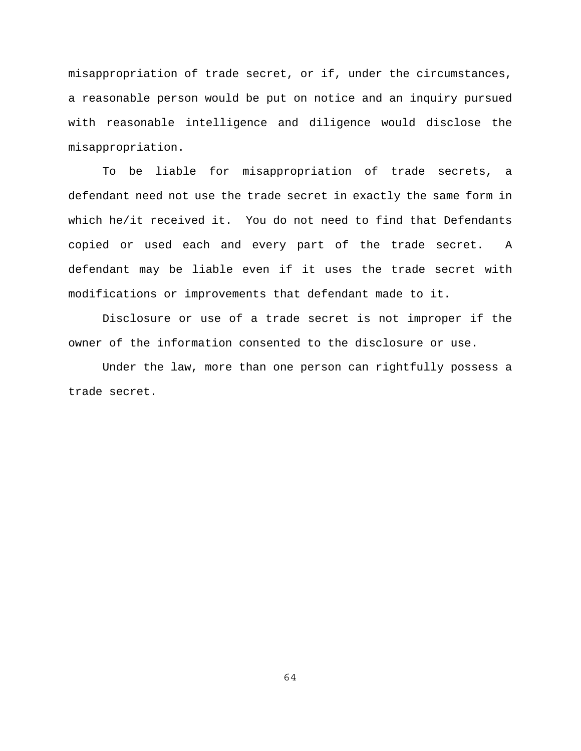misappropriation of trade secret, or if, under the circumstances, a reasonable person would be put on notice and an inquiry pursued with reasonable intelligence and diligence would disclose the misappropriation.

To be liable for misappropriation of trade secrets, a defendant need not use the trade secret in exactly the same form in which he/it received it. You do not need to find that Defendants copied or used each and every part of the trade secret. A defendant may be liable even if it uses the trade secret with modifications or improvements that defendant made to it.

Disclosure or use of a trade secret is not improper if the owner of the information consented to the disclosure or use.

Under the law, more than one person can rightfully possess a trade secret.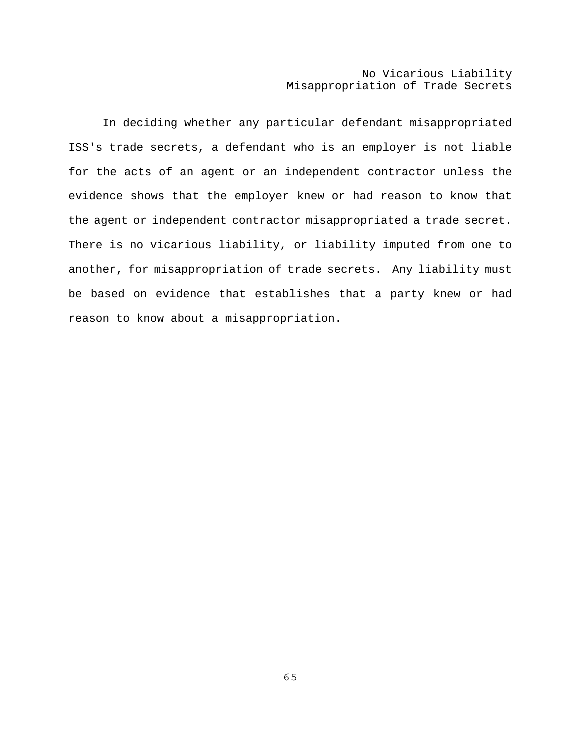### No Vicarious Liability Misappropriation of Trade Secrets

In deciding whether any particular defendant misappropriated ISS's trade secrets, a defendant who is an employer is not liable for the acts of an agent or an independent contractor unless the evidence shows that the employer knew or had reason to know that the agent or independent contractor misappropriated a trade secret. There is no vicarious liability, or liability imputed from one to another, for misappropriation of trade secrets. Any liability must be based on evidence that establishes that a party knew or had reason to know about a misappropriation.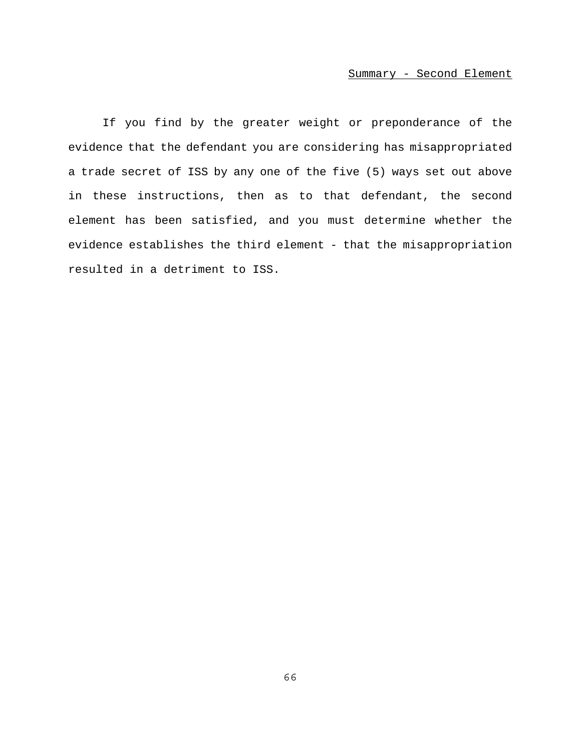### Summary - Second Element

If you find by the greater weight or preponderance of the evidence that the defendant you are considering has misappropriated a trade secret of ISS by any one of the five (5) ways set out above in these instructions, then as to that defendant, the second element has been satisfied, and you must determine whether the evidence establishes the third element - that the misappropriation resulted in a detriment to ISS.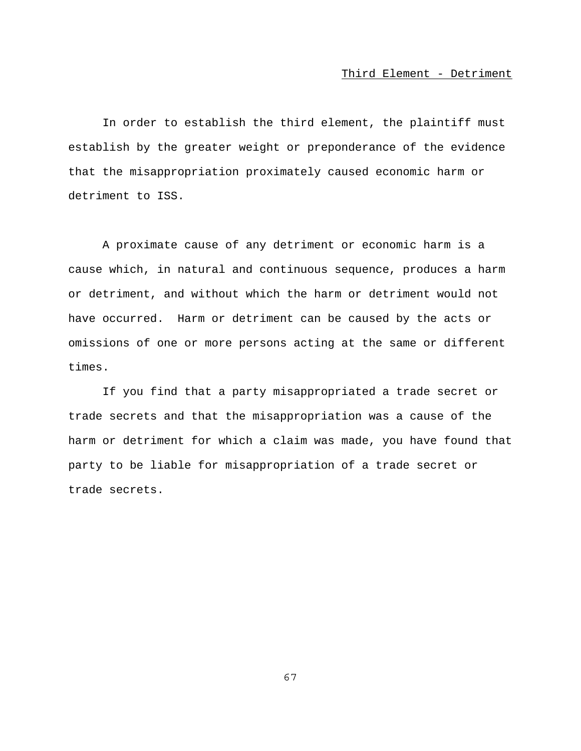In order to establish the third element, the plaintiff must establish by the greater weight or preponderance of the evidence that the misappropriation proximately caused economic harm or detriment to ISS.

A proximate cause of any detriment or economic harm is a cause which, in natural and continuous sequence, produces a harm or detriment, and without which the harm or detriment would not have occurred. Harm or detriment can be caused by the acts or omissions of one or more persons acting at the same or different times.

If you find that a party misappropriated a trade secret or trade secrets and that the misappropriation was a cause of the harm or detriment for which a claim was made, you have found that party to be liable for misappropriation of a trade secret or trade secrets.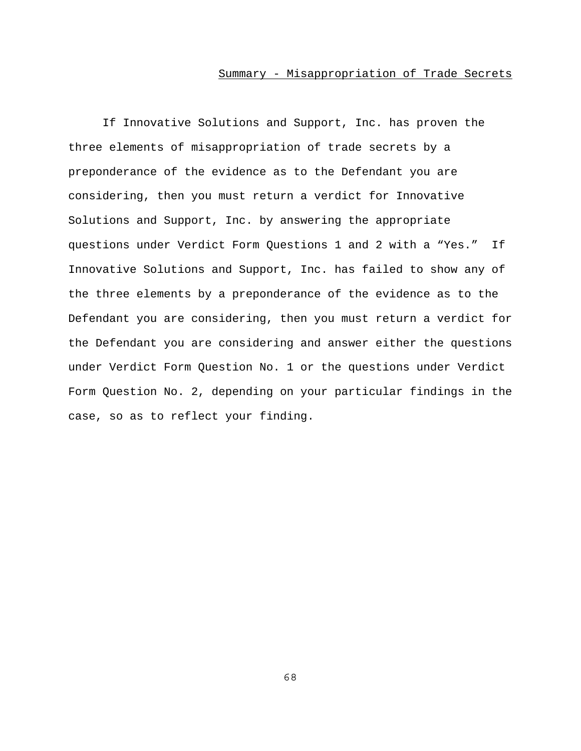### Summary - Misappropriation of Trade Secrets

If Innovative Solutions and Support, Inc. has proven the three elements of misappropriation of trade secrets by a preponderance of the evidence as to the Defendant you are considering, then you must return a verdict for Innovative Solutions and Support, Inc. by answering the appropriate questions under Verdict Form Questions 1 and 2 with a "Yes." If Innovative Solutions and Support, Inc. has failed to show any of the three elements by a preponderance of the evidence as to the Defendant you are considering, then you must return a verdict for the Defendant you are considering and answer either the questions under Verdict Form Question No. 1 or the questions under Verdict Form Question No. 2, depending on your particular findings in the case, so as to reflect your finding.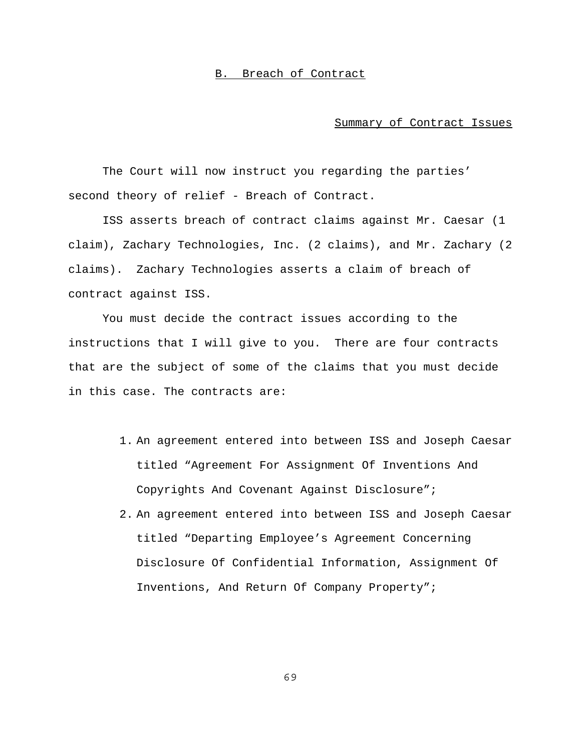### B. Breach of Contract

#### Summary of Contract Issues

The Court will now instruct you regarding the parties' second theory of relief - Breach of Contract.

ISS asserts breach of contract claims against Mr. Caesar (1 claim), Zachary Technologies, Inc. (2 claims), and Mr. Zachary (2 claims). Zachary Technologies asserts a claim of breach of contract against ISS.

You must decide the contract issues according to the instructions that I will give to you. There are four contracts that are the subject of some of the claims that you must decide in this case. The contracts are:

- 1. An agreement entered into between ISS and Joseph Caesar titled "Agreement For Assignment Of Inventions And Copyrights And Covenant Against Disclosure";
- 2. An agreement entered into between ISS and Joseph Caesar titled "Departing Employee's Agreement Concerning Disclosure Of Confidential Information, Assignment Of Inventions, And Return Of Company Property";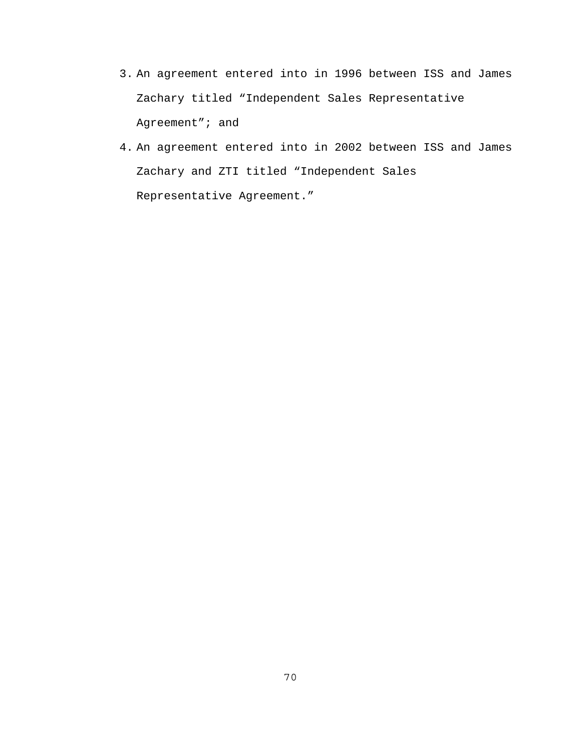- 3. An agreement entered into in 1996 between ISS and James Zachary titled "Independent Sales Representative Agreement"; and
- 4. An agreement entered into in 2002 between ISS and James Zachary and ZTI titled "Independent Sales Representative Agreement."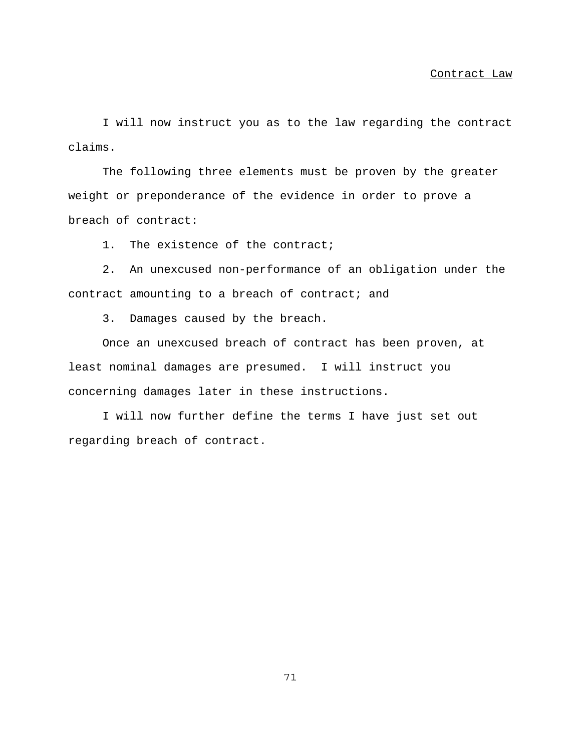I will now instruct you as to the law regarding the contract claims.

The following three elements must be proven by the greater weight or preponderance of the evidence in order to prove a breach of contract:

1. The existence of the contract;

2. An unexcused non-performance of an obligation under the contract amounting to a breach of contract; and

3. Damages caused by the breach.

Once an unexcused breach of contract has been proven, at least nominal damages are presumed. I will instruct you concerning damages later in these instructions.

I will now further define the terms I have just set out regarding breach of contract.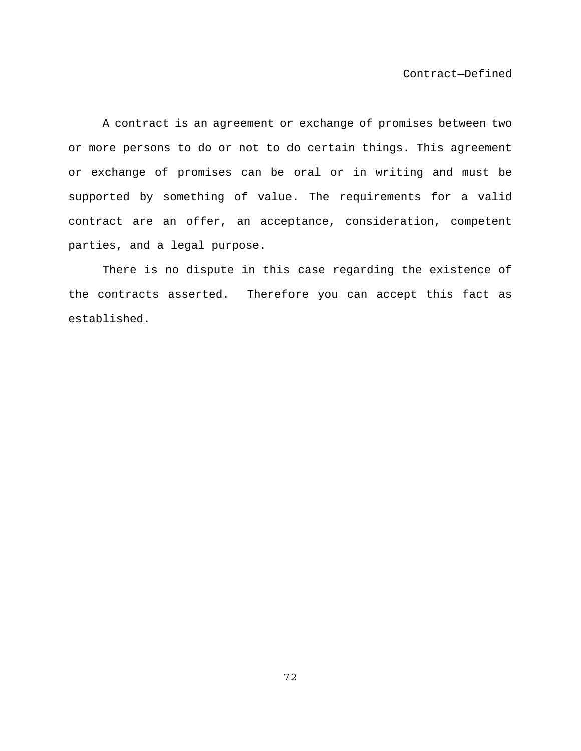#### Contract—Defined

A contract is an agreement or exchange of promises between two or more persons to do or not to do certain things. This agreement or exchange of promises can be oral or in writing and must be supported by something of value. The requirements for a valid contract are an offer, an acceptance, consideration, competent parties, and a legal purpose.

There is no dispute in this case regarding the existence of the contracts asserted. Therefore you can accept this fact as established.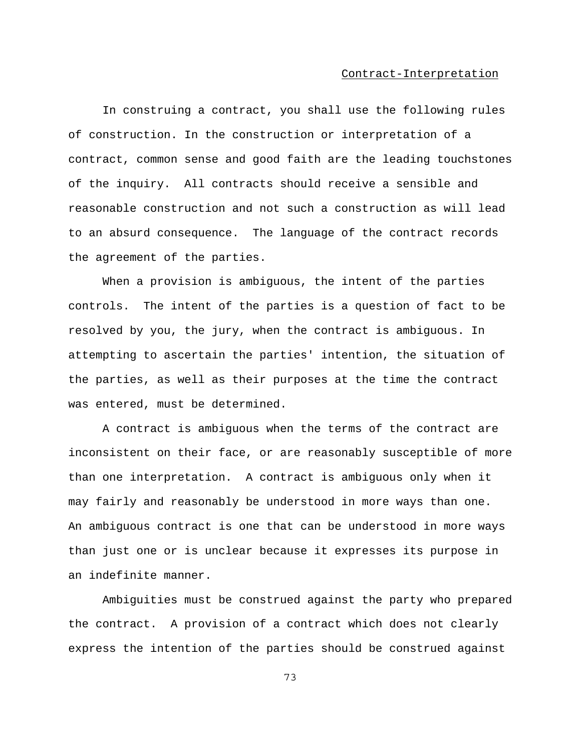In construing a contract, you shall use the following rules of construction. In the construction or interpretation of a contract, common sense and good faith are the leading touchstones of the inquiry. All contracts should receive a sensible and reasonable construction and not such a construction as will lead to an absurd consequence. The language of the contract records the agreement of the parties.

When a provision is ambiguous, the intent of the parties controls. The intent of the parties is a question of fact to be resolved by you, the jury, when the contract is ambiguous. In attempting to ascertain the parties' intention, the situation of the parties, as well as their purposes at the time the contract was entered, must be determined.

A contract is ambiguous when the terms of the contract are inconsistent on their face, or are reasonably susceptible of more than one interpretation. A contract is ambiguous only when it may fairly and reasonably be understood in more ways than one. An ambiguous contract is one that can be understood in more ways than just one or is unclear because it expresses its purpose in an indefinite manner.

Ambiguities must be construed against the party who prepared the contract. A provision of a contract which does not clearly express the intention of the parties should be construed against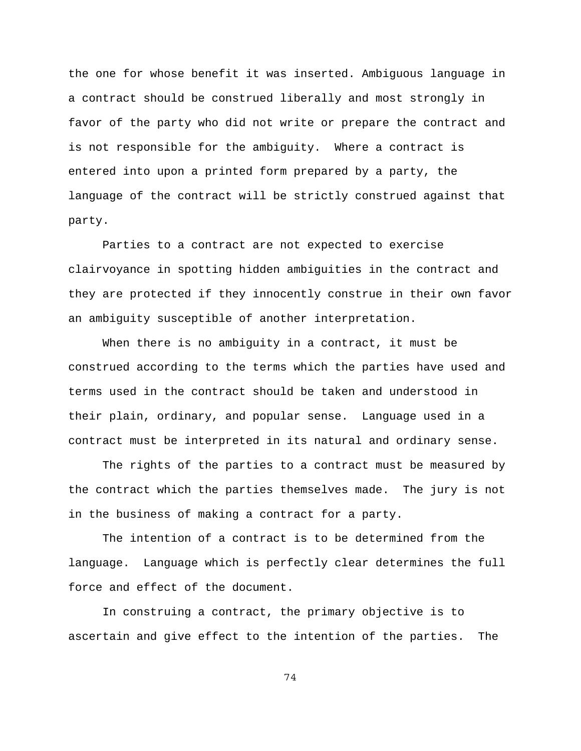the one for whose benefit it was inserted. Ambiguous language in a contract should be construed liberally and most strongly in favor of the party who did not write or prepare the contract and is not responsible for the ambiguity. Where a contract is entered into upon a printed form prepared by a party, the language of the contract will be strictly construed against that party.

Parties to a contract are not expected to exercise clairvoyance in spotting hidden ambiguities in the contract and they are protected if they innocently construe in their own favor an ambiguity susceptible of another interpretation.

When there is no ambiguity in a contract, it must be construed according to the terms which the parties have used and terms used in the contract should be taken and understood in their plain, ordinary, and popular sense. Language used in a contract must be interpreted in its natural and ordinary sense.

The rights of the parties to a contract must be measured by the contract which the parties themselves made. The jury is not in the business of making a contract for a party.

The intention of a contract is to be determined from the language. Language which is perfectly clear determines the full force and effect of the document.

In construing a contract, the primary objective is to ascertain and give effect to the intention of the parties. The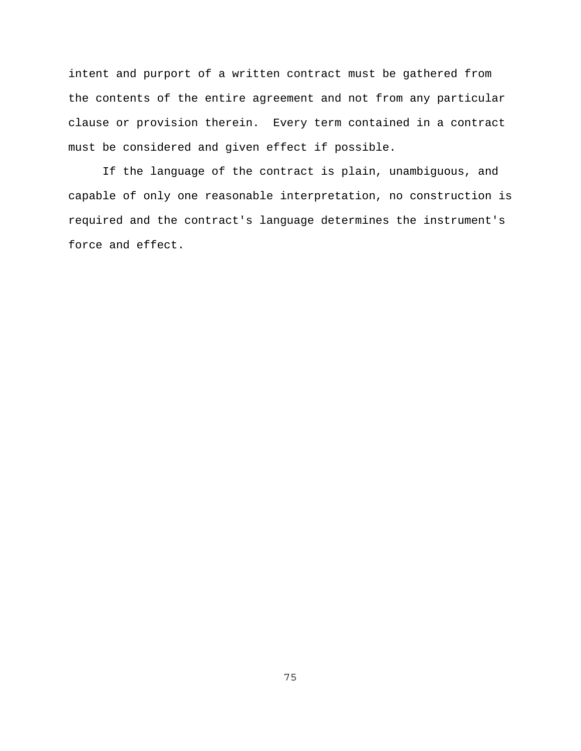intent and purport of a written contract must be gathered from the contents of the entire agreement and not from any particular clause or provision therein. Every term contained in a contract must be considered and given effect if possible.

If the language of the contract is plain, unambiguous, and capable of only one reasonable interpretation, no construction is required and the contract's language determines the instrument's force and effect.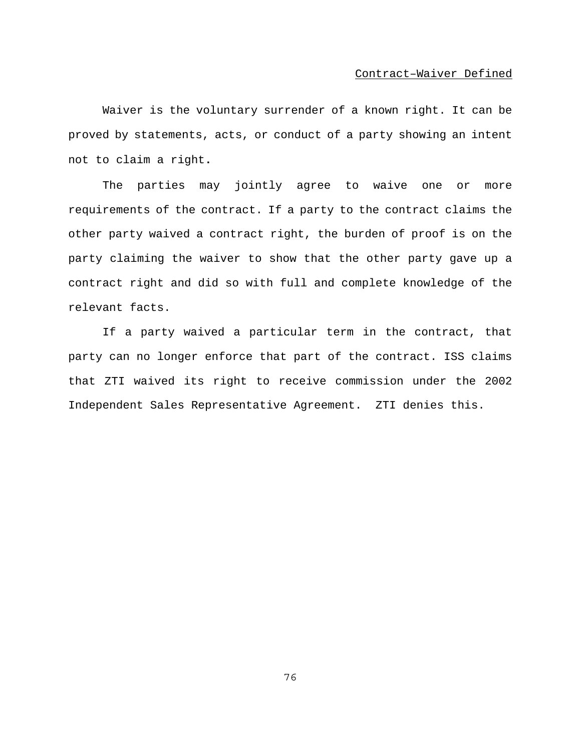Waiver is the voluntary surrender of a known right. It can be proved by statements, acts, or conduct of a party showing an intent not to claim a right**.**

The parties may jointly agree to waive one or more requirements of the contract. If a party to the contract claims the other party waived a contract right, the burden of proof is on the party claiming the waiver to show that the other party gave up a contract right and did so with full and complete knowledge of the relevant facts.

If a party waived a particular term in the contract, that party can no longer enforce that part of the contract. ISS claims that ZTI waived its right to receive commission under the 2002 Independent Sales Representative Agreement. ZTI denies this.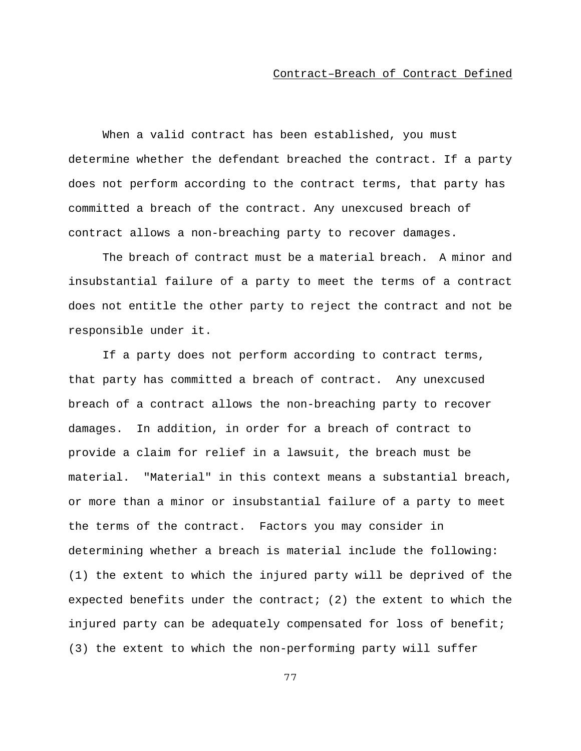### Contract–Breach of Contract Defined

When a valid contract has been established, you must determine whether the defendant breached the contract. If a party does not perform according to the contract terms, that party has committed a breach of the contract. Any unexcused breach of contract allows a non-breaching party to recover damages.

The breach of contract must be a material breach. A minor and insubstantial failure of a party to meet the terms of a contract does not entitle the other party to reject the contract and not be responsible under it.

If a party does not perform according to contract terms, that party has committed a breach of contract. Any unexcused breach of a contract allows the non-breaching party to recover damages. In addition, in order for a breach of contract to provide a claim for relief in a lawsuit, the breach must be material. "Material" in this context means a substantial breach, or more than a minor or insubstantial failure of a party to meet the terms of the contract. Factors you may consider in determining whether a breach is material include the following: (1) the extent to which the injured party will be deprived of the expected benefits under the contract; (2) the extent to which the injured party can be adequately compensated for loss of benefit; (3) the extent to which the non-performing party will suffer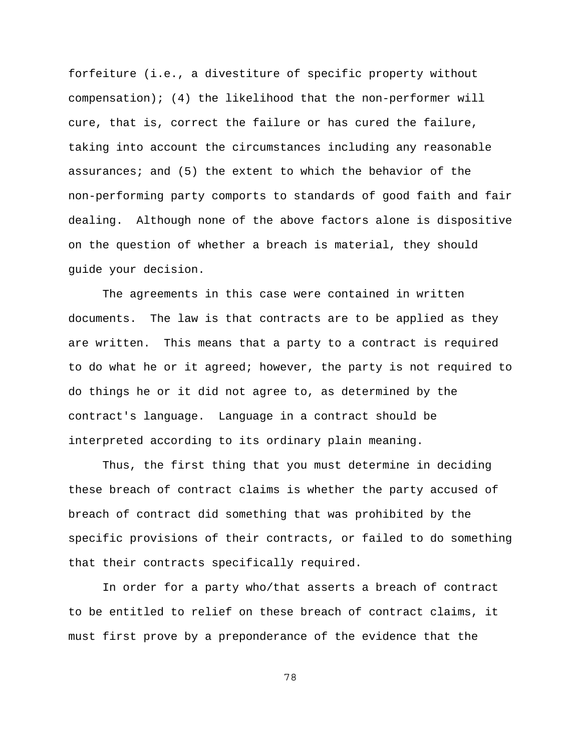forfeiture (i.e., a divestiture of specific property without compensation); (4) the likelihood that the non-performer will cure, that is, correct the failure or has cured the failure, taking into account the circumstances including any reasonable assurances; and (5) the extent to which the behavior of the non-performing party comports to standards of good faith and fair dealing. Although none of the above factors alone is dispositive on the question of whether a breach is material, they should guide your decision.

The agreements in this case were contained in written documents. The law is that contracts are to be applied as they are written. This means that a party to a contract is required to do what he or it agreed; however, the party is not required to do things he or it did not agree to, as determined by the contract's language. Language in a contract should be interpreted according to its ordinary plain meaning.

Thus, the first thing that you must determine in deciding these breach of contract claims is whether the party accused of breach of contract did something that was prohibited by the specific provisions of their contracts, or failed to do something that their contracts specifically required.

In order for a party who/that asserts a breach of contract to be entitled to relief on these breach of contract claims, it must first prove by a preponderance of the evidence that the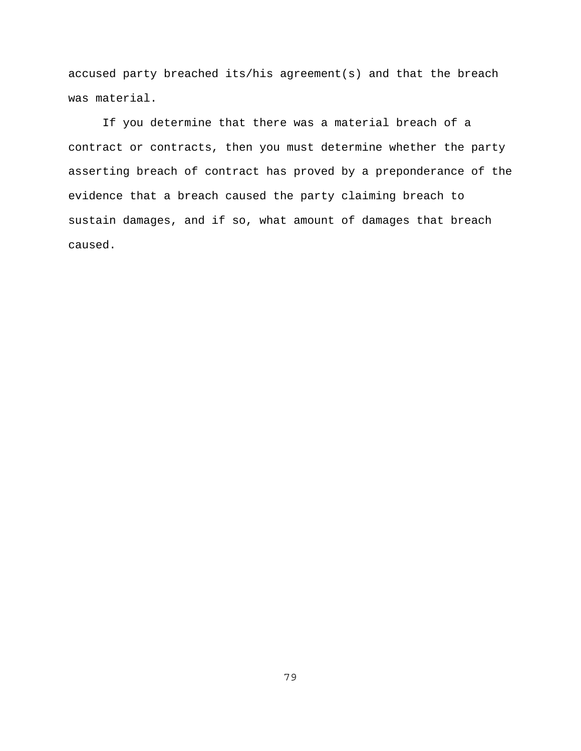accused party breached its/his agreement(s) and that the breach was material.

If you determine that there was a material breach of a contract or contracts, then you must determine whether the party asserting breach of contract has proved by a preponderance of the evidence that a breach caused the party claiming breach to sustain damages, and if so, what amount of damages that breach caused.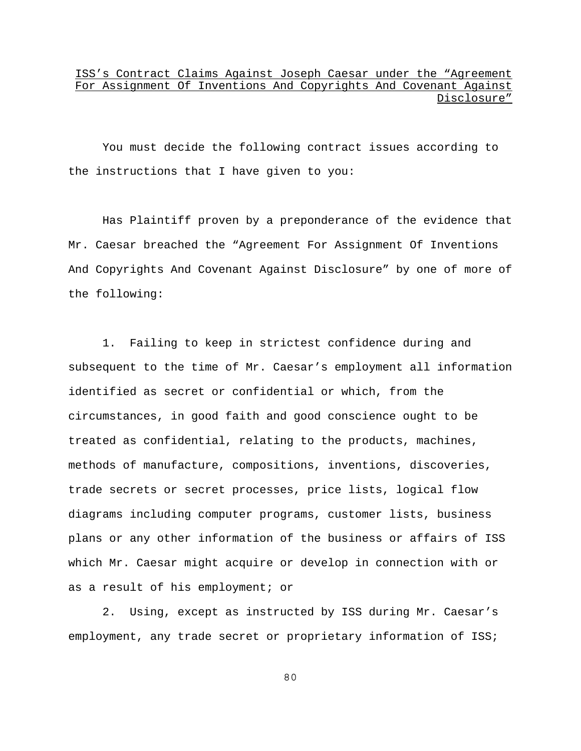## ISS's Contract Claims Against Joseph Caesar under the "Agreement For Assignment Of Inventions And Copyrights And Covenant Against Disclosure"

You must decide the following contract issues according to the instructions that I have given to you:

Has Plaintiff proven by a preponderance of the evidence that Mr. Caesar breached the "Agreement For Assignment Of Inventions And Copyrights And Covenant Against Disclosure" by one of more of the following:

1. Failing to keep in strictest confidence during and subsequent to the time of Mr. Caesar's employment all information identified as secret or confidential or which, from the circumstances, in good faith and good conscience ought to be treated as confidential, relating to the products, machines, methods of manufacture, compositions, inventions, discoveries, trade secrets or secret processes, price lists, logical flow diagrams including computer programs, customer lists, business plans or any other information of the business or affairs of ISS which Mr. Caesar might acquire or develop in connection with or as a result of his employment; or

2. Using, except as instructed by ISS during Mr. Caesar's employment, any trade secret or proprietary information of ISS;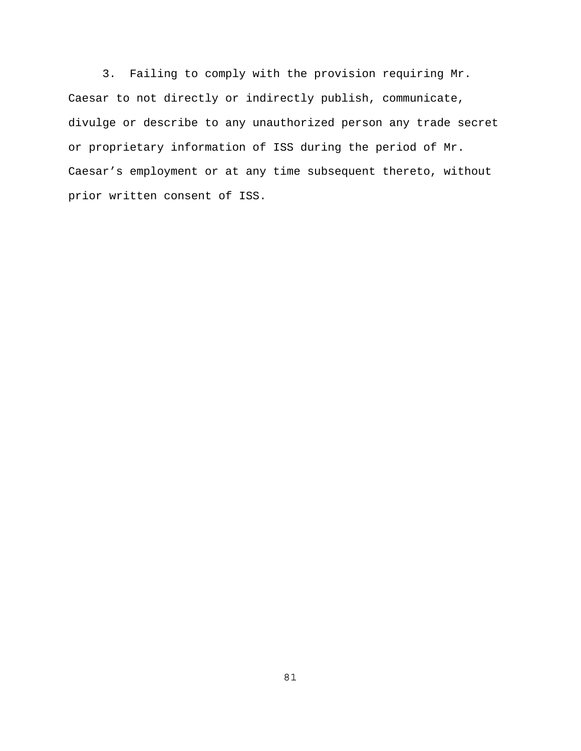3. Failing to comply with the provision requiring Mr. Caesar to not directly or indirectly publish, communicate, divulge or describe to any unauthorized person any trade secret or proprietary information of ISS during the period of Mr. Caesar's employment or at any time subsequent thereto, without prior written consent of ISS.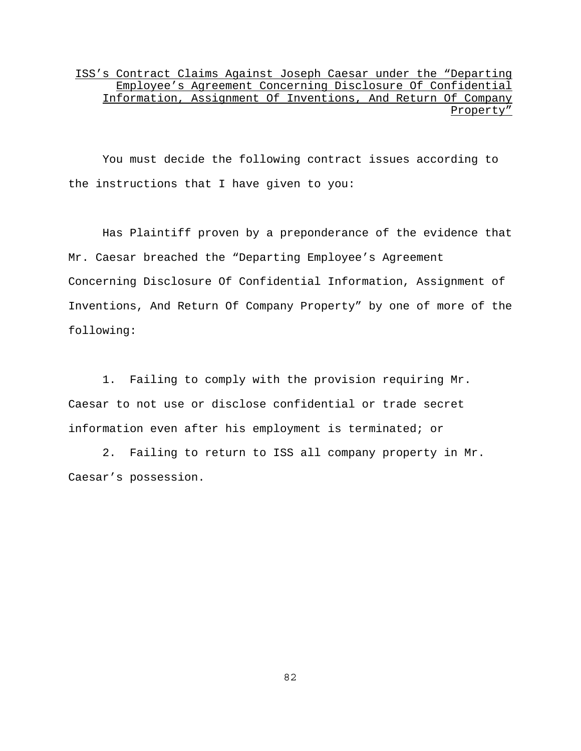ISS's Contract Claims Against Joseph Caesar under the "Departing Employee's Agreement Concerning Disclosure Of Confidential Information, Assignment Of Inventions, And Return Of Company Property"

You must decide the following contract issues according to the instructions that I have given to you:

Has Plaintiff proven by a preponderance of the evidence that Mr. Caesar breached the "Departing Employee's Agreement Concerning Disclosure Of Confidential Information, Assignment of Inventions, And Return Of Company Property" by one of more of the following:

1. Failing to comply with the provision requiring Mr. Caesar to not use or disclose confidential or trade secret information even after his employment is terminated; or

2. Failing to return to ISS all company property in Mr. Caesar's possession.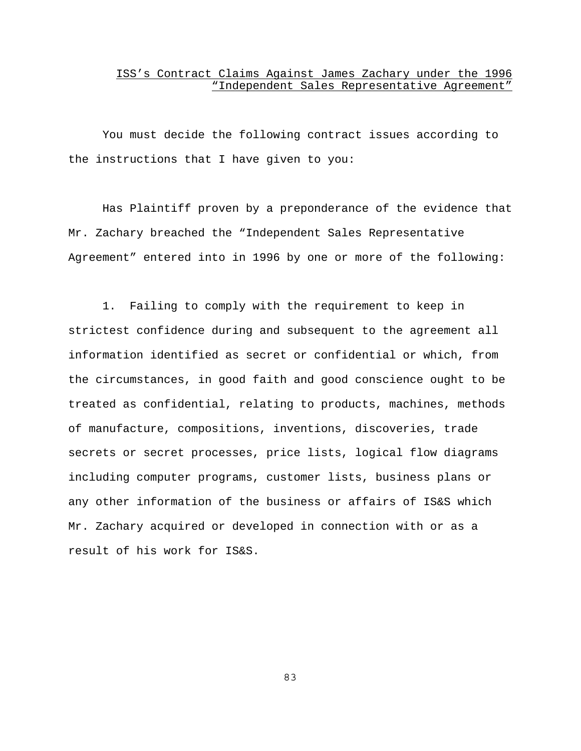### ISS's Contract Claims Against James Zachary under the 1996 "Independent Sales Representative Agreement"

You must decide the following contract issues according to the instructions that I have given to you:

Has Plaintiff proven by a preponderance of the evidence that Mr. Zachary breached the "Independent Sales Representative Agreement" entered into in 1996 by one or more of the following:

1. Failing to comply with the requirement to keep in strictest confidence during and subsequent to the agreement all information identified as secret or confidential or which, from the circumstances, in good faith and good conscience ought to be treated as confidential, relating to products, machines, methods of manufacture, compositions, inventions, discoveries, trade secrets or secret processes, price lists, logical flow diagrams including computer programs, customer lists, business plans or any other information of the business or affairs of IS&S which Mr. Zachary acquired or developed in connection with or as a result of his work for IS&S.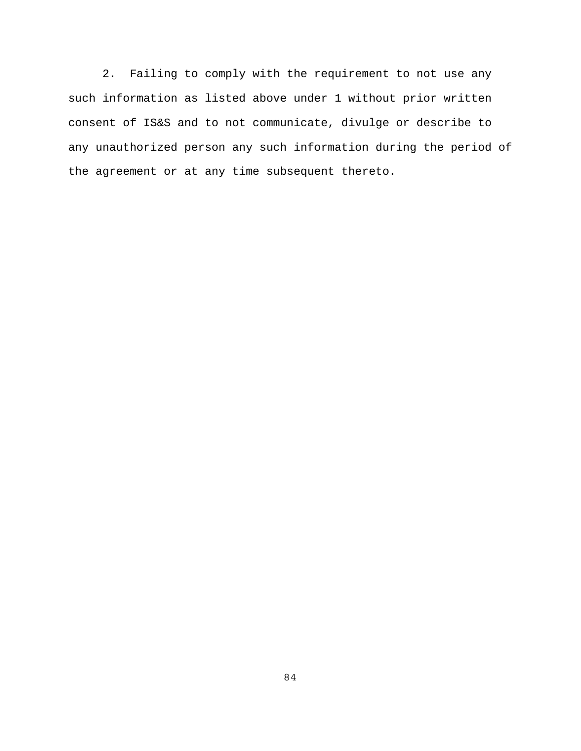2. Failing to comply with the requirement to not use any such information as listed above under 1 without prior written consent of IS&S and to not communicate, divulge or describe to any unauthorized person any such information during the period of the agreement or at any time subsequent thereto.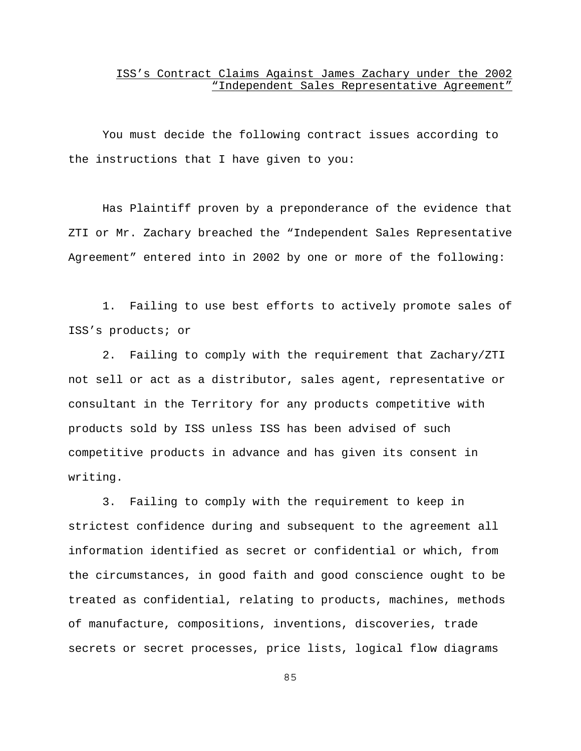### ISS's Contract Claims Against James Zachary under the 2002 "Independent Sales Representative Agreement"

You must decide the following contract issues according to the instructions that I have given to you:

Has Plaintiff proven by a preponderance of the evidence that ZTI or Mr. Zachary breached the "Independent Sales Representative Agreement" entered into in 2002 by one or more of the following:

1. Failing to use best efforts to actively promote sales of ISS's products; or

2. Failing to comply with the requirement that Zachary/ZTI not sell or act as a distributor, sales agent, representative or consultant in the Territory for any products competitive with products sold by ISS unless ISS has been advised of such competitive products in advance and has given its consent in writing.

3. Failing to comply with the requirement to keep in strictest confidence during and subsequent to the agreement all information identified as secret or confidential or which, from the circumstances, in good faith and good conscience ought to be treated as confidential, relating to products, machines, methods of manufacture, compositions, inventions, discoveries, trade secrets or secret processes, price lists, logical flow diagrams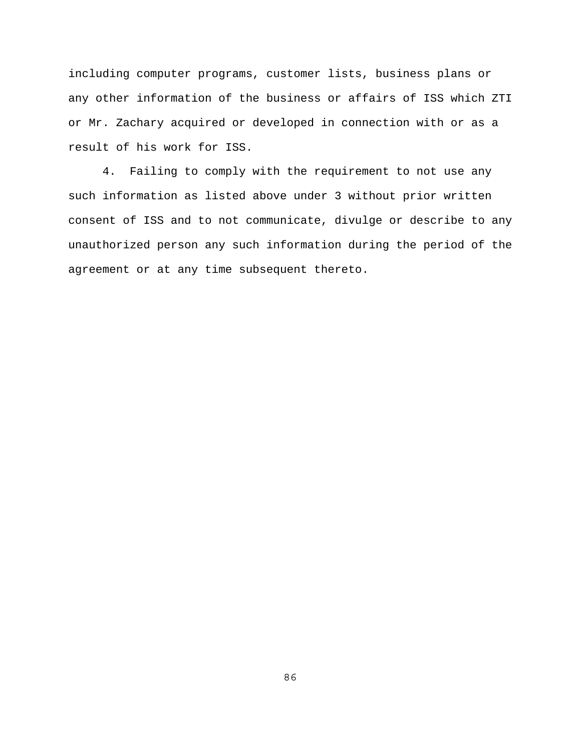including computer programs, customer lists, business plans or any other information of the business or affairs of ISS which ZTI or Mr. Zachary acquired or developed in connection with or as a result of his work for ISS.

4. Failing to comply with the requirement to not use any such information as listed above under 3 without prior written consent of ISS and to not communicate, divulge or describe to any unauthorized person any such information during the period of the agreement or at any time subsequent thereto.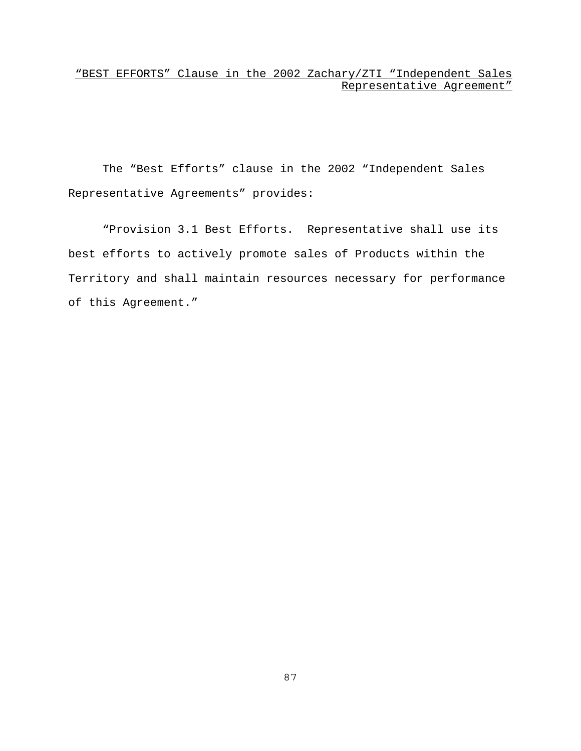## "BEST EFFORTS" Clause in the 2002 Zachary/ZTI "Independent Sales Representative Agreement"

The "Best Efforts" clause in the 2002 "Independent Sales Representative Agreements" provides:

"Provision 3.1 Best Efforts. Representative shall use its best efforts to actively promote sales of Products within the Territory and shall maintain resources necessary for performance of this Agreement."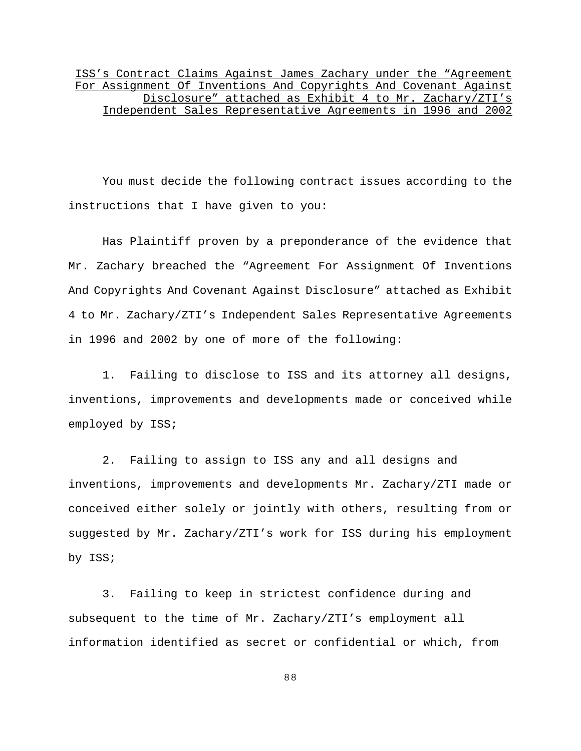ISS's Contract Claims Against James Zachary under the "Agreement For Assignment Of Inventions And Copyrights And Covenant Against Disclosure" attached as Exhibit 4 to Mr. Zachary/ZTI's Independent Sales Representative Agreements in 1996 and 2002

You must decide the following contract issues according to the instructions that I have given to you:

Has Plaintiff proven by a preponderance of the evidence that Mr. Zachary breached the "Agreement For Assignment Of Inventions And Copyrights And Covenant Against Disclosure" attached as Exhibit 4 to Mr. Zachary/ZTI's Independent Sales Representative Agreements in 1996 and 2002 by one of more of the following:

1. Failing to disclose to ISS and its attorney all designs, inventions, improvements and developments made or conceived while employed by ISS;

2. Failing to assign to ISS any and all designs and inventions, improvements and developments Mr. Zachary/ZTI made or conceived either solely or jointly with others, resulting from or suggested by Mr. Zachary/ZTI's work for ISS during his employment by ISS;

3. Failing to keep in strictest confidence during and subsequent to the time of Mr. Zachary/ZTI's employment all information identified as secret or confidential or which, from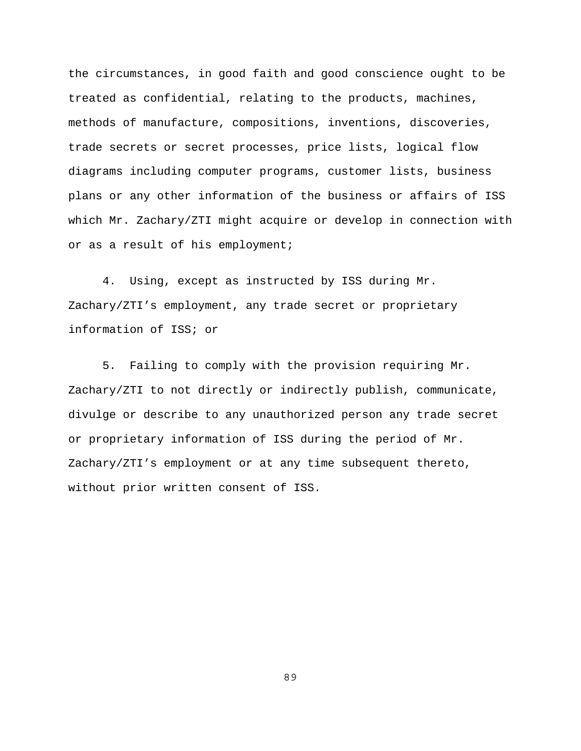the circumstances, in good faith and good conscience ought to be treated as confidential, relating to the products, machines, methods of manufacture, compositions, inventions, discoveries, trade secrets or secret processes, price lists, logical flow diagrams including computer programs, customer lists, business plans or any other information of the business or affairs of ISS which Mr. Zachary/ZTI might acquire or develop in connection with or as a result of his employment;

4. Using, except as instructed by ISS during Mr. Zachary/ZTI's employment, any trade secret or proprietary information of ISS; or

5. Failing to comply with the provision requiring Mr. Zachary/ZTI to not directly or indirectly publish, communicate, divulge or describe to any unauthorized person any trade secret or proprietary information of ISS during the period of Mr. Zachary/ZTI's employment or at any time subsequent thereto, without prior written consent of ISS.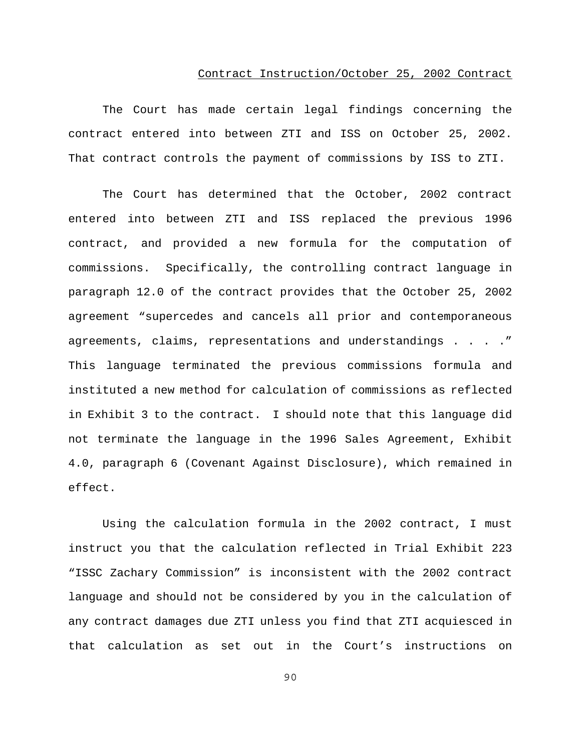### Contract Instruction/October 25, 2002 Contract

The Court has made certain legal findings concerning the contract entered into between ZTI and ISS on October 25, 2002. That contract controls the payment of commissions by ISS to ZTI.

The Court has determined that the October, 2002 contract entered into between ZTI and ISS replaced the previous 1996 contract, and provided a new formula for the computation of commissions. Specifically, the controlling contract language in paragraph 12.0 of the contract provides that the October 25, 2002 agreement "supercedes and cancels all prior and contemporaneous agreements, claims, representations and understandings . . . ." This language terminated the previous commissions formula and instituted a new method for calculation of commissions as reflected in Exhibit 3 to the contract. I should note that this language did not terminate the language in the 1996 Sales Agreement, Exhibit 4.0, paragraph 6 (Covenant Against Disclosure), which remained in effect.

Using the calculation formula in the 2002 contract, I must instruct you that the calculation reflected in Trial Exhibit 223 "ISSC Zachary Commission" is inconsistent with the 2002 contract language and should not be considered by you in the calculation of any contract damages due ZTI unless you find that ZTI acquiesced in that calculation as set out in the Court's instructions on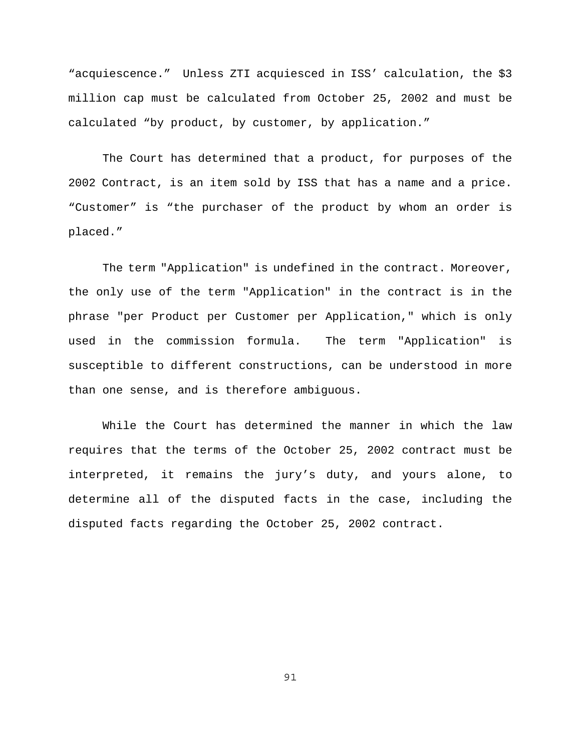"acquiescence." Unless ZTI acquiesced in ISS' calculation, the \$3 million cap must be calculated from October 25, 2002 and must be calculated "by product, by customer, by application."

The Court has determined that a product, for purposes of the 2002 Contract, is an item sold by ISS that has a name and a price. "Customer" is "the purchaser of the product by whom an order is placed."

The term "Application" is undefined in the contract. Moreover, the only use of the term "Application" in the contract is in the phrase "per Product per Customer per Application," which is only used in the commission formula. The term "Application" is susceptible to different constructions, can be understood in more than one sense, and is therefore ambiguous.

While the Court has determined the manner in which the law requires that the terms of the October 25, 2002 contract must be interpreted, it remains the jury's duty, and yours alone, to determine all of the disputed facts in the case, including the disputed facts regarding the October 25, 2002 contract.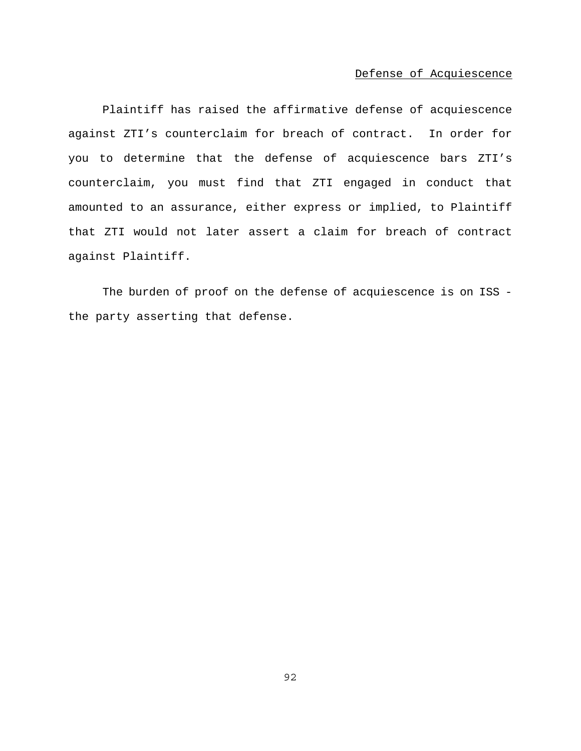## Defense of Acquiescence

Plaintiff has raised the affirmative defense of acquiescence against ZTI's counterclaim for breach of contract. In order for you to determine that the defense of acquiescence bars ZTI's counterclaim, you must find that ZTI engaged in conduct that amounted to an assurance, either express or implied, to Plaintiff that ZTI would not later assert a claim for breach of contract against Plaintiff.

The burden of proof on the defense of acquiescence is on ISS the party asserting that defense.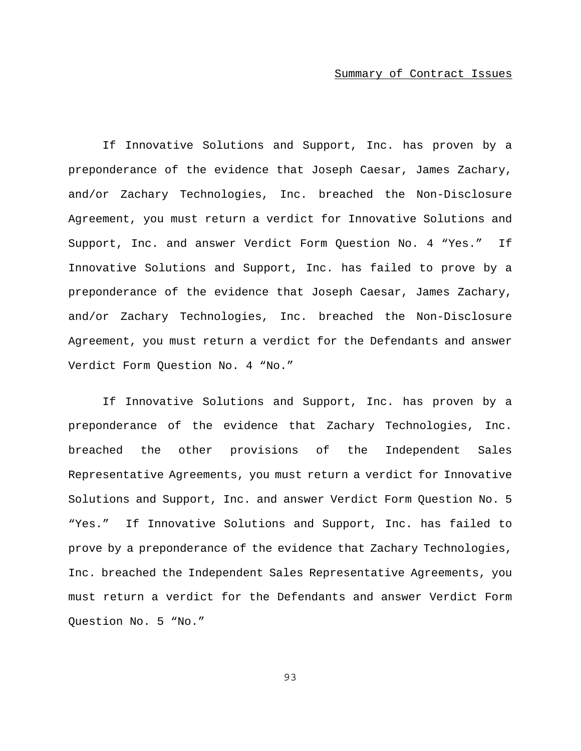If Innovative Solutions and Support, Inc. has proven by a preponderance of the evidence that Joseph Caesar, James Zachary, and/or Zachary Technologies, Inc. breached the Non-Disclosure Agreement, you must return a verdict for Innovative Solutions and Support, Inc. and answer Verdict Form Question No. 4 "Yes." If Innovative Solutions and Support, Inc. has failed to prove by a preponderance of the evidence that Joseph Caesar, James Zachary, and/or Zachary Technologies, Inc. breached the Non-Disclosure Agreement, you must return a verdict for the Defendants and answer Verdict Form Question No. 4 "No."

If Innovative Solutions and Support, Inc. has proven by a preponderance of the evidence that Zachary Technologies, Inc. breached the other provisions of the Independent Sales Representative Agreements, you must return a verdict for Innovative Solutions and Support, Inc. and answer Verdict Form Question No. 5 "Yes." If Innovative Solutions and Support, Inc. has failed to prove by a preponderance of the evidence that Zachary Technologies, Inc. breached the Independent Sales Representative Agreements, you must return a verdict for the Defendants and answer Verdict Form Question No. 5 "No."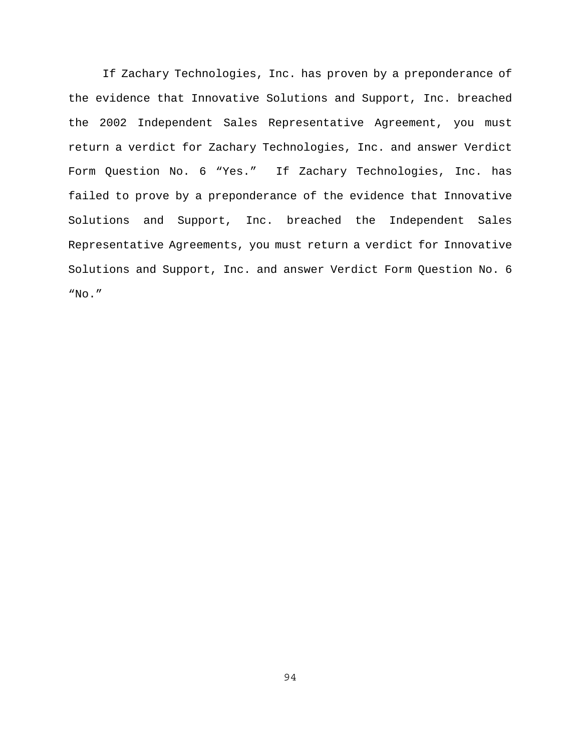If Zachary Technologies, Inc. has proven by a preponderance of the evidence that Innovative Solutions and Support, Inc. breached the 2002 Independent Sales Representative Agreement, you must return a verdict for Zachary Technologies, Inc. and answer Verdict Form Question No. 6 "Yes." If Zachary Technologies, Inc. has failed to prove by a preponderance of the evidence that Innovative Solutions and Support, Inc. breached the Independent Sales Representative Agreements, you must return a verdict for Innovative Solutions and Support, Inc. and answer Verdict Form Question No. 6 "No."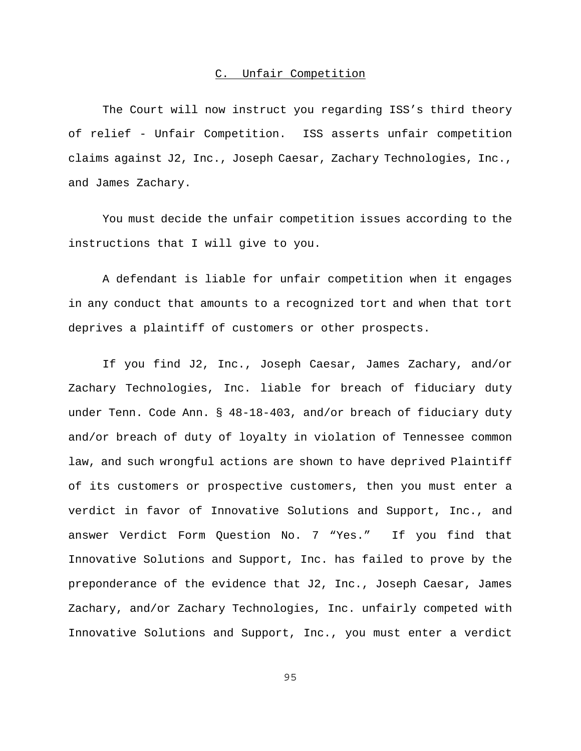# C. Unfair Competition

The Court will now instruct you regarding ISS's third theory of relief - Unfair Competition. ISS asserts unfair competition claims against J2, Inc., Joseph Caesar, Zachary Technologies, Inc., and James Zachary.

You must decide the unfair competition issues according to the instructions that I will give to you.

A defendant is liable for unfair competition when it engages in any conduct that amounts to a recognized tort and when that tort deprives a plaintiff of customers or other prospects.

If you find J2, Inc., Joseph Caesar, James Zachary, and/or Zachary Technologies, Inc. liable for breach of fiduciary duty under Tenn. Code Ann. § 48-18-403, and/or breach of fiduciary duty and/or breach of duty of loyalty in violation of Tennessee common law, and such wrongful actions are shown to have deprived Plaintiff of its customers or prospective customers, then you must enter a verdict in favor of Innovative Solutions and Support, Inc., and answer Verdict Form Question No. 7 "Yes." If you find that Innovative Solutions and Support, Inc. has failed to prove by the preponderance of the evidence that J2, Inc., Joseph Caesar, James Zachary, and/or Zachary Technologies, Inc. unfairly competed with Innovative Solutions and Support, Inc., you must enter a verdict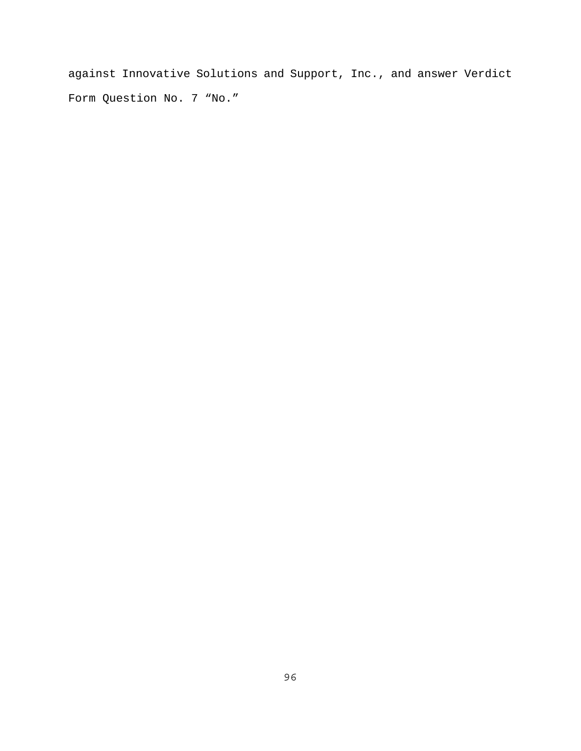against Innovative Solutions and Support, Inc., and answer Verdict Form Question No. 7 "No."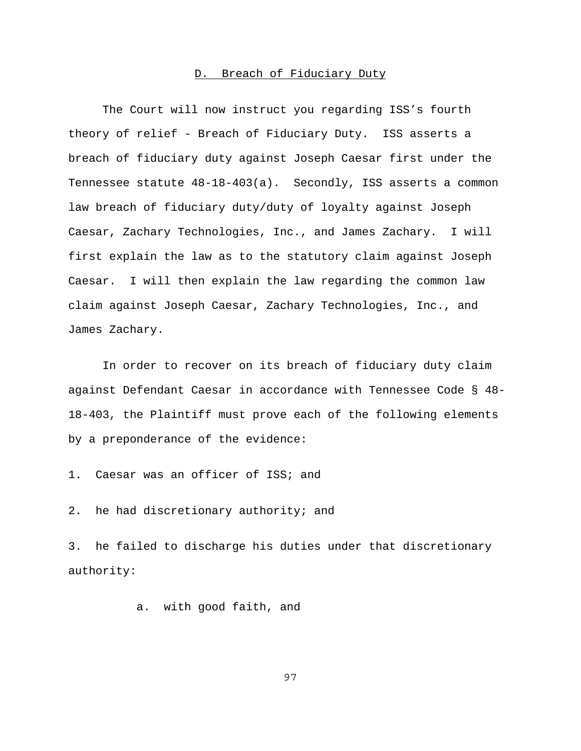### D. Breach of Fiduciary Duty

The Court will now instruct you regarding ISS's fourth theory of relief - Breach of Fiduciary Duty. ISS asserts a breach of fiduciary duty against Joseph Caesar first under the Tennessee statute 48-18-403(a). Secondly, ISS asserts a common law breach of fiduciary duty/duty of loyalty against Joseph Caesar, Zachary Technologies, Inc., and James Zachary. I will first explain the law as to the statutory claim against Joseph Caesar. I will then explain the law regarding the common law claim against Joseph Caesar, Zachary Technologies, Inc., and James Zachary.

In order to recover on its breach of fiduciary duty claim against Defendant Caesar in accordance with Tennessee Code § 48- 18-403, the Plaintiff must prove each of the following elements by a preponderance of the evidence:

1. Caesar was an officer of ISS; and

2. he had discretionary authority; and

3. he failed to discharge his duties under that discretionary authority:

a. with good faith, and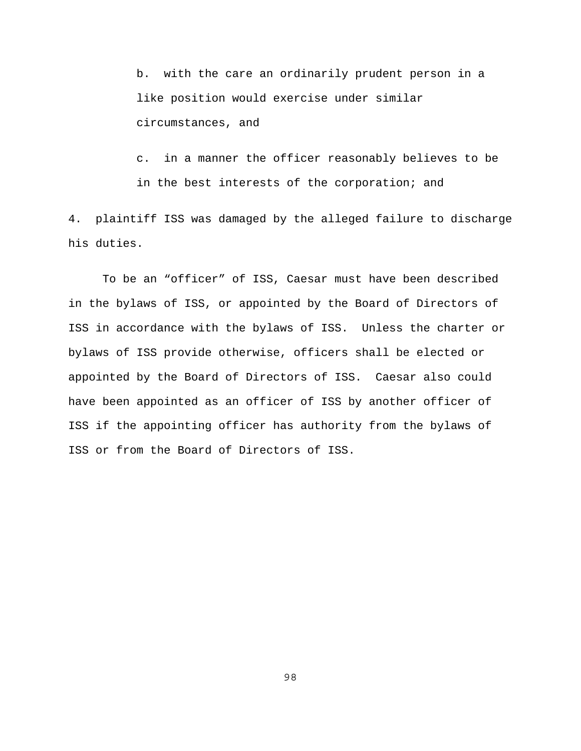b. with the care an ordinarily prudent person in a like position would exercise under similar circumstances, and

c. in a manner the officer reasonably believes to be in the best interests of the corporation; and

4. plaintiff ISS was damaged by the alleged failure to discharge his duties.

To be an "officer" of ISS, Caesar must have been described in the bylaws of ISS, or appointed by the Board of Directors of ISS in accordance with the bylaws of ISS. Unless the charter or bylaws of ISS provide otherwise, officers shall be elected or appointed by the Board of Directors of ISS. Caesar also could have been appointed as an officer of ISS by another officer of ISS if the appointing officer has authority from the bylaws of ISS or from the Board of Directors of ISS.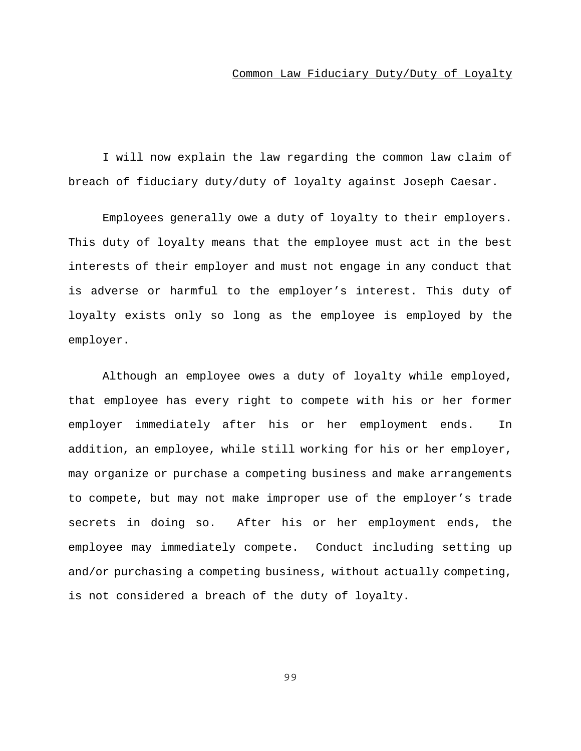### Common Law Fiduciary Duty/Duty of Loyalty

I will now explain the law regarding the common law claim of breach of fiduciary duty/duty of loyalty against Joseph Caesar.

Employees generally owe a duty of loyalty to their employers. This duty of loyalty means that the employee must act in the best interests of their employer and must not engage in any conduct that is adverse or harmful to the employer's interest. This duty of loyalty exists only so long as the employee is employed by the employer.

Although an employee owes a duty of loyalty while employed, that employee has every right to compete with his or her former employer immediately after his or her employment ends. In addition, an employee, while still working for his or her employer, may organize or purchase a competing business and make arrangements to compete, but may not make improper use of the employer's trade secrets in doing so. After his or her employment ends, the employee may immediately compete. Conduct including setting up and/or purchasing a competing business, without actually competing, is not considered a breach of the duty of loyalty.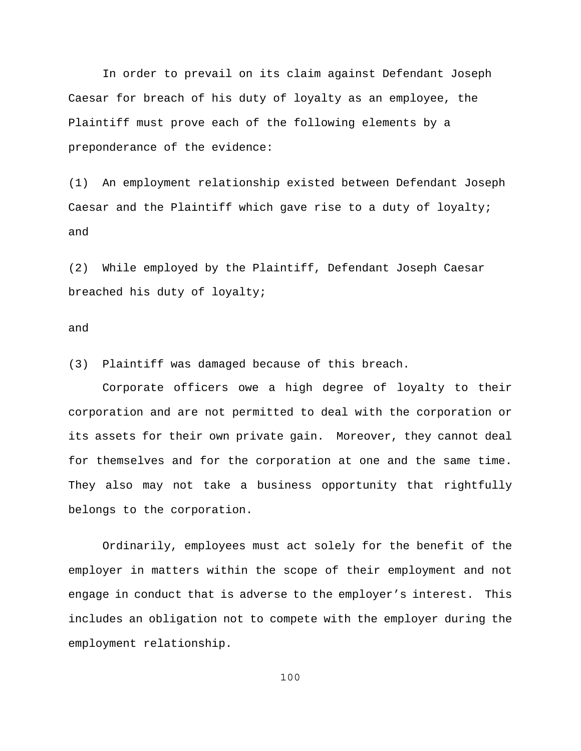In order to prevail on its claim against Defendant Joseph Caesar for breach of his duty of loyalty as an employee, the Plaintiff must prove each of the following elements by a preponderance of the evidence:

(1) An employment relationship existed between Defendant Joseph Caesar and the Plaintiff which gave rise to a duty of loyalty; and

(2) While employed by the Plaintiff, Defendant Joseph Caesar breached his duty of loyalty;

### and

(3) Plaintiff was damaged because of this breach.

Corporate officers owe a high degree of loyalty to their corporation and are not permitted to deal with the corporation or its assets for their own private gain. Moreover, they cannot deal for themselves and for the corporation at one and the same time. They also may not take a business opportunity that rightfully belongs to the corporation.

Ordinarily, employees must act solely for the benefit of the employer in matters within the scope of their employment and not engage in conduct that is adverse to the employer's interest. This includes an obligation not to compete with the employer during the employment relationship.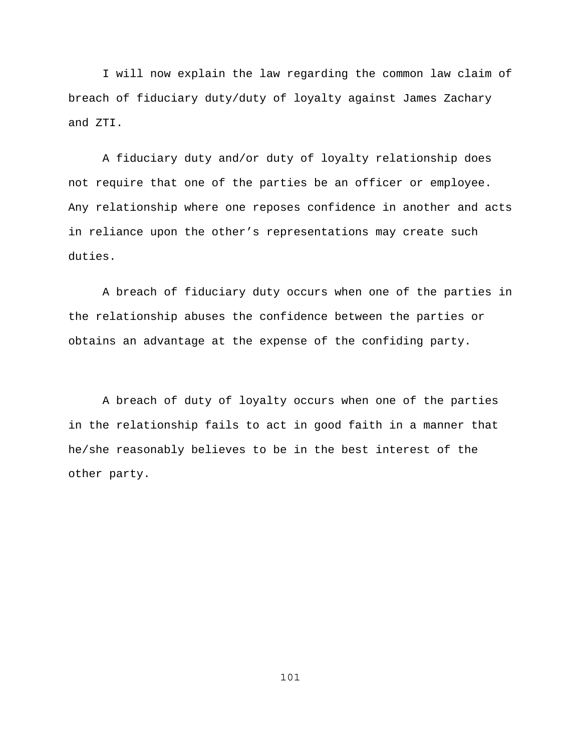I will now explain the law regarding the common law claim of breach of fiduciary duty/duty of loyalty against James Zachary and ZTI.

A fiduciary duty and/or duty of loyalty relationship does not require that one of the parties be an officer or employee. Any relationship where one reposes confidence in another and acts in reliance upon the other's representations may create such duties.

A breach of fiduciary duty occurs when one of the parties in the relationship abuses the confidence between the parties or obtains an advantage at the expense of the confiding party.

A breach of duty of loyalty occurs when one of the parties in the relationship fails to act in good faith in a manner that he/she reasonably believes to be in the best interest of the other party.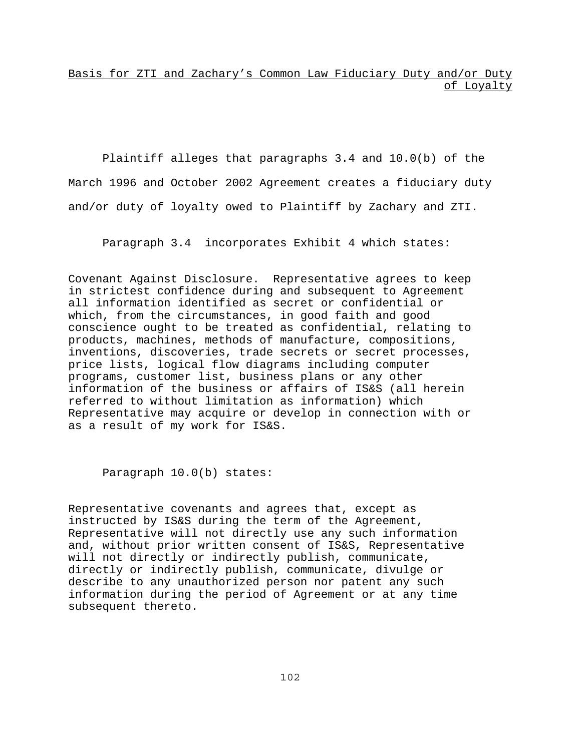Basis for ZTI and Zachary's Common Law Fiduciary Duty and/or Duty of Loyalty

Plaintiff alleges that paragraphs 3.4 and 10.0(b) of the March 1996 and October 2002 Agreement creates a fiduciary duty and/or duty of loyalty owed to Plaintiff by Zachary and ZTI.

Paragraph 3.4 incorporates Exhibit 4 which states:

Covenant Against Disclosure. Representative agrees to keep in strictest confidence during and subsequent to Agreement all information identified as secret or confidential or which, from the circumstances, in good faith and good conscience ought to be treated as confidential, relating to products, machines, methods of manufacture, compositions, inventions, discoveries, trade secrets or secret processes, price lists, logical flow diagrams including computer programs, customer list, business plans or any other information of the business or affairs of IS&S (all herein referred to without limitation as information) which Representative may acquire or develop in connection with or as a result of my work for IS&S.

Paragraph 10.0(b) states:

Representative covenants and agrees that, except as instructed by IS&S during the term of the Agreement, Representative will not directly use any such information and, without prior written consent of IS&S, Representative will not directly or indirectly publish, communicate, directly or indirectly publish, communicate, divulge or describe to any unauthorized person nor patent any such information during the period of Agreement or at any time subsequent thereto.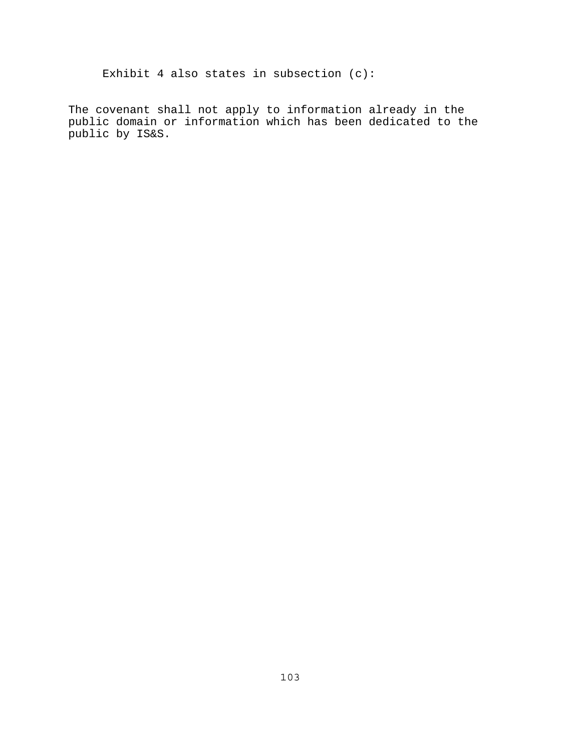Exhibit 4 also states in subsection (c):

The covenant shall not apply to information already in the public domain or information which has been dedicated to the public by IS&S.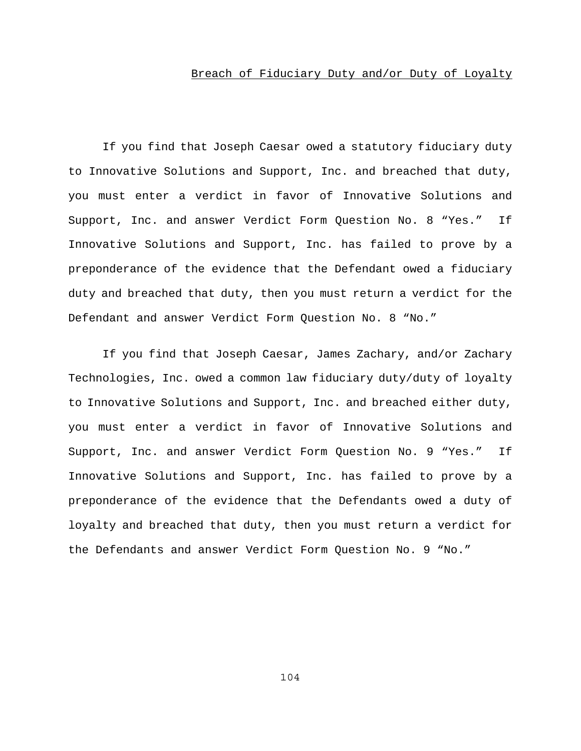## Breach of Fiduciary Duty and/or Duty of Loyalty

If you find that Joseph Caesar owed a statutory fiduciary duty to Innovative Solutions and Support, Inc. and breached that duty, you must enter a verdict in favor of Innovative Solutions and Support, Inc. and answer Verdict Form Question No. 8 "Yes." If Innovative Solutions and Support, Inc. has failed to prove by a preponderance of the evidence that the Defendant owed a fiduciary duty and breached that duty, then you must return a verdict for the Defendant and answer Verdict Form Question No. 8 "No."

If you find that Joseph Caesar, James Zachary, and/or Zachary Technologies, Inc. owed a common law fiduciary duty/duty of loyalty to Innovative Solutions and Support, Inc. and breached either duty, you must enter a verdict in favor of Innovative Solutions and Support, Inc. and answer Verdict Form Question No. 9 "Yes." If Innovative Solutions and Support, Inc. has failed to prove by a preponderance of the evidence that the Defendants owed a duty of loyalty and breached that duty, then you must return a verdict for the Defendants and answer Verdict Form Question No. 9 "No."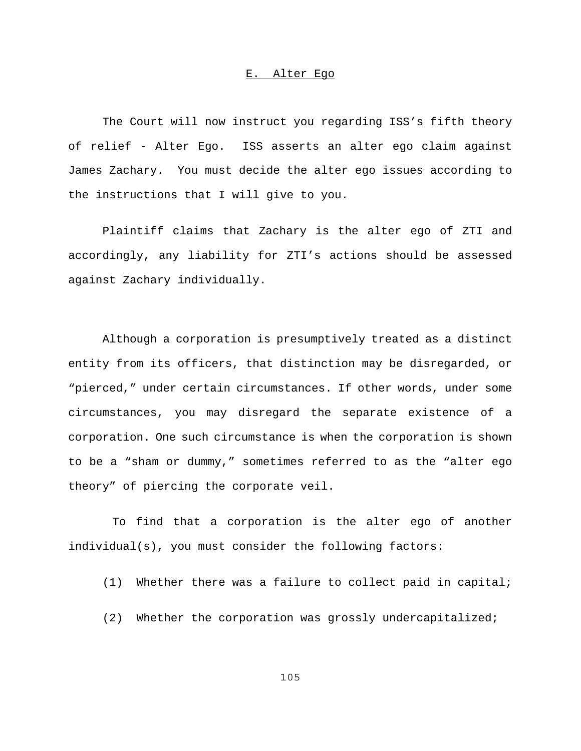### E. Alter Ego

The Court will now instruct you regarding ISS's fifth theory of relief - Alter Ego. ISS asserts an alter ego claim against James Zachary. You must decide the alter ego issues according to the instructions that I will give to you.

Plaintiff claims that Zachary is the alter ego of ZTI and accordingly, any liability for ZTI's actions should be assessed against Zachary individually.

Although a corporation is presumptively treated as a distinct entity from its officers, that distinction may be disregarded, or "pierced," under certain circumstances. If other words, under some circumstances, you may disregard the separate existence of a corporation. One such circumstance is when the corporation is shown to be a "sham or dummy," sometimes referred to as the "alter ego theory" of piercing the corporate veil.

 To find that a corporation is the alter ego of another individual(s), you must consider the following factors:

(1) Whether there was a failure to collect paid in capital;

(2) Whether the corporation was grossly undercapitalized;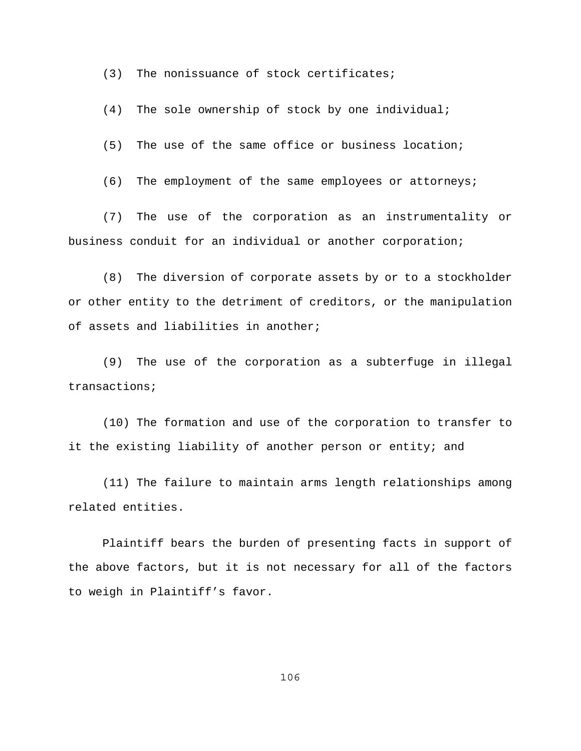(3) The nonissuance of stock certificates;

(4) The sole ownership of stock by one individual;

(5) The use of the same office or business location;

(6) The employment of the same employees or attorneys;

(7) The use of the corporation as an instrumentality or business conduit for an individual or another corporation;

(8) The diversion of corporate assets by or to a stockholder or other entity to the detriment of creditors, or the manipulation of assets and liabilities in another;

(9) The use of the corporation as a subterfuge in illegal transactions;

(10) The formation and use of the corporation to transfer to it the existing liability of another person or entity; and

(11) The failure to maintain arms length relationships among related entities.

Plaintiff bears the burden of presenting facts in support of the above factors, but it is not necessary for all of the factors to weigh in Plaintiff's favor.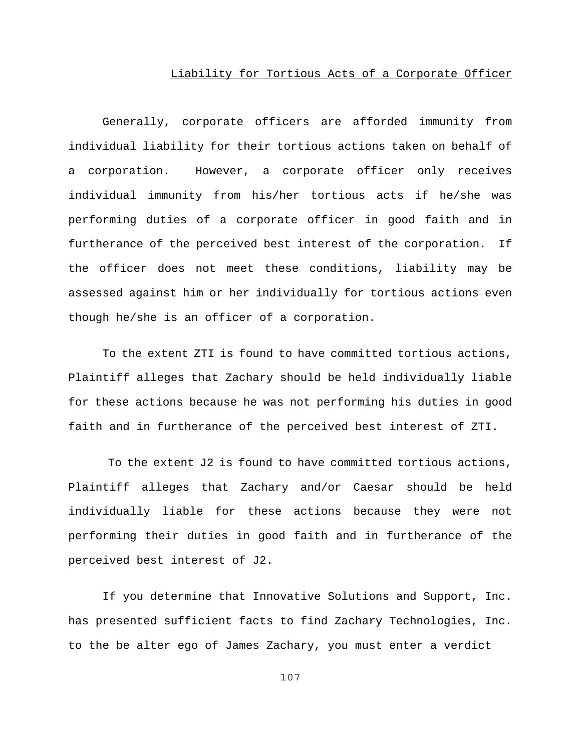### Liability for Tortious Acts of a Corporate Officer

Generally, corporate officers are afforded immunity from individual liability for their tortious actions taken on behalf of a corporation. However, a corporate officer only receives individual immunity from his/her tortious acts if he/she was performing duties of a corporate officer in good faith and in furtherance of the perceived best interest of the corporation. If the officer does not meet these conditions, liability may be assessed against him or her individually for tortious actions even though he/she is an officer of a corporation.

To the extent ZTI is found to have committed tortious actions, Plaintiff alleges that Zachary should be held individually liable for these actions because he was not performing his duties in good faith and in furtherance of the perceived best interest of ZTI.

 To the extent J2 is found to have committed tortious actions, Plaintiff alleges that Zachary and/or Caesar should be held individually liable for these actions because they were not performing their duties in good faith and in furtherance of the perceived best interest of J2.

If you determine that Innovative Solutions and Support, Inc. has presented sufficient facts to find Zachary Technologies, Inc. to the be alter ego of James Zachary, you must enter a verdict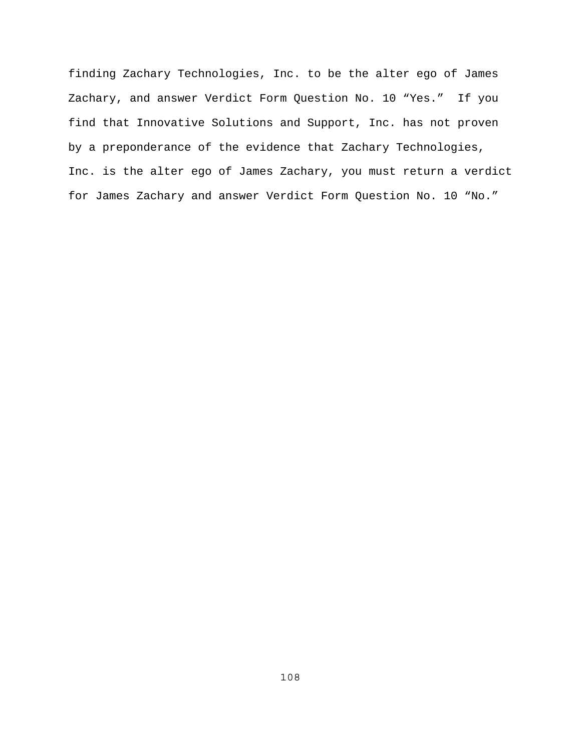finding Zachary Technologies, Inc. to be the alter ego of James Zachary, and answer Verdict Form Question No. 10 "Yes." If you find that Innovative Solutions and Support, Inc. has not proven by a preponderance of the evidence that Zachary Technologies, Inc. is the alter ego of James Zachary, you must return a verdict for James Zachary and answer Verdict Form Question No. 10 "No."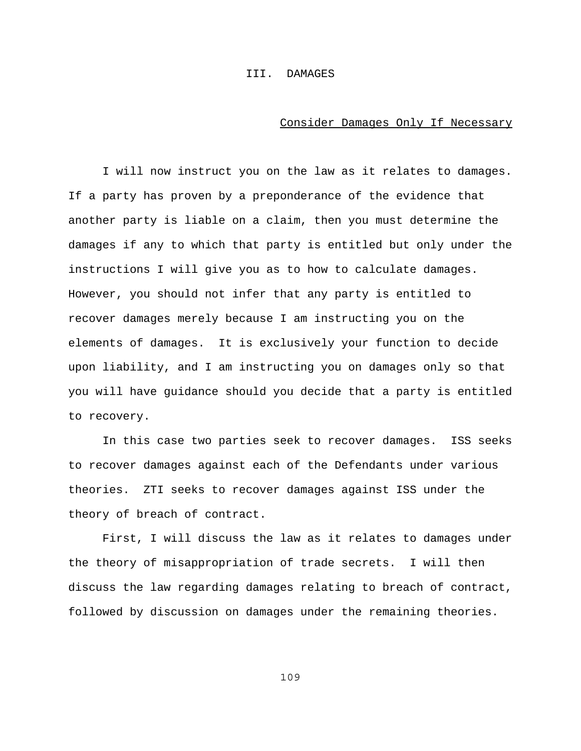### III. DAMAGES

#### Consider Damages Only If Necessary

I will now instruct you on the law as it relates to damages. If a party has proven by a preponderance of the evidence that another party is liable on a claim, then you must determine the damages if any to which that party is entitled but only under the instructions I will give you as to how to calculate damages. However, you should not infer that any party is entitled to recover damages merely because I am instructing you on the elements of damages. It is exclusively your function to decide upon liability, and I am instructing you on damages only so that you will have guidance should you decide that a party is entitled to recovery.

In this case two parties seek to recover damages. ISS seeks to recover damages against each of the Defendants under various theories. ZTI seeks to recover damages against ISS under the theory of breach of contract.

First, I will discuss the law as it relates to damages under the theory of misappropriation of trade secrets. I will then discuss the law regarding damages relating to breach of contract, followed by discussion on damages under the remaining theories.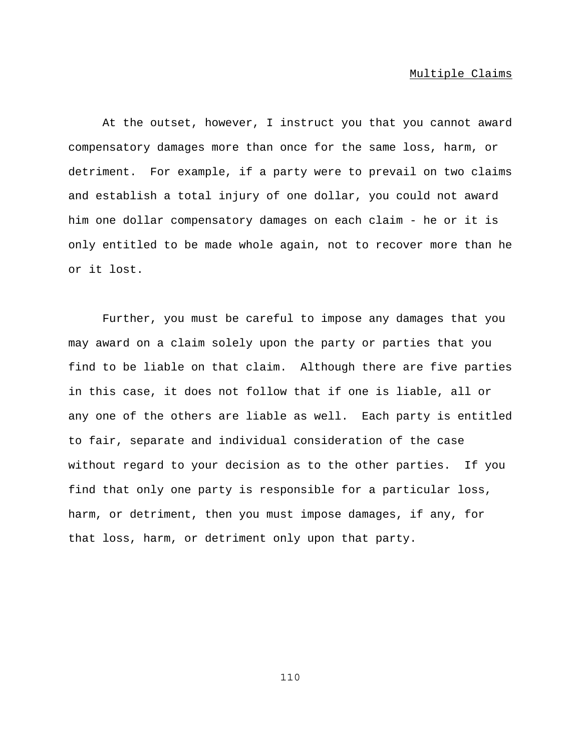### Multiple Claims

At the outset, however, I instruct you that you cannot award compensatory damages more than once for the same loss, harm, or detriment. For example, if a party were to prevail on two claims and establish a total injury of one dollar, you could not award him one dollar compensatory damages on each claim - he or it is only entitled to be made whole again, not to recover more than he or it lost.

Further, you must be careful to impose any damages that you may award on a claim solely upon the party or parties that you find to be liable on that claim. Although there are five parties in this case, it does not follow that if one is liable, all or any one of the others are liable as well. Each party is entitled to fair, separate and individual consideration of the case without regard to your decision as to the other parties. If you find that only one party is responsible for a particular loss, harm, or detriment, then you must impose damages, if any, for that loss, harm, or detriment only upon that party.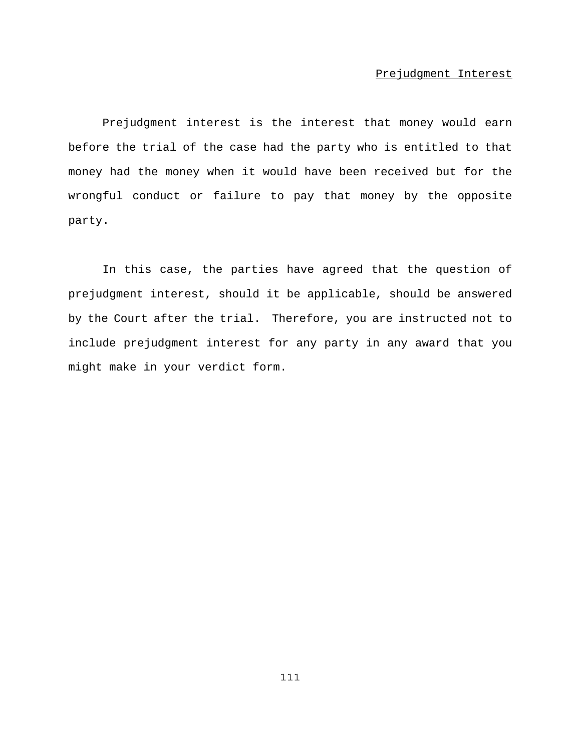### Prejudgment Interest

Prejudgment interest is the interest that money would earn before the trial of the case had the party who is entitled to that money had the money when it would have been received but for the wrongful conduct or failure to pay that money by the opposite party.

In this case, the parties have agreed that the question of prejudgment interest, should it be applicable, should be answered by the Court after the trial. Therefore, you are instructed not to include prejudgment interest for any party in any award that you might make in your verdict form.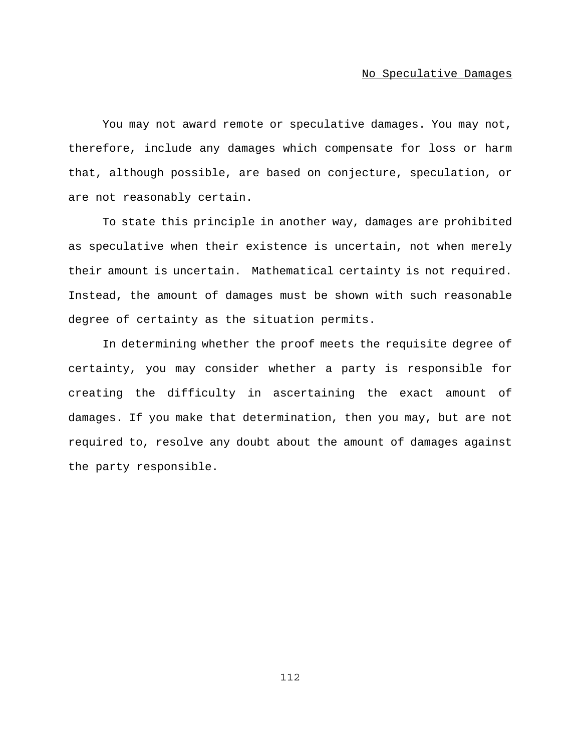### No Speculative Damages

You may not award remote or speculative damages. You may not, therefore, include any damages which compensate for loss or harm that, although possible, are based on conjecture, speculation, or are not reasonably certain.

To state this principle in another way, damages are prohibited as speculative when their existence is uncertain, not when merely their amount is uncertain. Mathematical certainty is not required. Instead, the amount of damages must be shown with such reasonable degree of certainty as the situation permits.

In determining whether the proof meets the requisite degree of certainty, you may consider whether a party is responsible for creating the difficulty in ascertaining the exact amount of damages. If you make that determination, then you may, but are not required to, resolve any doubt about the amount of damages against the party responsible.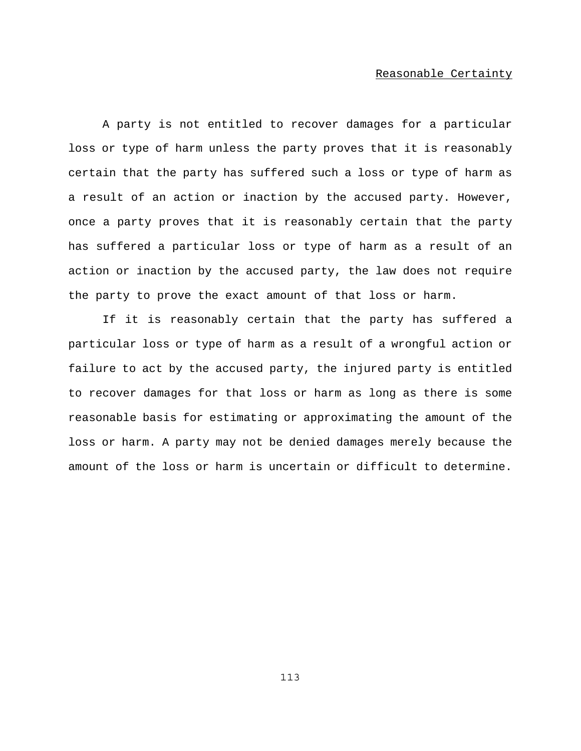### Reasonable Certainty

A party is not entitled to recover damages for a particular loss or type of harm unless the party proves that it is reasonably certain that the party has suffered such a loss or type of harm as a result of an action or inaction by the accused party. However, once a party proves that it is reasonably certain that the party has suffered a particular loss or type of harm as a result of an action or inaction by the accused party, the law does not require the party to prove the exact amount of that loss or harm.

If it is reasonably certain that the party has suffered a particular loss or type of harm as a result of a wrongful action or failure to act by the accused party, the injured party is entitled to recover damages for that loss or harm as long as there is some reasonable basis for estimating or approximating the amount of the loss or harm. A party may not be denied damages merely because the amount of the loss or harm is uncertain or difficult to determine.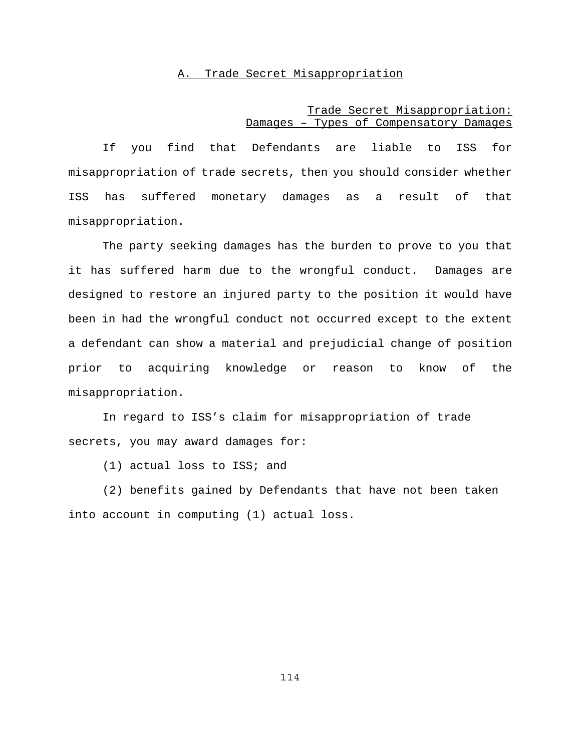## A. Trade Secret Misappropriation

# Trade Secret Misappropriation: Damages – Types of Compensatory Damages

If you find that Defendants are liable to ISS for misappropriation of trade secrets, then you should consider whether ISS has suffered monetary damages as a result of that misappropriation.

The party seeking damages has the burden to prove to you that it has suffered harm due to the wrongful conduct. Damages are designed to restore an injured party to the position it would have been in had the wrongful conduct not occurred except to the extent a defendant can show a material and prejudicial change of position prior to acquiring knowledge or reason to know of the misappropriation.

In regard to ISS's claim for misappropriation of trade secrets, you may award damages for:

(1) actual loss to ISS; and

(2) benefits gained by Defendants that have not been taken into account in computing (1) actual loss.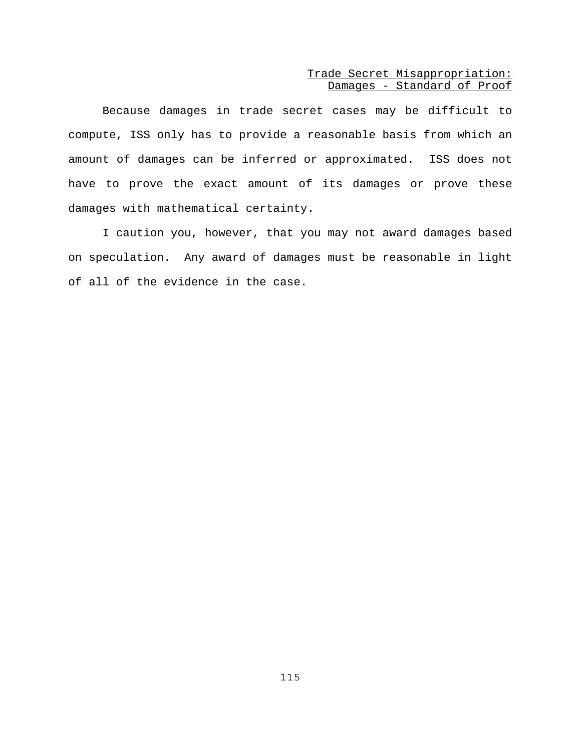## Trade Secret Misappropriation: Damages - Standard of Proof

Because damages in trade secret cases may be difficult to compute, ISS only has to provide a reasonable basis from which an amount of damages can be inferred or approximated. ISS does not have to prove the exact amount of its damages or prove these damages with mathematical certainty.

I caution you, however, that you may not award damages based on speculation. Any award of damages must be reasonable in light of all of the evidence in the case.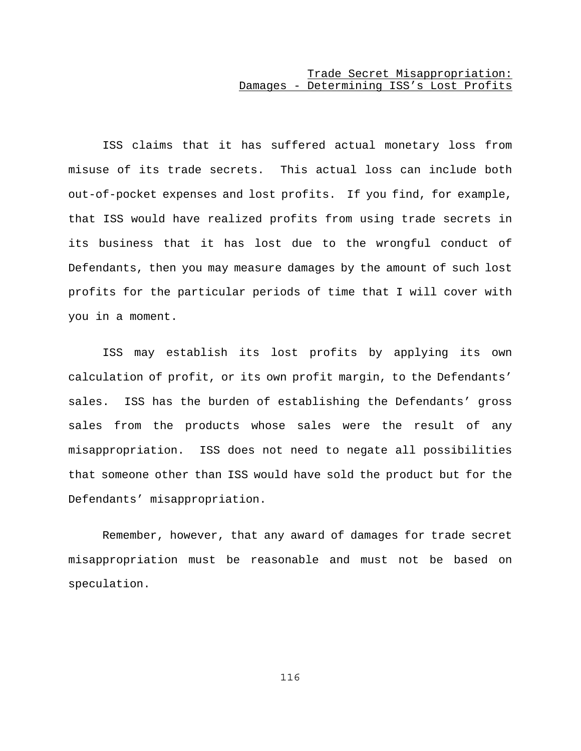# Trade Secret Misappropriation: Damages - Determining ISS's Lost Profits

ISS claims that it has suffered actual monetary loss from misuse of its trade secrets. This actual loss can include both out-of-pocket expenses and lost profits. If you find, for example, that ISS would have realized profits from using trade secrets in its business that it has lost due to the wrongful conduct of Defendants, then you may measure damages by the amount of such lost profits for the particular periods of time that I will cover with you in a moment.

ISS may establish its lost profits by applying its own calculation of profit, or its own profit margin, to the Defendants' sales. ISS has the burden of establishing the Defendants' gross sales from the products whose sales were the result of any misappropriation. ISS does not need to negate all possibilities that someone other than ISS would have sold the product but for the Defendants' misappropriation.

Remember, however, that any award of damages for trade secret misappropriation must be reasonable and must not be based on speculation.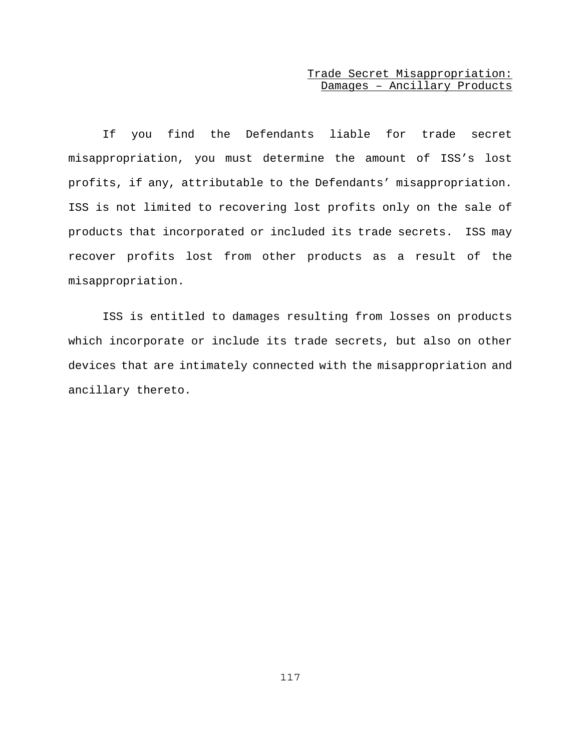# Trade Secret Misappropriation: Damages – Ancillary Products

If you find the Defendants liable for trade secret misappropriation, you must determine the amount of ISS's lost profits, if any, attributable to the Defendants' misappropriation. ISS is not limited to recovering lost profits only on the sale of products that incorporated or included its trade secrets. ISS may recover profits lost from other products as a result of the misappropriation.

ISS is entitled to damages resulting from losses on products which incorporate or include its trade secrets, but also on other devices that are intimately connected with the misappropriation and ancillary thereto.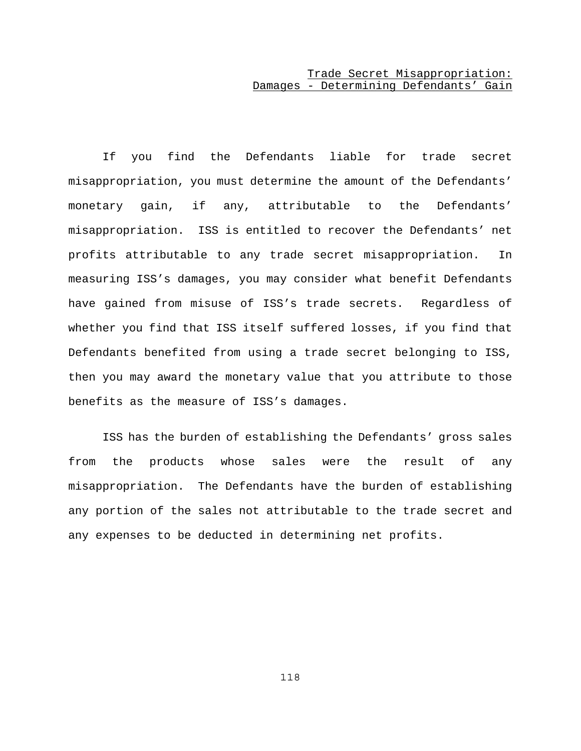# Trade Secret Misappropriation: Damages - Determining Defendants' Gain

If you find the Defendants liable for trade secret misappropriation, you must determine the amount of the Defendants' monetary gain, if any, attributable to the Defendants' misappropriation. ISS is entitled to recover the Defendants' net profits attributable to any trade secret misappropriation. In measuring ISS's damages, you may consider what benefit Defendants have gained from misuse of ISS's trade secrets. Regardless of whether you find that ISS itself suffered losses, if you find that Defendants benefited from using a trade secret belonging to ISS, then you may award the monetary value that you attribute to those benefits as the measure of ISS's damages.

ISS has the burden of establishing the Defendants' gross sales from the products whose sales were the result of any misappropriation. The Defendants have the burden of establishing any portion of the sales not attributable to the trade secret and any expenses to be deducted in determining net profits.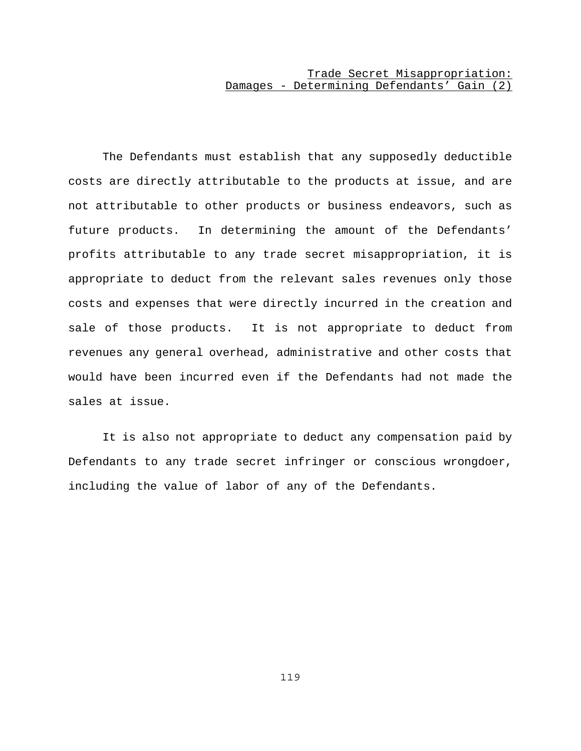# Trade Secret Misappropriation: Damages - Determining Defendants' Gain (2)

The Defendants must establish that any supposedly deductible costs are directly attributable to the products at issue, and are not attributable to other products or business endeavors, such as future products. In determining the amount of the Defendants' profits attributable to any trade secret misappropriation, it is appropriate to deduct from the relevant sales revenues only those costs and expenses that were directly incurred in the creation and sale of those products. It is not appropriate to deduct from revenues any general overhead, administrative and other costs that would have been incurred even if the Defendants had not made the sales at issue.

It is also not appropriate to deduct any compensation paid by Defendants to any trade secret infringer or conscious wrongdoer, including the value of labor of any of the Defendants.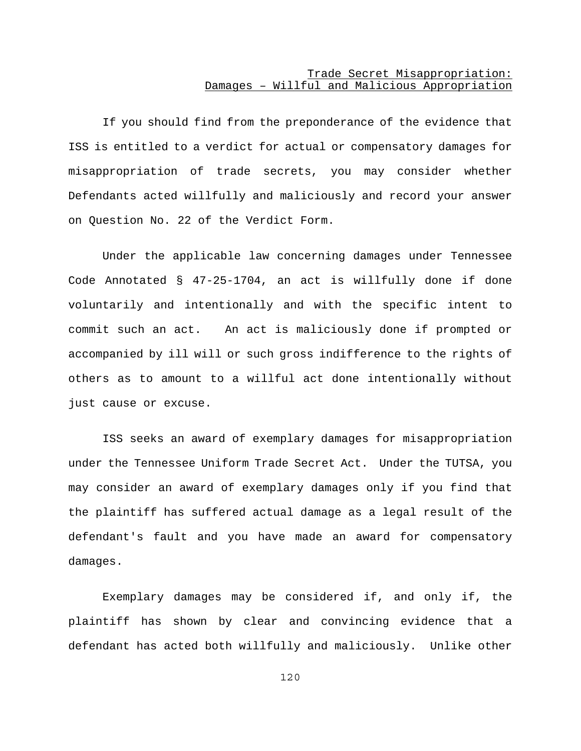# Trade Secret Misappropriation: Damages – Willful and Malicious Appropriation

If you should find from the preponderance of the evidence that ISS is entitled to a verdict for actual or compensatory damages for misappropriation of trade secrets, you may consider whether Defendants acted willfully and maliciously and record your answer on Question No. 22 of the Verdict Form.

Under the applicable law concerning damages under Tennessee Code Annotated § 47-25-1704, an act is willfully done if done voluntarily and intentionally and with the specific intent to commit such an act. An act is maliciously done if prompted or accompanied by ill will or such gross indifference to the rights of others as to amount to a willful act done intentionally without just cause or excuse.

ISS seeks an award of exemplary damages for misappropriation under the Tennessee Uniform Trade Secret Act. Under the TUTSA, you may consider an award of exemplary damages only if you find that the plaintiff has suffered actual damage as a legal result of the defendant's fault and you have made an award for compensatory damages.

Exemplary damages may be considered if, and only if, the plaintiff has shown by clear and convincing evidence that a defendant has acted both willfully and maliciously. Unlike other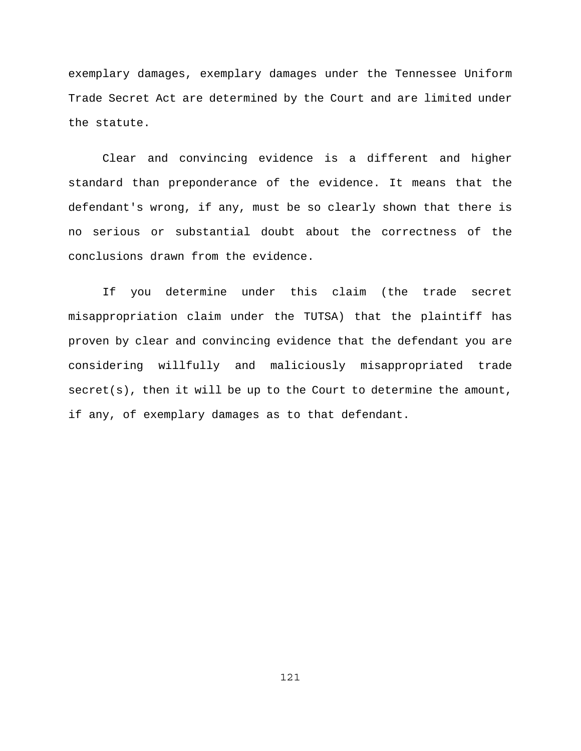exemplary damages, exemplary damages under the Tennessee Uniform Trade Secret Act are determined by the Court and are limited under the statute.

Clear and convincing evidence is a different and higher standard than preponderance of the evidence. It means that the defendant's wrong, if any, must be so clearly shown that there is no serious or substantial doubt about the correctness of the conclusions drawn from the evidence.

If you determine under this claim (the trade secret misappropriation claim under the TUTSA) that the plaintiff has proven by clear and convincing evidence that the defendant you are considering willfully and maliciously misappropriated trade secret(s), then it will be up to the Court to determine the amount, if any, of exemplary damages as to that defendant.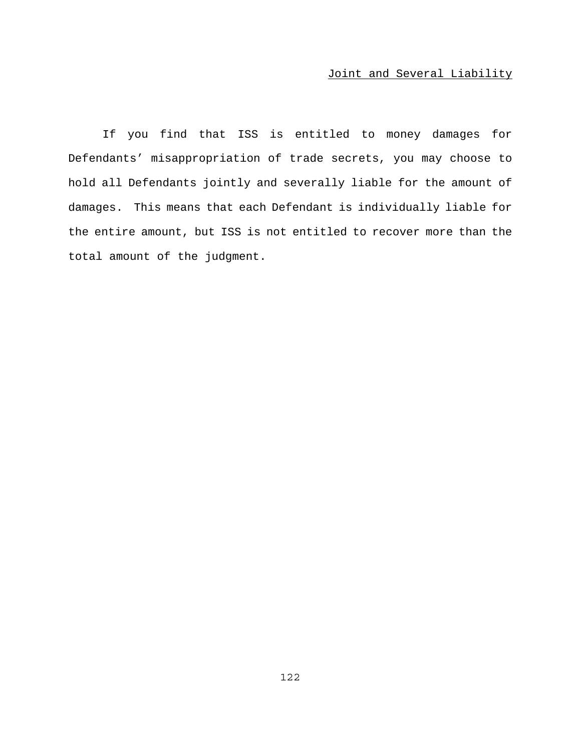# Joint and Several Liability

If you find that ISS is entitled to money damages for Defendants' misappropriation of trade secrets, you may choose to hold all Defendants jointly and severally liable for the amount of damages. This means that each Defendant is individually liable for the entire amount, but ISS is not entitled to recover more than the total amount of the judgment.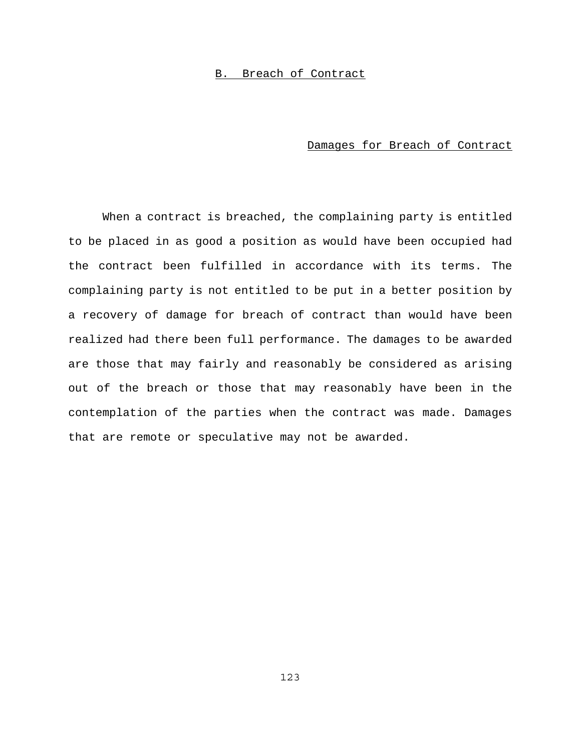## B. Breach of Contract

## Damages for Breach of Contract

When a contract is breached, the complaining party is entitled to be placed in as good a position as would have been occupied had the contract been fulfilled in accordance with its terms. The complaining party is not entitled to be put in a better position by a recovery of damage for breach of contract than would have been realized had there been full performance. The damages to be awarded are those that may fairly and reasonably be considered as arising out of the breach or those that may reasonably have been in the contemplation of the parties when the contract was made. Damages that are remote or speculative may not be awarded.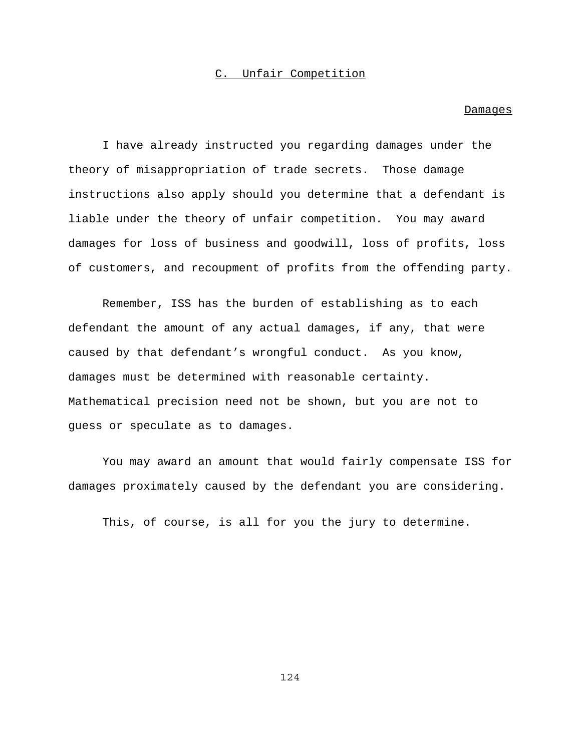### C. Unfair Competition

#### **Damages**

I have already instructed you regarding damages under the theory of misappropriation of trade secrets. Those damage instructions also apply should you determine that a defendant is liable under the theory of unfair competition. You may award damages for loss of business and goodwill, loss of profits, loss of customers, and recoupment of profits from the offending party.

Remember, ISS has the burden of establishing as to each defendant the amount of any actual damages, if any, that were caused by that defendant's wrongful conduct. As you know, damages must be determined with reasonable certainty. Mathematical precision need not be shown, but you are not to guess or speculate as to damages.

You may award an amount that would fairly compensate ISS for damages proximately caused by the defendant you are considering.

This, of course, is all for you the jury to determine.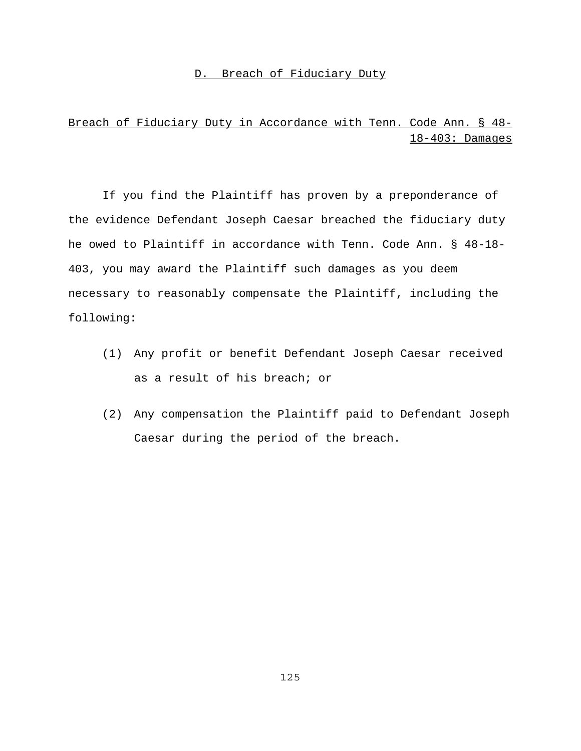## D. Breach of Fiduciary Duty

# Breach of Fiduciary Duty in Accordance with Tenn. Code Ann. § 48- 18-403: Damages

If you find the Plaintiff has proven by a preponderance of the evidence Defendant Joseph Caesar breached the fiduciary duty he owed to Plaintiff in accordance with Tenn. Code Ann. § 48-18- 403, you may award the Plaintiff such damages as you deem necessary to reasonably compensate the Plaintiff, including the following:

- (1) Any profit or benefit Defendant Joseph Caesar received as a result of his breach; or
- (2) Any compensation the Plaintiff paid to Defendant Joseph Caesar during the period of the breach.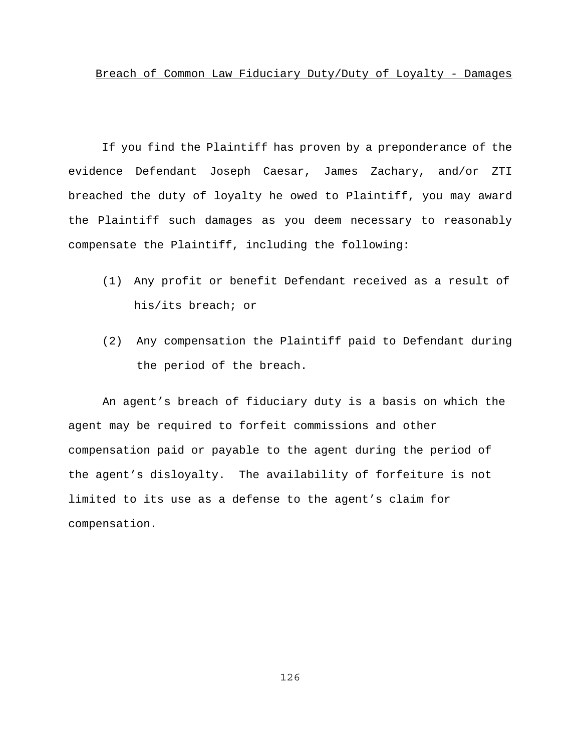If you find the Plaintiff has proven by a preponderance of the evidence Defendant Joseph Caesar, James Zachary, and/or ZTI breached the duty of loyalty he owed to Plaintiff, you may award the Plaintiff such damages as you deem necessary to reasonably compensate the Plaintiff, including the following:

- (1) Any profit or benefit Defendant received as a result of his/its breach; or
- (2) Any compensation the Plaintiff paid to Defendant during the period of the breach.

An agent's breach of fiduciary duty is a basis on which the agent may be required to forfeit commissions and other compensation paid or payable to the agent during the period of the agent's disloyalty. The availability of forfeiture is not limited to its use as a defense to the agent's claim for compensation.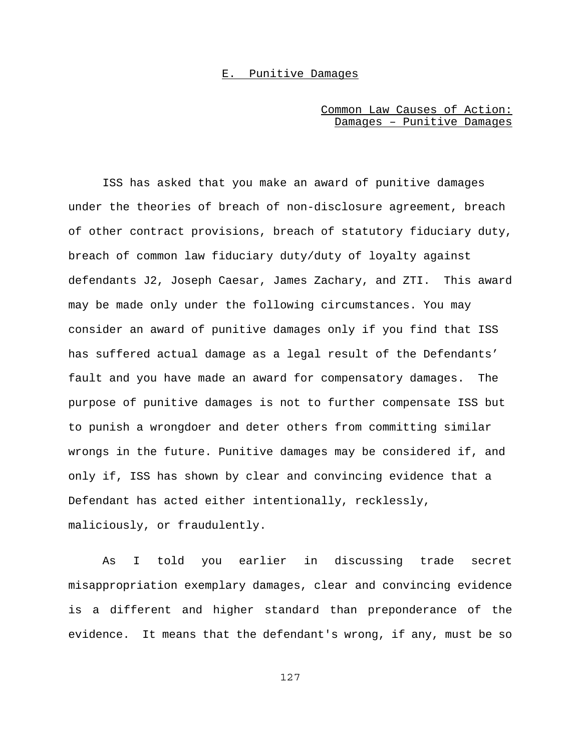### E. Punitive Damages

## Common Law Causes of Action: Damages – Punitive Damages

ISS has asked that you make an award of punitive damages under the theories of breach of non-disclosure agreement, breach of other contract provisions, breach of statutory fiduciary duty, breach of common law fiduciary duty/duty of loyalty against defendants J2, Joseph Caesar, James Zachary, and ZTI. This award may be made only under the following circumstances. You may consider an award of punitive damages only if you find that ISS has suffered actual damage as a legal result of the Defendants' fault and you have made an award for compensatory damages. The purpose of punitive damages is not to further compensate ISS but to punish a wrongdoer and deter others from committing similar wrongs in the future. Punitive damages may be considered if, and only if, ISS has shown by clear and convincing evidence that a Defendant has acted either intentionally, recklessly, maliciously, or fraudulently.

As I told you earlier in discussing trade secret misappropriation exemplary damages, clear and convincing evidence is a different and higher standard than preponderance of the evidence. It means that the defendant's wrong, if any, must be so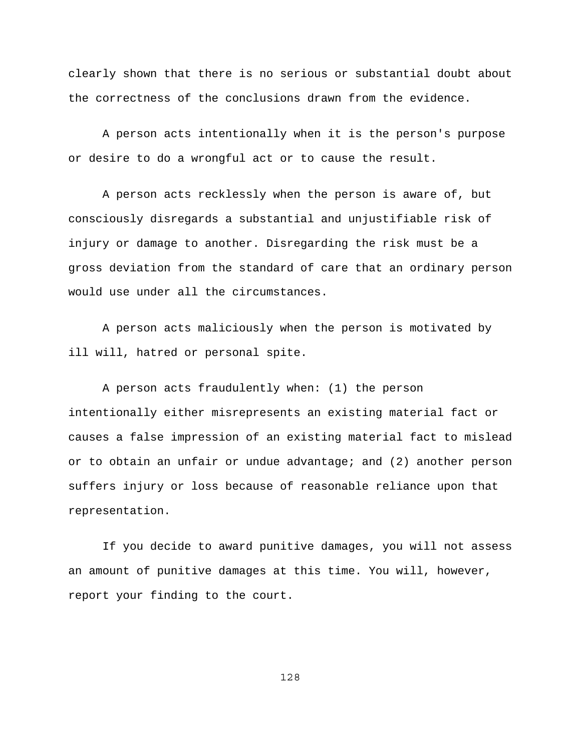clearly shown that there is no serious or substantial doubt about the correctness of the conclusions drawn from the evidence.

A person acts intentionally when it is the person's purpose or desire to do a wrongful act or to cause the result.

A person acts recklessly when the person is aware of, but consciously disregards a substantial and unjustifiable risk of injury or damage to another. Disregarding the risk must be a gross deviation from the standard of care that an ordinary person would use under all the circumstances.

A person acts maliciously when the person is motivated by ill will, hatred or personal spite.

A person acts fraudulently when: (1) the person intentionally either misrepresents an existing material fact or causes a false impression of an existing material fact to mislead or to obtain an unfair or undue advantage; and (2) another person suffers injury or loss because of reasonable reliance upon that representation.

If you decide to award punitive damages, you will not assess an amount of punitive damages at this time. You will, however, report your finding to the court.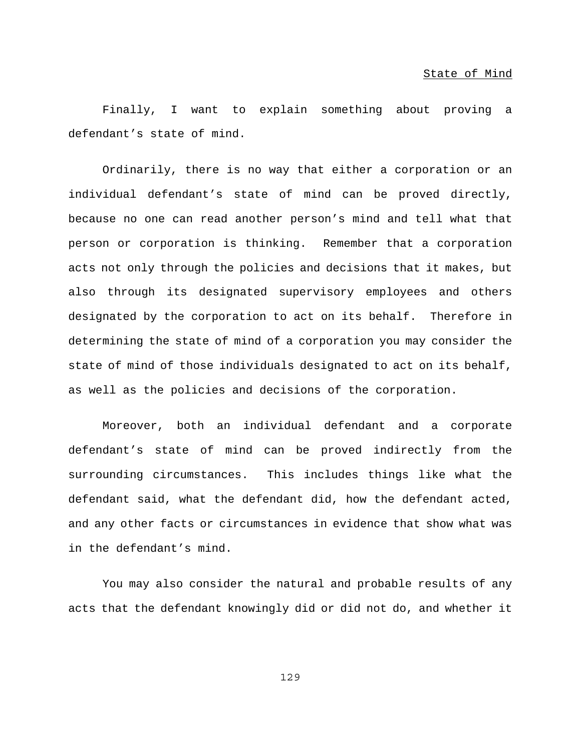Finally, I want to explain something about proving a defendant's state of mind.

Ordinarily, there is no way that either a corporation or an individual defendant's state of mind can be proved directly, because no one can read another person's mind and tell what that person or corporation is thinking. Remember that a corporation acts not only through the policies and decisions that it makes, but also through its designated supervisory employees and others designated by the corporation to act on its behalf. Therefore in determining the state of mind of a corporation you may consider the state of mind of those individuals designated to act on its behalf, as well as the policies and decisions of the corporation.

Moreover, both an individual defendant and a corporate defendant's state of mind can be proved indirectly from the surrounding circumstances. This includes things like what the defendant said, what the defendant did, how the defendant acted, and any other facts or circumstances in evidence that show what was in the defendant's mind.

You may also consider the natural and probable results of any acts that the defendant knowingly did or did not do, and whether it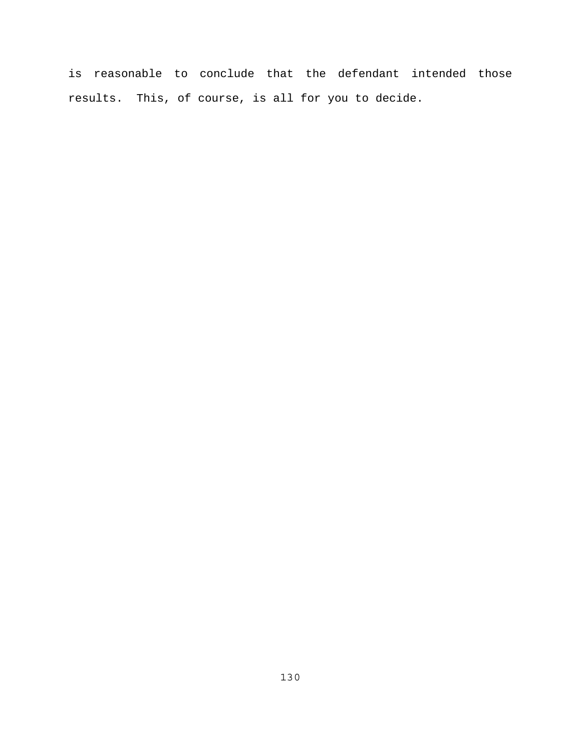is reasonable to conclude that the defendant intended those results. This, of course, is all for you to decide.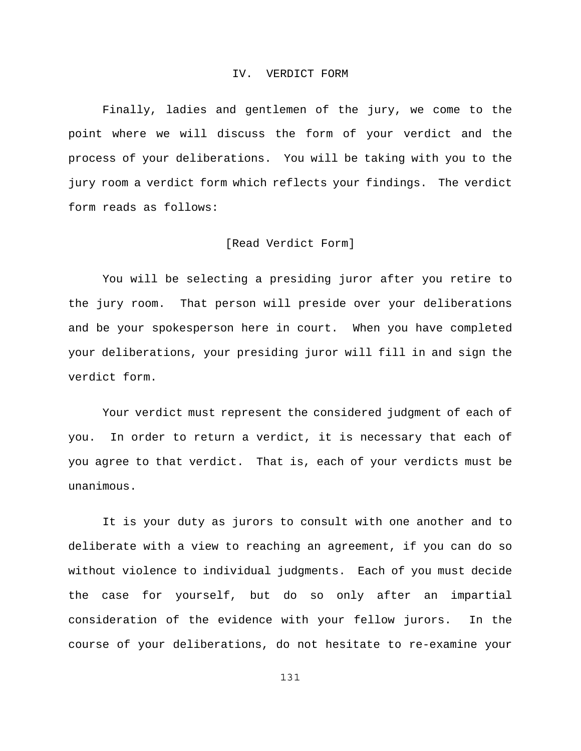### IV. VERDICT FORM

Finally, ladies and gentlemen of the jury, we come to the point where we will discuss the form of your verdict and the process of your deliberations. You will be taking with you to the jury room a verdict form which reflects your findings. The verdict form reads as follows:

### [Read Verdict Form]

You will be selecting a presiding juror after you retire to the jury room. That person will preside over your deliberations and be your spokesperson here in court. When you have completed your deliberations, your presiding juror will fill in and sign the verdict form.

Your verdict must represent the considered judgment of each of you. In order to return a verdict, it is necessary that each of you agree to that verdict. That is, each of your verdicts must be unanimous.

It is your duty as jurors to consult with one another and to deliberate with a view to reaching an agreement, if you can do so without violence to individual judgments. Each of you must decide the case for yourself, but do so only after an impartial consideration of the evidence with your fellow jurors. In the course of your deliberations, do not hesitate to re-examine your